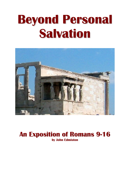# **Beyond Personal Salvation**



## **An Exposition of Romans 9-16 by John Edmiston**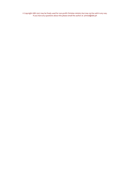© Copyright AIBI 2007 may be freely used for non-profit Christian ministry but may not be sold in any way. If you have any questions about this please email the author at johned@aibi.ph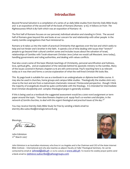### **Introduction**

*Beyond Personal Salvation* is a compilation of a series of 42 daily bible studies from Eternity Daily Bible Study and is an exposition of the second half of the book of Romans (Romans 9-16). It follows on from *The Righteousness Which Is By Faith* which was an exposition of Romans 1-8.

The first half of Romans focuses on our personal, individual salvation and standing in Christ. The second half of Romans goes beyond this and looks at our concern for and relationship with other people in the mainly Gentile congregations that Paul ministered to.

Romans 9-16 takes us into the realm of practical Christianity that agonizes over the lost and which seeks to help and not hinder one's brother in the faith. It spends a lot of time dealing with issues that "stretch" people to go beyond their cultural comfort zones and includes issues about the salvation of Israel, relationships of Gentiles with Torah-observant Christian Jews (what we would call Messianic Jews today), handling governments and ruling authorities, and dealing with values conflicts.

Paul also covers some of the basic lifestyle teachings of Christianity, personal sanctification and holiness, love, spiritual gifts, and an explanation of the rationale behind his apostolic ministry to the Gentiles. Many of the issues covered in Romans chapters 9-16 are still controversial. Paul's teaching here is as relevant today as it was then and forms a concise explanation of what the well-lived Christian life looks like.

This 85 page book is suitable for use as a textbook in an undergraduate or diploma level bible course. It may also be used in churches, home groups and campus bible studies. Theologically the studies stick very close to the text and are from a mainstream charismatic renewal / Pentecostal perspective - though I think the majority of evangelicals should be quite comfortable with the theology. It is intended for intermediate level Christian discipleship and complex theological jargon is generally avoided.

If this is being used as a textbook the suggested assessment would be a 2000 word assignment or term paper around the topic: "*How does Romans chapters 9-16 equip Paul's co-workers and disciples, in the network of Gentile churches, to deal with the urgent theological and practical issues of the day ?*"

You may receive Eternity Daily Bible Study for free by sending a blank email to: eternity-dbs-subscribe@strategicnetwork.org

Blessings,

John Edmiston 11<sup>th</sup> March 2007



John Edmiston is an Australian missionary who lives in Los Angeles and is the Chairman and CEO of the Asian Internet Bible Institute – International and who also teaches as adjunct faculty at Fuller Theological Seminary. He can be contacted by email at [johned@aibi.ph](mailto:johned@aibi.ph) or via his website at WWW.aibi.ph .To receive his weekly prayer points send a blank email to: [jednews-subscribe@yahoogroups.com](mailto:jednews-subscribe@yahoogroups.com)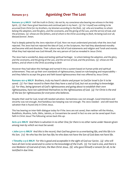### *Romans 9:1-5* **Agonizing Over The Lost**

**Romans 9:1-5 MKJV** *I tell the truth in Christ, I do not lie, my conscience also bearing me witness in the Holy Spirit, (2) that I have great heaviness and continual pain in my heart. (3) For I myself was wishing to be accursed from Christ for my brothers, my kinsmen according to the flesh, (4) who are Israelites; to whom belong the adoption, and the glory, and the covenants, and the giving of the Law, and the service of God, and the promises; (5) whose are the fathers, and of whom is the Christ according to flesh, He being God over all, blessed forever. Amen.*

Paul is deeply pained by the Jews rejection of God. Now we must understand precisely what the Jews had rejected. The Jews had not rejected the idea of God, or the Scriptures. Nor had they abandoned morality and become wild and dissolute. Their culture was full of God-statements and religion and Torah and morals. What they had rejected was God Himself, the very person of God as revealed in Jesus Christ.

The Jews had a wonderful, deep and lasting spiritual heritage: *to whom belong the adoption, and the glory, and the covenants, and the giving of the Law, and the service of God, and the promises; (5) whose are the fathers, and of whom is the Christ according to flesh*

However they had taken this heritage and turned it into a system based on human pride and spiritual achievement. They set up their own standards of righteousness, based on rule-keeping and respectability – and they failed to accept the grace and faith based righteousness that was offered by Jesus Christ.

**Romans 10:1-4 MKJV** *Brothers, truly my heart's desire and prayer to God for Israel is for it to be saved. (2) For I bear record to them that they have a zeal of God, but not according to knowledge. (3) For they, being ignorant of God's righteousness and going about to establish their own righteousness, have not submitted themselves to the righteousness of God. (4) For Christ is the end of the law for righteousness for everyone who believes.*

Despite their zeal for God, Israel still needed salvation. Earnestness was not enough. Good intentions and sincerity was not enough. And fastidious law-keeping was not enough. The Jews needed – and still need the salvation that is found only in Christ Jesus.

This has bearing on inter-faith dialogue today for if the Jews are not saved, then neither will the Hindus, Buddhists, Muslims, Sufis, Sikhs, Jainists, or Zoroastrians be saved! In fact no one can be saved apart from faith in Christ Jesus! The following verses back this up:

**Acts 4:12 MKJV** *And there is salvation in no other One; for there is no other name under Heaven given among men by which we must be saved.*

**1 John 5:11-12 MKJV** *And this is the record, that God has given to us everlasting life, and this life is in His Son. (12) He who has the Son has life; he who does not have the Son of God does not have life.*

**1 Timothy 2:3-6 MKJV** *For this is good and acceptable in the sight of God our Savior, (4) who will have all men to be saved and to come to the knowledge of the truth. (5) For God is one, and there is one Mediator of God and of men, the Man Christ Jesus, (6) who gave Himself a ransom for all, to be testified in due time.*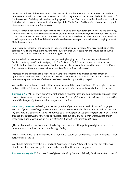Out of the kindness of their hearts most Christians would like the Jews and the sincere Muslims and the nice peaceful Buddhists to be saved. It seems unfair that they are not saved. Indeed the lack of salvation of the Jews caused Paul deep pain, and unceasing agony in his heart! And who is kinder than God who desires that all people be saved and come to a knowledge of the Truth! So, if God is so kind why are not the good, respectable, nice, clean-living Jews saved?

Firstly salvation is not so much about getting into Heaven as it is about getting to know God and becoming like Him. And so if we refuse relationship with God, then we can go no further, no matter how nice we are. In fact our niceness can even get in the way of our salvation. It may lead us to become smug and proud and to lack repentance and faith and thus ultimately to rely on our own good works instead of relying on what Christ has done for us.

Paul was so desperate for the salvation of the Jews that he would have foregone his own salvation if that sacrifice would have brought the Jews to faith in Jesus Christ. But it could not and would not. The Jews would have to make their own decision for or against Jesus.

We are to be intercessors for the unreached, unceasingly crying out to God that they may be saved: *Brothers, truly my heart's desire and prayer to God for Israel is for it to be saved.* We can put Muslims, Buddhists, Taoists or the people group that the Lord has placed in our heart into that verse e.g *Brothers, truly my heart's desire and prayer to God for the Kazakhs is for them to be saved.* 

Intercession and salvation are closely linked in Scripture, whether it be physical salvation from an approaching enemy or from a storm or the spiritual salvation from sin that is in Christ Jesus - and history tells us every great outbreak of salvation has been preceded by prevailing prayer!

We need to pray that proud hearts will be broken down and that people will put aside self-righteousness and accept the righteousness that is in Christ Jesus for self-righteousness stops salvation in its tracks:

**Romans 10:3-4** *(3) For they, being ignorant of God's righteousness and going about to establish their own righteousness, have not submitted themselves to the righteousness of God. (4) For Christ is the end of the law for righteousness for everyone who believes.*

**Galatians 5:2-6 MKJV** *Behold, I, Paul, say to you that if you are circumcised, Christ shall profit you nothing. (3) For I testify again to every man that is circumcised, that he is a debtor to do all the Law, (4) you who are justified by Law are deprived of all effect from Christ; you fell from grace. (5) For we through the Spirit wait for the hope of righteousness out of faith. (6) For in Christ Jesus neither circumcision nor uncircumcision has any strength, but faith working through love.*

[The problem with Jewish circumcision being that it was an attempt to gain righteousness from ceremony and tradition rather than through faith.]

This is why Islam is so resistant to Christ – for it is a system of self-righteous works without assured forgiveness or grace.

We should agonize over the lost, and not "just vaguely hope" they will be saved, but rather we should pray for them and go to them, and ensure that they hear the gospel !

**Romans 10:12-15 MKJV** *For there is no difference both of Jew and of Greek, for the same Lord over all*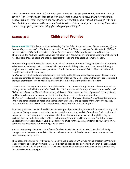*is rich to all who call on Him. (13) For everyone, "whoever shall call on the name of the Lord will be saved." (14) How then shall they call on Him in whom they have not believed? And how shall they believe in Him of whom they have not heard? And how shall they hear without preaching? (15) And how shall they preach unless they are sent? As it is written, "How beautiful are the feet of those who preach the gospel of peace and bring glad tidings of good things!"*

### *Romans 9:6-8* **Children of Promise**

**Romans 9:6-8 MKJV** *Not however that the Word of God has failed, for not all those of Israel are Israel; (7) nor because they are the seed of Abraham are they all children. But, "In Isaac shall your Seed be called." (8) That is, not the children of the flesh are children of God; but the children of the promise are counted for a seed.* The problem for Paul was that the Jews had not believed in Jesus. Was this the same as saying that God had not saved His chosen people and that His promises through the prophets had come to nought?

The Jews interpreted the Old Testament as meaning they were automatically right with God and entitled to salvation simply through being children of Abraham. They had the patriarchs and the Law and the right religious system so they were saved, or at least first in line for salvation and if God did not save them all, then He was at fault in some way.

Paul's answer is that God does not choose by the flesh, but by the promise. That is physical descent alone does not guarantee salvation. Salvation comes from entering into God's kingdom through His precious and gracious promises received by faith. To illustrate this Paul looks at the children of Abraham.

Now Abraham had eight sons, Isaac through his wife Sarah, Ishmael through her concubine Hagar and six through his second wife Keturah after Sarah died: "*And she bore him Zimran, and Jokshan, and Medan, and Midian, and Ishbak, and Shuah*" (Genesis 25:2). Only one of these was the "son of promise" through Sarah, and that was Isaac and he became of the line of Christ and received the entire inheritance. The "seed" was Isaac, the rest were simply physical children who were blessed, given gifts and sent away. In fact the other children of Abraham became enemies of Israel and opposers of the work of God. They were not of the spiritual line, they did not belong to the "red thread of redemption".

Paul then goes on to use Jacob and Esau as an example of pure election, but we will tackle that thorny topic tomorrow. Today we want to establish the fact that God's promises and God's work are God's choice and do not pass through any process of physical inheritance in an automatic fashion (though blessing can certainly flow down faithful believing families for many generations). No one can say "my father was a Christian therefore I am saved". Each person must find God for themselves, or rather be found by Him. As someone has wisely said "God has no grand-children".

Also no one can say "because I come from a family of atheists I cannot be saved". No physical family lineage stands between you and God. He can call someone out of the darkest of circumstances and has done so many, many times.

The question then remains – why could not God "make it happen"? Why was not all Israel saved? Why did He allow some to fall away from grace? If God is both all good and all powerful then surely all Israel should have been saved? Did His promises fail? It will take the whole of Romans 9-11 to answer this question fully but we will start on it tonight.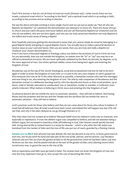Paul's first answer is that *for not all those of Israel are Israel;* (Romans 9:6). I other words there are two Israels, a physical Israel which is "according to the flesh" and a spiritual Israel which is according to faith, according to the promise and according to election.

We see the above principle working in every single church and we can just as easily say "Not all who are Baptists are Baptists" (or substitute the denomination you belong to or know of). There are those who go to church and just warm the pews and never believe and yet call themselves Baptists (or whatever) and yet who do not believe, who are not born-again, and who are not truly saved and therefore not truly Baptists in the fullest and truest sense of being a Baptist.

Now hopefully everyone getting this devotional is aware that you cannot simply be saved by belonging to a good Baptist family and going to a good Baptist church. You actually have to make a personal decision to receive Jesus as your Lord and Savior, then you are saved, then you are truly and really a Baptist (or whatever your chosen denomination is).

Even if you have a thousand degrees in theology unless you believe the promises of God in Christ are true for you personally, then you are outside the Kingdom, no matter how far "in" or "up" you may be in an official ecclesiastical structure. We are never spiritually validated by the flesh, by descent, by degrees, or by the mere approval of men. Our entire spiritual validity comes from being born-again and entering the Kingdom of God.

Nicodemus was at the top of the Jewish theological, social and ecclesiastical tree but he had to be bornagain in order to enter the Kingdom of God (John 3:1-12) and in the very next chapter of John's gospel we find someone who was as far in the other direction as possible, a Samaritan woman who had five marriages and now living in sin, also entering the Kingdom of God. The side by side comparison of Nicodemus and the Samaritan woman is a deliberate teaching tool by John the Apostle and shows us that social position, up or down, male or female, educated or uneducated, Jew or Samaritan, insider or outsider, is irrelevant, even utterly irrelevant. What matters is believing in Christ Jesus and entering into the Kingdom of God!

So physical descent did not entitle the Jews to automatic salvation – they still had to believe. And having Moses and the prophets and the law and the Temple and the sacrifices did not entitle the Jews to automatic salvation – they still had to believe.

God's promises work for those who believe and they do not come about for those who refuse to believe. If Israel had all believed, then all Israel would have been saved, and indeed this will happen one day! (We will see that, and why it has been delayed as we go through Romans 9-11)

Why then does God not compel all to believe? Because belief must be related in some way to character, and especially to repentance. If even the defiant rogue was compelled to believe, and did not abandon being a defiant rogue, but increased in treachery while still believing in God, then Heaven would quickly become Hell. Giving eternal life to wicked hearts is a recipe for disaster – which is why after the Fall, Adam was banished from the Garden of Eden and the tree of life was put out of reach, guarded by a flaming cherub.

**Genesis 3:22-24 MKJV** *And Jehovah God said, Behold, the man has become as one of Us, to know good and evil. And now, lest he put forth his hand and take also of the tree of life, and eat, and live forever, (23) therefore Jehovah God sent him out from the garden of Eden to till the ground from which he had been taken. (24) And He drove out the man. And He placed cherubs at the east of the garden of Eden, and a flaming sword which turned every way, to guard the way to the tree of life.*

And so repentance and faith must go hand in hand. The wicked must not enter the Kingdom of God, but only the truly repentant must go in, who accept the cost of becoming like Christ.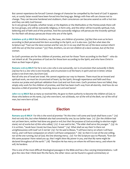But cannot repentance be forced? Cannot change of character be compelled by the hand of God? It appears not, or surely Satan would have been forced into line long ago. Beings with free will can choose not to change. They can become hardened and stubborn, their consciences can become seared as with a hot iron and they can defy God forever.

So in any group of people, whether Israel, or the Baptists or the Methodists or the Pentecostals there will be two groups, one will be outwardly religious, in form only, and the other will be inwardly spiritual, truly believing and of faith and of the promise. And the outwardly religious will persecute the inwardly spiritual for the flesh will always persecute those who are of the Spirit.

**Galatians 4:28-31 MKJV** *But brothers, we, like Isaac, are children of promise. (29) But then even as he born according to flesh persecuted him born according to the Spirit, so it is also now. (30) But what does the Scripture say? "Cast out the slave-woman and her son; for in no way shall the son of the slave-woman inherit with the son of the free woman." (31) Then, brothers, we are not children of a slave-woman, but of the free woman.*

So God's promises are for the children of promise, and not for those "born according to the flesh" - who do not inherit at all. The promises of God are for those born according to the Spirit, and who have Christ in them as their hope of glory.

**Romans 2:28-29 MKJV** *For he is not a Jew who is one outwardly, nor is circumcision that outwardly in flesh; (29) but he is a Jew who is one inwardly, and circumcision is of the heart; in spirit and not in letter; whose praise is not from men, but from God.*

Not all who are of Israel are Israel. We cannot organize our way to Heaven. There must be an inward and spiritual work, we must be circumcised of heart, by the Spirit, through repentance and faith and thus receive our praise and spiritual validation from God and not from men. God's promises have not failed, they simply only work for the children of promise, and that has been God's way from all eternity. And how do we become a child of promise? By receiving Jesus as Lord and Savior!

**John 1:12-13 MKJV** *But as many as received Him, He gave to them authority to become the children of God, to those who believe on His name, (13) who were born, not of bloods, nor of the will of the flesh, nor of the will of man, but were born of God.*

#### *Romans 9:9-18* **Election**

**Romans 9:9-18 MKJV** *For this is the word of promise: "At this time I will come and Sarah shall have a son." (10) And not only this, but when Rebekah also had conceived by one, by our father Isaac (11) (for the children had not yet been born, neither had done any good or evil; but that the purpose of God according to election might stand, not of works but of Him who called,) (12) it was said to her, "The elder shall serve the younger." (13) As it is written, "Jacob have I loved, but Esau have I hated." (14) What shall we say then? Is there not unrighteousness with God? Let it not be! (15) For He said to Moses, "I will have mercy on whom I will have mercy, and I will have compassion on whom I will have compassion." (16) So then it is not of the one willing, nor of the one running, but of God, the One showing mercy. (17) For the Scripture says to Pharaoh, "Even for this same purpose I have raised you up, that I might show My power in you, and that My name might be declared throughout all the earth." (18) Therefore He has mercy on whom He will have mercy, and whom He will, He hardens.*

This is one of the most difficult theological passages in the Bible and has a few varying interpretations. I will give the view that I think best fits the facts, the other views can be found in a good commentary or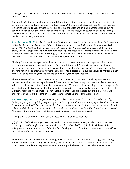theological text such as the systematic theologies by Grudem or Erickson. I simply do not have the space to deal with them all.

God has the right to set the destiny of any individual, for greatness or humility, but how we react to that destiny is up to us. God said the Esau would serve Jacob "the older shall serve the younger" and that was His choice. Esau had a very physical nature full of carnal appetites and sold his inheritance for a bowl of soup when he was hungry. His nature was that of a person enslaved, so of course he ended up serving Jacob who had a higher and more spiritual nature. The fate decreed by God and the nature of the people involved were closely intertwined.

**Genesis 25:29-34 MKJV** *And Jacob boiled soup. And Esau came from the field, and he was faint. (30) And Esau said to Jacob, I beg you, Let me eat of the red, this red soup, for I am faint. Therefore his name was called Edom. (31) And Jacob said, Sell me your birthright today. (32) And Esau said, Behold, I am at the point of dying, and what profit shall this birthright be to me? (33) And Jacob said, Swear to me this day. And he swore to him, and he sold his birthright to Jacob. (34) Then Jacob gave Esau bread and soup of lentils. And he ate and drank, and rose up and went his way. And Esau despised his birthright.*

Similarly Pharaoh was an ego maniac, he would never truly listen or repent. Such a person when shown clear spiritual signs only hardens their heart. God knew this and put Pharaoh in a place so that through this powerful and most unreasonable man He could show His might. God's hardening of Pharaoh consisted of showing him miracles that would have made any reasonable person believe. But because of Pharaoh's inner nature, his pride, his arrogance, his need to be in control, it only hardened him!

The compassion of God consists in His allowing our conscience to function, of enabling us to see and believe the truth so that we might be saved. Some people, like Esau, are spiritual blockheads and place no value on anything except their immediate sensory needs. We never see Esau building an altar or engaging in worship. Rather he is always out hunting or eating or marrying the wrong kind of women and making all the worst moves at the wrong times. He even sells his inheritance and is cheated out of his blessing - despite the wishes of Isaac in this regard. In fact Esau later becomes a symbol of the carnal man:

**Hebrews 12:14-17 MKJV** *Follow peace with all, and holiness, without which no one shall see the Lord; (15) looking diligently lest any fail of the grace of God, or lest any root of bitterness springing up disturb you, and by it many are defiled, (16) (lest there be any fornicator, or profane person like Esau, who for one morsel of food sold his birthright. (17) For you know that afterward, when he desired to inherit the blessing, he was rejected; for he did not find any place of repentance, though he sought it carefully with tears).*

Paul's point is that we don't make our own destiny. That is God's to apportion.

*(11) (for the children had not yet been born, neither had done any good or evil; but that the purpose of God according to election might stand, not of works but of Him who called,) .....(16) So then it is not of the one*  willing, nor of the one running, but of God, the One showing mercy. .. Therefore He has mercy on whom He will *have mercy, and whom He will, He hardens.*

The opposite to God's mercy and election is given in active words such as 'works', 'willing', and 'running'. Human exertion cannot change divine destiny. Jacob did nothing but was made the heir. Esau worked hard, strove, clumsily tried to please his father and sought the blessing with tears - but was excluded.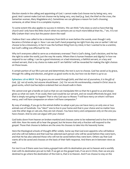Election stands in the calling and appointing of God. I cannot make God choose me by being very, very good. And I cannot make God not choose me by being very, very bad (e.g. Saul, the thief on the cross, the Samaritan woman, Mary Magdalene etc). Sometimes we can glimpse a reason for God's choosing someone, at other times it is a complete mystery.

To some extent this also applies to success in ministry. We can think "why does so and so have that big church and I only have this little church when my sermons are so much more biblical than his..." etc. It is not Billy Graham that I envy but the pastor down the road!

I believe that I was called to be a missionary from birth or even before the womb, even though I only became a Christian at age 21. Now I can see God's hand preparing me right from day one or earlier! I did not choose to be a missionary, in fact it was the furthest thing from my mind, in fact I wanted to be a scientist, but God's calling was effectual for me.

Why isn't everyone called to serve as a missionary overseas? That is God's doing, God's decision, and He has the right to order the world, just the way He wants. Where then is human freedom and dignity? In how we respond to our calling. I can be a good missionary or a bad missionary, a faithful servant, or a lazy and wicked servant, that is my choice to make and if I am faithful I will be rewarded for making the right choices on those issues.

A certain portion of our life is pre-set and determined, the rest is ours to choose. God has saved us by grace, through His calling and election, and given us good works to do, but how we do them is up to us:

**Ephesians 2:8-10 MKJV** *For by grace you are saved through faith, and that not of yourselves, it is the gift of God, (9) not of works, lest anyone should boast. (10) For we are His workmanship, created in Christ Jesus to good works, which God has before ordained that we should walk in them.*

We cannot ever get a handle on God so that we can manipulate Him so that He is good to us and always gives us what we want. If we could, then God would be our servant, and we would effectively be god. And that is simply not going to happen! That is why God says to Moses: *"I will have mercy on whom I will have mercy, and I will have compassion on whom I will have compassion."*

By way of analogy, if you go to the animal shelter to adopt a pet you can have mercy on only one or two animals out of hundreds. You "elect" one to live in your home and that is your choice and no matter how cute the other dogs or cats are, they are not chosen. You have mercy and compassion only on the one you have chosen. And no one can argue with your choice!

God looks down from heaven on broken mankind and chooses some to be redeemed and to live in Heaven with Him. Now He wants all to hear the gospel, but He knows that only a fraction will respond to the gospel. Those that choose to believe are the ones He chooses to take into His heavenly home.

Here the theological schools of thought differ widely. Some say that God even appoints who will believe and who will not believe and that God has selected each person who will be saved before they were born, and that He has also selected those who will not be saved before they were born. Others say that God wants all to be saved and chooses on the basis of their faith response. And there are in-between views as well.

For me it is as if there were two trains,a gospel train with its destination pre-set to heaven and a worldly train with its destination pre-set to Hell. If we get on the gospel train, if we are in Christ, then we are predestined to go where the destination of the train is, that is to Heaven. And if we choose to stay on the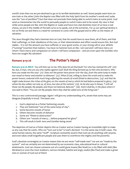world's train then we are pre-destined to go to its terrible destination as well. Some people seem born on one train or the other (John the Baptist was filled with the Holy Spirit from his mother's womb and Judas was the "son of perdition") but that does not preclude them being able to switch trains at some point. God send us missionaries into the world to persuade people to switch trains and to be saved. My view is that while some people are like John the Baptist or Judas and have iron-clad destinies most of us have a real choice, we are in the middle of the bell curve so to speak, not at the extremes. For us our spiritual destiny is not so firmly set and there is a need for someone to come with the gospel and to offer us the means of salvation.

The Jews thought they had a hammer-lock on God, that He would have to save them, all of them, and that their sufferings, or their obedience of the Law, or their determination and effort would ensure this. But God replies – it is not the amount you have suffered, or your good works, or your strong will or your athletic ("running") exertion that matters. You have no hammer-lock on Me. I am God and I will have mercy on whom I have mercy and compassion on whom I will have compassion – and yes even upon the Gentiles who have not sought My salvation!

#### *Romans 9:19-26* **The Potter's Hand**

**Romans 9:19-26 MKJV** *You will then say to me, Why does He yet find fault? For who has resisted His will? (20) No, but, O man, who are you who replies against God? Shall the thing formed say to Him who formed it, Why have you made me this way? (21) Does not the potter have power over the clay, from the same lump to make one vessel to honor and another to dishonor? (22) What if God, willing to show His wrath and to make His power known, endured with much long-suffering the vessels of wrath fitted to destruction; (23) and that He might make known the riches of His glory on the vessels of mercy which He had before prepared to glory; (24)* whom He also called, not only us, of Jews, but also of the nations? (25) As He also says in Hosea, "I will call *those not My people, My people; and those not beloved, Beloved." (26) And it shall be, in the place where it was said to them. "You are not My people; there they shall be called sons of the living God."*

This is a very controversial passage. Again I will give my understanding of it, aware that some may yet disagree (hopefully in love)! The basics are:

- 1. God is depicted as a Potter fashioning vessels.
- 2. They are fashioned "out of the same lump of clay".
- 3. Some become vessels of honor
- 4. Others become vessels of dishonor
- 5. Some are "fitted to destruction"
- 6. Others are "vessels of mercy.... before prepared for glory"
- 7. This will result in both Jews and Gentiles being saved

The depiction of God as a Potter depicts Him as Creator and as Creator having an irresistible right to make us any way that He wants. Who we "turn out to be" is God's decision! It is the same clay in both cases. The same human nature, the same "stuff". Scripture constantly asserts that God can do anything with anyone, and even takes small insignificant people and uses them to overthrow the mighty and the powerful.

God's absolute sovereignty as Creator means that we are never "self-made men" nor are we "made by the system" and we certainly are not determined by our economic class, educational level or cultural attainments. God can choose someone out of a world gone insane (like Noah) or a city filled with idols (like Abraham) or even the most stubborn, narrow-minded, hateful and angry zealot (like Paul) and make a great man or woman of God out of them!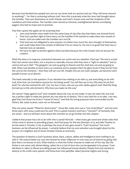Because God decided how people turn out we can never look at a person and say "they will never amount to anything!". For that is reckoning without God! Now this is precisely what the Jews had thought about the Gentiles. They saw themselves as God's friends, and God's chosen ones and the recipients of His revelation and intervention. The Gentiles were viewed as immoral, unenlightened demon-worshiping pagans who had no hope and no promise.

Paul then upsets the apple-cart by asserting that:

- 1. Jews and Gentiles were made from the same lump of clay (the clay that Adam was formed from).
- 2. That God a perfect right to have mercy on the Gentiles if He wanted to make them into vessels of honor. God can make even the Gentiles turn out OK.
- 3. That God was not obligated to save anyone, no matter how much the Jews thought of themselves, and could make them into vessels of dishonor if he so chose to. No one is so good that they have a hammer lock on salvation.
- 4. We have no right to protest against what God does because He is the Creator and we are just His creation.

What this does is to snap any connection between our works and our salvation. Paul says "No one is so bad that God cannot save them, nor is anyone so naturally virtuous that they have a "right to salvation" and so cannot end up in Hell." The gangster can end up going to Heaven and the choir-boy can end up going to Hell. When God decides to have mercy on someone and to prepare them for glory (even if they are far from the Lord at the moment) – then they will turn out OK. People who are not God's people, can become God's people! (verses 24-26 above).

This leads naturally to the question. If our salvation has nothing to do with us, and everything to do with God, then how can God blame anyone for not being saved? *You will then say to me, Why does He yet find fault? For who has resisted His will? (20) No, but, O man, who are you who replies against God? Shall the thing formed say to Him who formed it, Why have you made me this way?* 

We cannot "reply against God" and complain about the way we are made. It may not seem fair, but God has a perfect right to make any person any way that He so desires. This is very hard for us to take. I am very glad that God chose me to be a "vessel of mercy" and that His loving purposes have surrounded my life. Others, like Judas Iscariot, were not so fortunate.

Why are some vessels "fitted for destruction", those like Judas who was a "son of perdition" and not even three years with Jesus could save his soul? This is a great mystery! God has a "remnant" of humanity that are saved – and we will learn more about this remnant as we go further into this chapter.

I believe that prayer has a lot to do with who is saved! Revivals – when many get saved and whole cities find Christ come in answer to prevailing prayer. And Paul prays for the lost (Romans 10:1), and tells Timothy to do the same (1 Timothy 2:1-6), so perhaps the issue of who gets saved is "God's business" but God's business can be influenced by prayer. I certainly believe that my own salvation was brought about by the prayers of a neighbor and of some Christian friends at university.

The question of destiny is God's business alone. Race, culture, ability and intelligence have nothing to do with it. We cannot batter our way into heaven by sheer willpower or even stay out of heaven by going wild (but that is no license to sin!). What matters is what the Potter chooses to make out of the clay. But the Potter is not some cold, distant Being, rather He is a God of love who can be appealed to by prayer. From Abraham to Jabez to Moses prevailing prayer has influenced human destiny! People that God wanted to destroy in His wrath were spared. And those born into pain(like Jabez) became mighty and strong.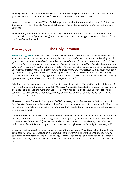The only way to change your life is by asking the Potter to make you a better person. You cannot make yourself. You cannot construct yourself. In fact you don't even know here to start!

You need to ask God for mercy! When God changes your destiny, then your work will pay off. But unless God has mercy, you will simply get nowhere. Put away your pride and ask God for grace in every area of your life!

The testimony of Scripture is that God hears every cry for mercy and that "all who call upon the name of the Lord will be saved" (Romans 10:13). But that salvation is not their doing or deserving, rather it is from the Potter's merciful hand.

### *Romans 9:27-33* **The Holy Remnant**

**Romans 9:27-33 MKJV** *Isaiah also cries concerning Israel, "Though the number of the sons of Israel is as the sands of the sea, a remnant shall be saved. (28) For He is bringing the matter to an end, and cutting short in righteousness, because the Lord will make a short work on the earth." (29) And as Isaiah said before, "Unless the Lord of hosts had left us a seed, we would have been as Sodom, and would have been like Gomorrah." (30) What shall we say then? That the nations, who did not follow after righteousness have taken on righteousness, but a righteousness of faith. (31) But Israel, who followed after a law of righteousness did not arrive at a law of righteousness. (32) Why? Because it was not of faith, but as it were by the works of the Law. For they stumbled at that Stumbling-stone; (33) as it is written, "Behold, I lay in Zion a Stumbling-stone and a Rock-ofoffense, and everyone believing on Him shall not be put to shame."*

Salvation is neither automatic or universal. The first quote from Isaiah: *"Though the number of the sons of Israel is as the sands of the sea, a remnant shall be saved."* indicates that salvation is not universal, in fact not even close to it. Though the number of Israelites be many millions, even as the sand of the sea (which someone has calculated to be about 10,000,000,000,000,000,000,000 ! or 10 to the power 22), only a remnant shall be saved.

The second quote: *"Unless the Lord of hosts had left us a seed, we would have been as Sodom, and would have been like Gomorrah."* indicates that unless God is merciful, no one is able to be saved. In fact if God was not merciful we would all suffer the fate of Sodom and Gomorrah. Doom is automatic, but salvation is only by the grace of God!

Now this mercy of God, which is God's own personal initiative, can be offered to anyone. It is not earned in any way or deserved at all, in order that grace may be fully grace, and not a wage of some kind. In fact those who least "deserved it" (the Gentiles) ended up being saved: *What shall we say then? That the nations, who did not follow after righteousness have taken on righteousness, but a righteousness of faith.* 

By contrast the comparatively clean-living Jews did not find salvation. Why? Because they thought they could earn it. To try to earn salvation is tantamount to taking from the Lord the honor of deciding who is saved and who is not saved, and instead placing it within reach of one's own human ability. Salvation is always God's work, God's initiative and God's choice. No amount of human religious effort can earn God's love.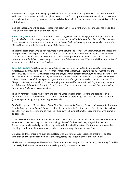However God has appointed a way by which anyone can be saved – through faith in Christ Jesus as Lord and Savior. This is what Paul calls "a righteousness of faith". This righteousness is internal and comes from a conscience that correctly perceives that Jesus is Lord and which then believes in and trusts this as a divine spiritual fact.

God has chosen who will be saved – those who believe in His Son, for he who has the Son, has life and he who does not have the Son, does not have life.

**1 John 5:11-13 MKJV** *And this is the record, that God has given to us everlasting life, and this life is in His Son. (12) He who has the Son has life; he who does not have the Son of God does not have life. (13) I have written these things to you who believe on the name of the Son of God, that you may know that you have everlasting life, and that you may believe on the name of the Son of God.*

The remnant are those who do not "stumble over the stumbling stone" - which is Christ, and the cross and its impact on or human pride and our attempts at self-justification. If we try to justify ourselves then we miss out on the justification that comes from God! If we stop trying to justify ourselves and cry out in repentance and faith "God have mercy on me, a sinner" then we are saved! This is aptly illustrated in Jesus' story about the publican and the Pharisee.

**Luke 18:9-14 MKJV** *And He spoke this parable to certain ones who trusted in themselves, that they were righteous, and despised others: (10) Two men went up into the temple to pray; the one a Pharisee, and the other a tax-collector. (11) The Pharisee stood and prayed within himself in this way: God, I thank You that I am not as other men are, extortioners, unjust, adulterers, or even like this tax-collector. (12) I fast twice on the Sabbath, I give tithes of all that I possess. (13) And standing afar off, the tax-collector would not even lift up his eyes to Heaven, but struck on his breast, saying, God be merciful to me a sinner! (14) I tell you, this man went down to his house justified rather than the other. For everyone who exalts himself shall be abased, and he who humbles himself shall be exalted.*

The holy remnant = those who repent and believe. Since true repentance is rare and abiding faith is uncommon then the holy remnant, the humble faithful God-depending saints, will tend to be a minority (the exception being during times of great revival).

Paul's third quote is: *"Behold, I lay in Zion a Stumbling-stone and a Rock-of-offense, and everyone believing on Him shall not be put to shame."* So we see that all who believe in Christ are saved. Yet all who wish to hold onto their own self-esteem, and to who seek their own self-justification, these are the ones who stumble and are lost.

Israel missed out on salvation because it wanted a salvation that could be earned by human effort through adherence to the Law. They got their spiritual "gold stars" for how well they obeyed this Law, and it formed a sort social and religious hierarchy that made them feel important. For them salvation was like climbing a ladder and they were very proud of how many rungs they had attained to.

But Jesus said that there is no such spiritual ladder of attainment. Even lepers and prostitutes and taxgatherers and the Samaritan woman at the well got into the Kingdom before the High Priests!

The ladder has been replaced by the 'eye of the needle' a narrow portal, a narrow way, that is only found by the meek, the humble, the penitent, the seeking and by those who believe.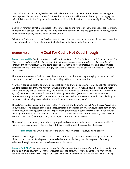Many religious organizations, by their hierarchical nature, tend to give the impression of re-creating the now deposed "ladder of attainment". This tends to kill the spiritual life within them by producing spiritual pride. It is frequently the fringe-dwellers and mavericks within them that do the most significant Christian ministry.

God's holy remnant sometimes equates to those who are on the fringes of the formal ecclesiastical system. Those who are still conscious of their sin, who are humble and meek, who are gentle and kind and gracious and who do not justify themselves or despise others.

Salvation is God's work, not man's achievement. Unless God was merciful no one would be saved. Salvation is not universal, but is for a holy remnant who believe, but all who do believe are saved.

#### *Romans 10:1-4* **A Zeal For God Is Not Good Enough**

**Romans 10:1-4 MKJV** *Brothers, truly my heart's desire and prayer to God for Israel is for it to be saved. (2) For I bear record to them that they have a zeal of God, but not according to knowledge. (3) For they, being ignorant of God's righteousness and going about to establish their own righteousness, have not submitted themselves to the righteousness of God. (4) For Christ is the end of the law for righteousness for everyone who believes.*

The Jews are zealous for God, but nevertheless are not saved, because they are trying to "establish their own righteousness", rather than humbly submitting to the righteousness of God.

As we saw earlier God is the one who decides salvation, and who decides who He will adopt into His family. We cannot force our entry into heaven through our own goodness, in fact we have all sinned and fallen short of the glory of God (Romans 3:23) and mankind has become so darkened in their mind (Ephesians 2:1- 4, 4:18) that unless God is merciful we are all "shut up in unbelief" (Romans 11:32). Thus salvation is impossible through human effort, apart from the mercy of God. As someone once said "The only thing of ourselves that we bring to our salvation is our sin, of which we are forgiven."

The religious system based on the premise that "if you are good enough you will go to Heaven" is called, by Paul, "the law of righteousness". It says that justification, and relationship with God, is dependent on how god we are, on achieving some set level of personal righteousness in conformity to a certain set of rules given by God. Thus many Jews sought to obey the Ten Commandments plus the other 613 laws of Moses set out in the Torah (Genesis, Exodus, Leviticus, Numbers and Deuteronomy).

This law of righteousness system only brought guilt and condemnation because no one was capable of living up to it, except Jesus, who eventually fulfilled it and brought it to an end on the Cross.

**Romans 10:4** *For Christ is the end of the law for righteousness for everyone who believes.*

The entire Jewish legal system based on the rules set down by Moses was demolished by the death of Christ, not just the sacrificial system or cultural rules, the whole thing, the whole system of earning salvation through personal merit which no one could achieve:

**Romans 7:4-6 MKJV** *So, my brothers, you also have become dead to the law by the body of Christ so that you should be married to Another, even to Him raised from the dead, that we should bring forth fruit to God. (5)*  For when we were in the flesh, the passions of sin worked in our members through the law to bring forth fruit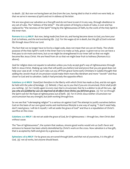*to death. (6) But now we having been set free from the Law, having died to that in which we were held, so that we serve in newness of spirit and not in oldness of the letter.*

We are now given our salvation as a free gift and do not have to earn it in any way, through obedience to any set of rules. The "oldness of the letter" - the old system of living by a book of rules, is over and has replaced by "the newness of the Spirit" living by the righteousness of faith, by the work of the Holy Spirit in the inner man.

**Romans 6:22-23 MKJV** *But now, being made free from sin, and having become slaves to God, you have your fruit to holiness, and the end everlasting life. (23) For the wages of sin is death, but the gift of God is eternal life through Jesus Christ our Lord.*

The fact that we no longer have to live by a legal code, does not mean that we can sin freely. The whole purpose of the Holy Spirit's work in the inner man is to make us holy, grace is given not so we can have a free pass to sin more and more, but so we might be strengthened in our inner self so that we might become like Jesus Christ. We are freed from sin so that we might bear fruit to holiness (Romans 6:22 above).

Zeal for religion does not equate to salvation unless you truly accept god's way of righteousness through faith in Jesus Christ. Making up rules that will justify you before God and prove that you are good does not help your case at all - in fact such rules cut you off from grace! Some early Christians in Galatia thought that adding the Jewish ritual of circumcision would make them more like Abraham and more "Jewish" and thus closer to God and to salvation. Sadly it had precisely the opposite effect:

**Galatians 5:1-6 MKJV** *Stand fast therefore in the liberty with which Christ has made us free, and do not again be held with the yoke of bondage.* (2) Behold, *I, Paul, say to you that if you are circumcised, Christ shall profit you nothing.* (3) For I testify again to every man that is circumcised, that he is a debtor to do all the Law, (4) *you who are justified by Law are deprived of all effect from Christ; you fell from grace. (5) For we through the Spirit wait for the hope of righteousness out of faith. (6) For in Christ Jesus neither circumcision nor uncircumcision has any strength, but faith working through love.*

So we see that "rule-keeping religion" is a serious sin against God! The attempt to justify ourselves before God on the basis of our own good works and meritorious lifestyle is one way of saying "I don't need help, don't need grace, I will do it myself, I will set aside the grace of God" and thus is a repudiation of Christ's sacrifice on the cross:

**Galatians 2:21 MKJV** *I do not set aside the grace of God, for if righteousness is through law, then Christ died without cause.*

The "law of righteousness", the system that zealous, sincere good works would win us God's favor and entrance to heaven has been utterly demolished by Christ's work on the cross. Now salvation is a free gift, that is accepted by faith and given by a gracious God.

**Ephesians 2:8-9 MKJV** *For by grace you are saved through faith, and that not of yourselves, it is the gift of God, (9) not of works, lest anyone should boast.*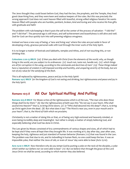The Jews thought they could boast before God, they had the law, the prophets, and the Temple, they lived good clean-living lives, and they were keen and zealous keepers of the rules. But this was precisely the wrong approach! God does not want heaven filled with boastful, strong-willed religious fanatics! He wants Heaven filled with people who are humble, penitent, broken, kind and loving and who receive His free gifts with gratitude and faith!

The problem with rule-keeping is that it puts the self at the center of the process of salvation - "I did this" and "I did that". The personal ego is still intact, and self-achievement and boastfulness is still alive and well. Zeal for God can thus quickly turn into self-preening religious smugness.

Instead we have a new way of being, a 'new and living way' where the rules are put aside in favor of developing a holy, gracious personal walk with God through the inner work of the Holy Spirit.

It is no longer a matter of festivals and Sabbaths, temples and tithes, and of not touching this, or not drinking that.

**Colossians 2:20-23 MKJV** *(20) If then you died with Christ from the elements of the world, why, as though living in the world, are you subject to its ordinances: (21) touch not, taste not, handle not; (22) which things are all for corruption in the using, according to the commands and doctrines of men? (23) These things indeed have a reputation of wisdom in self-imposed worship and humility, and unsparing severity of the body, but are not of any value for the satisfying of the flesh.*

This is all replaced by righteousness, peace and joy in the Holy Spirit! **Romans 14:17 MKJV** *for the kingdom of God is not eating and drinking, but righteousness and peace and joy in the Holy Spirit.*

### *Romans 10:5-8* **All Our Spiritual Huffing And Puffing**

**Romans 10:5-8 MKJV** *For Moses writes of the righteousness which is of the Law, "The man who does those things shall live by them." (6) But the righteousness of faith says this: "Do not say in your heart, Who shall ascend into Heaven?" that is, to bring Christ down; (7) or "Who shall descend into the deep?"; that is, to bring up Christ again from the dead. (8) But what does it say? "The Word is near you, even in your mouth and in your heart"; that is, the Word of Faith which we proclaim;*

Christianity is not a matter of *doing* this or that, or of being *very high-notioned* and heavenly minded, or even being incredibly *deep* and meaningful - but rather is simply a matter of simply believing God, and especially believing what God has done in Christ.

The Law given by Moses consisted of 613 commandments of various shapes and sizes, all of which had to be kept and if they were all kept then they brought life. It was working at it, day after day, year after year, keeping the holy, righteous and just standard of human behavior (Romans 7:12) that was found in the Law. The problem was that due to sin, and its indwelling in human flesh, no one could keep the law. It was an impossible yoke, that neither the Jews of old, or even of Jesus' day were able to bear (Acts 15:10).

**Acts 15:10-11 MKJV** *Now therefore why do you tempt God by putting a yoke on the neck of the disciples, a yoke which neither our fathers nor we were able to bear? (11) But we believe that through the grace of the Lord Jesus Christ we shall be saved, according to which manner they also believed.*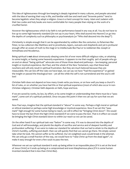This idea of righteousness through law-keeping is deeply ingrained in many cultures, and people saturated with the idea of earning their way in life, and familiar with law and merit and "brownie points" tend to become legalistic when they adopt a religion. Grace is a hard concept for many. Islam and Judaism with their law codes and holy books are more comfortable for many people than relying on the work of a crucified Savior.

However the righteousness which is by faith is not performance based in any way at all. You do not have to live up to some high heavenly standard (*Do not say in your heart, Who shall ascend into Heaven?)* or go into the depths of complexity such as philosophy or psychoanalysis (*or "Who shall descend into the deep?").* 

Christianity is simple enough that it can be apprehended by soldiers like the centurion, to fishermen like Peter, to tax-collectors like Matthew and to prostitutes, lepers, outcasts and shepherds and yet is profound enough offer an ocean of truth to the magi or to intellectuals like Paul or to noblemen like Joseph or Arimathaea and Nicodemus.

Being spiritual is **not** about strenuously obeying some list of ever more difficult religious rules, or attaining to some insight, or having some heavenly experience. It appears to me that roughly 90% of people who go on and on about "being spiritual" advocate one of those three dead-end pathways – law-keeping, personal insight or mystical experience. But Paul, and the whole of the New Testament, says that these lead nowhere and will only result in spiritual frustration. But they are much beloved because they are measurable. We can tick off the rules we have kept, we can say we have "had the experience" or gained the insight or passed the theological test – yet all the while the self is not surrendered and the soul is still lost!

Christian faith does not depend on how many Greek verbs you know, or on how well you keep a church's list of rules, or on whether you have had this or that spiritual experience (most of which also occur in non-Christian religions). Christian faith depends on faith, hope and love.

If we are saved by works, by law, by effort, or by some insight or understanding then there must be a "pass mark", some sort of a spiritual yardstick. Once we pass this point X then we can say for sure that we are saved.

Now Paul says, imagine that the spiritual standard is "above" in some way. Perhaps a high moral or spiritual or ethical standard or perhaps some high knowledge or mystical experience. Now if we set this "pass mark" high enough for some human being to reach, we will in effect be "bringing Christ down". We would have to lower the bar (from the high Christ-standard) if we were to pass the test. That is in effect we would be bringing the high Christ-standard down to within our reach so we can be saved.

On the other hand if our spiritual task was "below" in some way. If it was to descend into the depths of God and of self-knowledge, and plumb the depths of sacrifice and service and of deepest humility and profoundest suffering. If we were to make our standard for salvation that we had to attain to the depths of Christ's humility, suffering and death- then we will quickly find that we cannot go there. We simply cannot take what He took. We cannot suffer as He suffered. Our sin-weighted souls would break in the attempt. We can only go a small fraction of the way, we would have to "raise Christ up from the dead again", to make it easy enough for even a few souls to pass the test.

Wherever we set our spiritual standard it ends up being either in an impossible place (if it is set at the level of Jesus Christ) or it ends up being at a compromised and even blasphemous place (if it is some humaninvented standard that is less than Christ-like).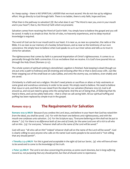As I keep saying – there is NO SPIRITUAL LADDER that we must ascend. We do not rise up by religious effort. We go directly to God through faith. There is no ladder, there is only faith, hope and love.

What then is the pathway to salvation? *(8) But what does it say? "The Word is near you, even in your mouth and in your heart"; that is, the Word of Faith which we proclaim;*

Salvation comes from receiving the Word of God in faith. You simply have to believe the gospel and you will be saved. It really is as simple as that. No list of rules, no heavenly experiences, and no deep mystical knowledge is required.

The word of God can be in our mouth and in our heart. It is near us, as near as a preacher, the radio or the Bible. It is as near as our memory of a Sunday School lesson, and as near as the testimony of our own conscience. We simply have to believe when God speaks to us in our inner selves and tells us to trust in Christ for salvation.

The righteousness that comes by faith is a personal impartation of Christ's righteousness. It comes to us personally through the faith connection. It is as we believe that we receive. It is God's love poured into us through the Holy Ghost (Romans 5:1-5).

The whole system of spiritual ranking is demolished. Legalism is finished. Rule-keeping is dead (though we are put onto a path to holiness) and all straining and stressing after this or that is done away with. Just like Peter stepping out of the small boat on Lake Galilee, and onto the stormy sea, we believe, even shakily and are saved.

Christianity is a faith and not a religion. We don't need priests or sacrifices or altars or holy vestments or some great and wondrous ceremony in order to be saved. We simply need to believe. We need to believe that Jesus is Lord, and that He was raised from the dead for our salvation (Romans 10:9-13). God is all around us, and we just need to grasp onto His saving hand. And the act of doing that, of believing that His Hand is there, and can be safely held onto – that is what we call saving faith. All our spiritual huffing and puffing has been replaced by simple trust in the gospel.

#### *Romans 10:9-13* **The Requirements For Salvation**

**Romans 10:9-13 MKJV** *Because if you confess the Lord Jesus, and believe in your heart that God has raised Him from the dead, you shall be saved. (10) For with the heart one believes unto righteousness, and with the mouth one confesses unto salvation. (11) For the Scripture says, "Everyone believing on Him shall not be put to shame." (12) For there is no difference both of Jew and of Greek, for the same Lord over all is rich to all who call on Him. (13) For everyone, "whoever shall call on the name of the Lord will be saved."*

God will save "all who call on Him" indeed 'whoever shall call on the name of the Lord will be saved". God is clearly willing to save anyone who calls on His name! God wants people to be saved and is "not willing that any should perish".

**1 Timothy 2:3-4 MKJV** *For this is good and acceptable in the sight of God our Savior, (4) who will have all men to be saved and to come to the knowledge of the truth.*

**2 Peter 3:9 MKJV** *The Lord is not slow concerning His promise, as some count slowness, but is long-suffering toward us, not purposing that any should perish, but that all should come to repentance.*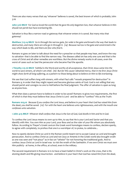There are also many verses that say 'whoever' believes is saved, the best known of which is probably John 3:16

**John 3:16 MKJV** *For God so loved the world that He gave His only-begotten Son, that whoever believes in Him should not perish but have everlasting life.*

Salvation is thus like a narrow road or gateway that whoever enters in is saved. But many miss that gateway!

**Matthew 7:13-14 MKJV** *Go in through the narrow gate, for wide is the gate and broad is the way that leads to destruction, and many there are who go in through it. (14) Because narrow is the gate and constricted is the way which leads to life, and there are few who find it.*

Romans 10 goes on later to talk about the need for a preacher so that people may hear, and know the way to salvation- that is be able to find the narrow way. The disease called sin has only one cure and that is the cross of Christ and all other remedies are worthless. But the divine remedy works in all cases, even the worst of cases such as Saul the persecutor who became Paul the apostle.

**1 Timothy 1:15-16 MKJV** *Faithful is the Word and worthy of all acceptance, that Christ Jesus came into the world to save sinners, of whom I am chief. (16) But for this cause I obtained mercy, that in me first Jesus Christ might show forth all long-suffering, as a pattern to those being about to believe on Him to life everlasting.*

We see that God suffers long with sinners, with what Paul calls "vessels prepared for destruction" in Romans 9, in order that they might repent and become glorious saints of God. God is not willing that any should perish and consigns no one to Hell before the final judgment. The offer of salvation is open as long as anyone lives.

What then does a person have to believe in order to be saved? Romans 10 gives two requirements, the first of which is that they must believe that Jesus Christ is Lord - and be able to "confess" this as the Truth:

**Romans 10:9,10** *Because if you confess the Lord Jesus, and believe in your heart that God has raised Him from the dead, you shall be saved. (10) For with the heart one believes unto righteousness, and with the mouth one confesses unto salvation.*

**1 John 4:15 MKJV** *Whoever shall confess that Jesus is the Son of God, God dwells in him and he in God.*

To confess the Lord Jesus means to own up to Him, to say that He is your Lord and Savior and that you identify with Him. You own Him as your Lord, your Boss and as the ruler of your life whom you absolutely follow. According to Thayer's Greek Lexicon the Greek word *homologeo* means to confess, declare openly, to agree with completely, to profess that one is a worshiper of, to praise, to celebrate...

Now to openly declare Christ as Lord in the Roman world meant not to accept Caesar as Lord and brought persecution. And to confess Christ as Lord and not Zeus or Artemis in the Greek world also brought wrath as one was seen and "not pious" as in fact an "atheist" for not honoring the traditional gods. And to confess Jesus Christ as Lord in Israel was to risk the wrath of the Sanhedrin. If we own Christ we must own Him publicly - at home, in the office, at school, even in the military.

The second requirement in Romans 10 is to have a heart belief in Christ's work on the cross, that is His atoning death and life-giving resurrection. *and believe in your heart that God has raised Him from the dead,*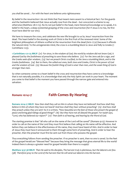*you shall be saved. .. For with the heart one believes unto righteousness*

By belief in the resurrection I do not think that Paul meant mere assent to a historical fact. For the guards and the Sanhedrin believed that Jesus actually rose from the dead – but concocted a scheme to say otherwise (Matthew 28:11-15). No its not just belief in the head, mere historical knowledge so to speak, it is belief in the heart, a deep existential grasping of the cross and resurrection (for if Jesus is to rise, He first must have died for our sins).

We have to treasure the cross, and celebrate the new life brought to us by Jesus' resurrection from the dead. This heart belief in the atoning work of Christ is the first fruit of the renewed mind. Some of the brightest philosophers of Athens scoffed at the resurrection from the dead (Acts 17:32) because it offends the natural mind. To the unregenerate mind, the cross is a stumbling block to Jews and folly to Greeks (1 Corinthians 1:23).

**1 Corinthians 1:21-25 MKJV** *(21) For since, in the wisdom of God, the world by wisdom did not know God, it pleased God by the foolishness of preaching to save those who believe. (22) For the Jews ask for a sign, and the Greeks seek after wisdom; (23) but we preach Christ crucified, to the Jews a stumbling block, and to the Greeks foolishness. (24) But to them, the called-out ones, both Jews and Greeks, Christ is the power of God and the wisdom of God. (25) Because the foolish thing of God is wiser than men, and the weak thing of God is stronger than men.*

So when someone comes to a heart belief in the cross and resurrection they have come to a knowledge that is not naturally possible, it is a knowledge that only the Holy Spirit can work in your heart. The moment you come to that belief is the moment you have passed through the narrow gate and entered into salvation.

### *Romans 10:14-17* **Faith Comes By Hearing**

**Romans 10:14-17 MKJV** *How then shall they call on Him in whom they have not believed? And how shall they believe in Him of whom they have not heard? And how shall they hear without preaching? (15) And how shall they preach unless they are sent? As it is written, "How beautiful are the feet of those who preach the gospel of peace and bring glad tidings of good things!" (16) But they have not all obeyed the gospel. For Isaiah says, "Lord, who has believed our report?" (17) Then faith is of hearing, and hearing by the Word of God.*

The starting premise is that "all who call on the name of the Lord will be saved" (Romans 9:13). However in order to call on the name of the Lord they must first believe that calling on His name will be effective. And before they can believe in the effectiveness of His name, they must have heard of Him. And in order to hear of Jesus they must have it announced to them through some form of preaching. And in order to hear the preacher, then the preacher must first be sent out from those who possess the gospel.

Thus everything follows from sending the preacher. If no preacher is sent, then no one is saved. So the feet of the gospel herald are "blessed feet" because they bring the message that gives eternal life to the world! Indeed there is always a greater need for gospel heralds than there is a supply!

**Matthew 9:37-38 MKJV** *Then He said to His disciples, The harvest truly is plenteous, but the laborers are few. (38) Therefore pray to the Lord of the harvest that He will send out laborers into His harvest.*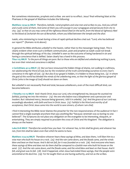But sometimes missionaries, prophets and scribes are sent to no effect. Jesus' final withering blast at the Pharisees in the gospel of Matthew includes the following:

**Matthew 23:34-35 MKJV** *Therefore, behold, I send prophets and wise men and scribes to you. And you will kill and crucify some of them. And some of them you will scourge in your synagogues and persecute from city to city; (35) so that on you may come all the righteous blood shed on the earth, from the blood of righteous Abel to the blood of Zechariah the son of Berachiah, whom you killed between the temple and the altar.*

Isaiah, who ministering to Israel during a time of rapid spiritual decline cried out: *"Lord, who has believed our report?"* (Romans 10:16 above)

In general the Bible attributes unbelief to the hearer, rather than to the messenger being inept. This is clearly evident when even such a brilliant communicator, poet and prophet as Isaiah could not break through the spiritual lethargy of his day. Unbelief is seen as the outcome of being hardened in sin and having a conscience that is defiled. Satan clearly has a hand in this process.

**Titus 1:15 MKJV** *To the pure all things are pure. But to those who are defiled and unbelieving nothing is pure, but even their mind and conscience is defiled.*

**2 Corinthians 4:2-4 MKJV** *(2) But we have renounced the hidden things of shame, not walking in craftiness, nor adulterating the Word of God, but by the revelation of the truth commending ourselves to every man's conscience in the sight of God. (3) But also if our gospel is hidden, it is hidden to those being lost, (4) in whom*  the god of this world has blinded the minds of the unbelieving ones, so that the light of the glorious gospel of *Christ (who is the image of God) should not dawn on them.*

But unbelief is not necessarily final and total, because unbelievers, even of the most difficult kind, can become believers:

**1 Timothy 1:12-15 MKJV** *And I thank Christ Jesus our Lord, who strengthened me, because He counted me faithful, putting me into the ministry-- (13) the one who before was a blasphemer and a persecutor and insolent. But I obtained mercy, because being ignorant, I did it in unbelief.* (14) And the grace of our Lord was *exceedingly abundant, with faith and love in Christ Jesus. (15) Faithful is the Word and worthy of all acceptance, that Christ Jesus came into the world to save sinners, of whom I am chief.*

I find it interesting the Bible never blames the preacher for the non-responsiveness of the audience! In fact I cannot find a single example anywhere that says anything like "because Jeremiah was so boring no one believed". The Scriptures do not place any obligation on the evangelist to be interesting, eloquent, or entertaining. They are simply required to proclaim the cross of Christ and His Kingdom! The obligation is always on the hearer:

**Luke 8:18 MKJV** *Therefore be careful how you hear. For whoever has, to him shall be given; and whoever has not, from him shall be taken even that which he seems to have.*

**Matthew 7:24-29 MKJV** *Therefore whoever hears these sayings of Mine, and does them, I will liken him to a wise man who built his house on a rock. (25) And the rain came down, and the floods came, and the winds blew and beat on that house. And it did not fall, for it was founded on a rock. (26) And everyone who hears these sayings of Mine and does not do them shall be compared to a foolish man who built his house on the sand. (27) And the rain came down, and the floods came, and the wind blew and beat on that house. And it fell, and great was its fall. (28) And it happened, when Jesus had ended these sayings, that the people were astonished at His doctrine. (29) For He taught them as one having authority, and not as the scribes.*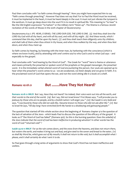Paul then concludes with "so faith comes through hearing". Now you might have expected him to say "faith comes through preaching". However Paul does not say that! For to Paul the Word must be received, it must be implanted in the heart, it must be heard deeply in the soul. It must not just vibrate the tympani in the eardrum. It must go deep down into the soul if it is to result in spiritual life. This meaning to "to hear" is like the Old English expression "to harken" or the military term "listen up". The Shema is a famous Jewish recitation of the words of Moses in the sixth chapter of Deuteronomy:

Deuteronomy 6:4-7 JPS *HEAR, O ISRAEL: THE LORD OUR GOD, THE LORD IS ONE. (5) And thou shalt love the LORD thy God with all thy heart, and with all thy soul, and with all thy might. (6) And these words, which I command thee this day, shall be upon thy heart; (7) and thou shalt teach them diligently unto thy children, and shalt talk of them when thou sittest in thy house, and when thou walkest by the way, and when thou liest down, and when thou risest up.*

So faith comes by hearing, by listening with the inner man, by harkening with the conscience (which is where we know truth), and by attending with one's entire soul to who God is and to what God says – and especially to the gospel.

Paul concludes with "and hearing by the Word of God". The Greek for "word" here is rhema or utterance and means primarily the preached or spoken word of the prophets or the gospel messenger, the preached word. It is the immediate verbal uttered word of God encountering the person. Our souls are opened up to hear when the preacher's word comes to us - we are awakened, we listen deeply and we grow in faith. It is the proclaimed word of God that opens the ear, and not the word sitting idle in a book on a shelf.

#### *Romans 10:18-21* **But ........Have They Not Heard?**

**Romans 10:18-21 MKJV** *But I say, Have they not heard? Yes indeed, their voice went out into all the earth, and their words to the end of the world. (19) But I say, Did not Israel know? First Moses says, "I will provoke you to jealousy by those who are no people, and by a foolish nation I will anger you." (20) But Isaiah is very bold and says, "I was found by those who did not seek Me, I became known to those who did not ask after Me." (21) But to Israel He says, "All day long I have stretched forth My hands to a disobeying and gainsaying people."*

The question that started off this whole section since the beginning of Romans chapter 9 is the question of the lack of salvation of the Jews - which leads Paul to discuss the question of the efficacy of the gospel. It looks as if "the Word of God has failed" (Romans 9:6). So this is the burning question: *Does the unbelief of the Jews indicate that the word of God has been ineffective in producing salvation?* In other words has the word of God "returned void" ?

**Isaiah 55:10-11 MKJV** *For as the rain comes down, and the snow from the heavens, and does not return there, but waters the earth, and makes it bring out and bud, and give seed to the sower and bread to the eater; (11)*  so shall My Word be, which goes out of My mouth; it shall not return to Me void, but it shall accomplish what I *please, and it shall certainly do what I sent it to do.*

So Paul goes through a long series of arguments to show that God's Word has not been ineffective and useless.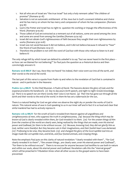- 1. Not all who are of Israel are "the true Israel" but only a holy remnant called "the children of promise" (Romans 9:1-8)
- 2. Salvation is not an automatic entitlement of the Jews but is God's covenant initiative and choice and He has mercy on whom He has mercy and compassion of whom He has compassion. (Romans 9:9-18)
- 3. God is the Potter and Israel has no right to question His working or impugn the effectiveness of His Word. (Romans 9:19-26)
- 4. Those called of God are extracted as a remnant out of all nations, some are saved among the Jews and some are saved from among the Gentiles (Romans 9:24-29)
- 5. Israel did not obtain God's righteousness of faith because they sought their own righteousness by works (Romans 9:30-10:8)
- 6. Israel was not saved because it did not believe, and it did not believe because it refused to "hear" the Word of God (Romans 10:9-17)
- 7. Therefore the problem is not with the word of God but with those who refuse to listen to it and believe it!

The only refuge left by which Israel can defend its unbelief is to say "but we never heard in the first place – so how can we blamed for not believing?" So Paul puts the question as a rhetorical device and then convincingly answers it:

**Romans 10:18 MKJV** *But I say, Have they not heard? Yes indeed, their voice went out into all the earth, and their words to the end of the world.*

The last part of this verse is a quote from Psalm 19 and refers to the revelation of God that is contained in nature - and in particular in the Heavens:

**Psalms 19:1-4 MKJV** *To the Chief Musician. A Psalm of David. The heavens declare the glory of God; and the expanse proclaims His handiwork. (2) Day to day pours forth speech, and night to night reveals knowledge. (3) There is no speech nor are there words; their voice is not heard. (4) Their line has gone out through all the earth and their words to the end of the world. In them He has set a tabernacle for the sun,*

There is a natural feeling for God we get when we observe the night sky or ponder the works of God in nature. This natural sense of awe is God speaking to us in our inner self and in fact it is so loud and clear that sinful mankind has had to actively repress it:

**Romans 1:18-23 MKJV** *For the wrath of God is revealed from Heaven against all ungodliness and unrighteousness of men, who suppress the truth in unrighteousness, (19) because the thing which may be known of God is clearly revealed within them, for God revealed it to them. (20) For the unseen things of Him from the creation of the world are clearly seen, being realized by the things that are made, even His eternal power and Godhead, for them to be without excuse. (21) Because, knowing God, they did not glorify Him as God, neither were thankful. But they became vain in their imaginations, and their foolish heart was darkened. (22) Professing to be wise, they became fools (23) and changed the glory of the incorruptible God into an image made like corruptible man, and birds, and four-footed animals, and creeping things.*

Note the emphasis Paul puts on this clarity of natural revelation: "clearly revealed with them" , "for God clearly revealed it to them" , "the unseen things...are clearly seen..even His eternal power and Godhead", "for them to be without excuse". There is no excuse for anyone because God testifies to use both in nature and within our souls, about His eternal power and Godhead. Revelation calls this the "eternal gospel" which will be preached in Tribulation times when all other access to the gospel seems to have been prevented: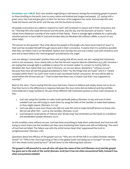**Revelation 14:6-7 MKJV** *And I saw another angel flying in mid-heaven, having the everlasting gospel to preach to those dwelling on the earth, even to every nation and kindred and tongue and people, (7) saying with a great voice, Fear God and give glory to Him! For the hour of His judgment has come. And worship Him who made the heaven and the earth, and the sea, and the fountains of waters.*

All people everywhere are called to respond to God's self-revelation in nature and in their conscience and to: "W*orship Him who made the heaven and the earth, and the sea, and the fountains of waters."* and to refrain from idolatrous worship of the works of their hands. There is enough light available for a spiritually sensitive person to have faith in God and forsake idols (as Abraham did without a Bible, a church or any other help).

The answer to the question "But what about the people in the jungle who have never heard of Jesus" is that God has revealed Himself through nature and in their conscience. It seems that it is somehow possible that they can follow God in an Abrahamic fashion and worship the one true Creator God with reverence and awe and at least believe the 'eternal gospel' proclaimed by the angel.

I am *not* taking a 'universalist' position here and saying that all are saved, nor am I saying that missionary work is not necessary. Jesus clearly tells us that the Harvest requires laborers (Matthew 9:37,38). However I am saying that enough light is available in nature for an honest seeker to connect to God by faith as Abraham did. Paul makes that very clear in Romans 1 as we saw above. Mankind is "without excuse", because they have all had the gospel proclaimed to them "by the things that are made" and it is "clearly revealed within them" by God's inner work in each sensitized human conscience. No one will be able to stand before the throne and say " I had no idea that there was a Creator God that I was supposed to worship".

Back to the Jews.. Paul is saying that the Jews had every chance to believe and simply chose not to do so! Paul then turns to the difference in response between the Jews (who did not believe) and the Gentiles (who believed in large numbers). He uses three different Old Testament quotes to show God's purposes in this:

- 1. God was using the Gentiles to make Israel spiritually jealous (Romans 10:19); and even in their unbelief God was still trying to reach them by using the faith of the Gentiles to make them jealous so they might repent. (Romans 11:11-14)
- 2. God was able to save even those who did not seek Him and to make Himself known to those who did not ask after Him – such as the Gentiles. (Romans 10:20)
- 3. God had given Israel plenty of chances and 'all day long' had stretched out His hands to a stubborn and disobedient people (Romans 10:21)

So the Israelites were without excuse. God had done everything to help them understand, and God was still trying to reach them (via the Gentiles) yet they were hardening their hearts and still not believing. The word of God had *not* failed. The failure was with the sinful human heart that 'suppressed the truth in unrighteousness' (Romans 1:18).

Questions about the efficacy of the gospel such as: "Why are not all the folk in so-called Christian nations saved?" *Or* "Why is the church growing so fast in the global South and dying out in Europe?" *Or even* "Why isn't the whole world saved by now?" all boil down to the following basic answer:

**The gospel is still powerful to save all who call upon the name of the Lord (Romans 10:13) and the gospel has gone out to the ends of the world (Romans 10:18) but it has not often encountered faith, instead it has often encountered unbelief.**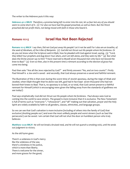The writer to the Hebrews puts it this way:

**Hebrews 4:1-2 MKJV** *Therefore, a promise being left to enter into His rest, let us fear lest any of you should seem to come short of it. (2) For also we have had the gospel preached, as well as them. But the Word preached did not profit them, not being mixed with faith in those who heard it.*

#### *Romans 11:1-5* **Israel Has Not Been Rejected**

**Romans 11:1-5 MKJV** *I say then, Did not God put away His people? Let it not be said! For I also am an Israelite, of the seed of Abraham, of the tribe of Benjamin. (2) God did not thrust out His people whom He foreknew. Or do you not know what the Scripture said in Elijah, how he pleaded with God against Israel, saying, (3) "Lord, they killed Your prophets and dug down Your altars, and I am left alone, and they seek my life." (4) But what does the Divine answer say to him? "I have reserved to Myself seven thousand men who have not bowed the knee to Baal." (5) Even so then, also in this present time a remnant according to the election of grace has come into being.*

Paul then asks "Are all the Jews rejected by God?" and firmly answers "No, and on two counts". Firstly Paul himself is a Jew and is saved - and secondly, that God always preserves a saved and faithful remnant.

The illustration of this is that even during the worst time of Jewish apostasy, during the reign of Ahab and Jezebel, when Elijah thought that he alone was left, god had in fact kept seven thousand who had not bowed their knees to Baal. That is, no apostasy is so bad, or so total, that God cannot preserve a faithful remnant for Himself (which is encouraging news given the falling away from the standards of godliness we see today!)

Paul says emphatically: *God did not thrust out His people whom He foreknew.* Paul always sees God as coming into the world to save sinners. The gospel is more inclusive than it is exclusive. The New Testament is full of terms such as "everyone ", "whosoever", and "all" making out that salvation, prayer and the Holy Spirit are widely available by faith to all genders, classes, ethnicities, and language groups.

So we can see that God's salvation is more inclusive (including of others into the family of God) that exclusive (shutting people out ) and even the most unlikely people and worst sinners (such as Saul the persecutor) can be saved. I am certain that God will not shut the door on humblest person who truly believes:

**Matthew 12:20 MKJV** *He will not break a bruised reed, and He will not quench a smoking wick, until He sends out judgment to victory.*

As the old hymn goes:

There's a wideness in God's mercy like the wideness of the sea; there's a kindness in his justice, which is more than liberty. There is welcome for the sinner, and more graces for the good;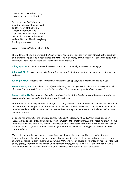there is mercy with the Savior; there is healing in his blood.....

For the love of God is broader than the measure of man's mind; and the heart of the Eternal is most wonderfully kind. If our love were but more faithful, we should take him at his word; and our life would be thanksgiving for the goodness of the Lord.

Words: Frederick William Faber, 1862;

The wideness of God's mercy and the "narrow gate" seem ever at odds with each other, but the condition of mercy is calling on God in repentance and faith. The wide mercy of "whosoever" is always coupled with a conditional verb such as: "calls on", "believes" or "confesses":

**John 3:15 MKJV** *so that whosoever believes in Him should not perish, but have everlasting life.*

**John 12:46 MKJV** *I have come as a Light into the world, so that whoever believes on Me should not remain in darkness.*

**1 John 4:15 MKJV** *Whoever shall confess that Jesus is the Son of God, God dwells in him and he in God.*

**Romans 10:12-13 MKJV** *For there is no difference both of Jew and of Greek, for the same Lord over all is rich to all who call on Him. (13) For everyone, "whoever shall call on the name of the Lord will be saved."*

**Romans 1:16 MKJV** *For I am not ashamed of the gospel of Christ, for it is the power of God unto salvation to everyone who believes, to the Jew first and also to the Greek.*

Therefore God did not reject the Israelites, in fact if any of them repent and believe they will most certainly be saved. They are His people, who He foreknew. God has attached himself to Israel but Israel through its unbelief has detached itself from God. Yet even this refractory stubbornness is not final - for God is able to rescue a remnant:

*Or do you not know what the Scripture said in Elijah, how he pleaded with God against Israel, saying, (3) "Lord, they killed Your prophets and dug down Your altars, and I am left alone, and they seek my life." (4) But what does the Divine answer say to him? "I have reserved to Myself seven thousand men who have not bowed the knee to Baal." (5) Even so then, also in this present time a remnant according to the election of grace has come into being.*

My great-grandmother was from an exceedingly wealthy Jewish family and became a Christian as a teenager, through the witness of her nanny. Later she married a Scottish doctor and went as a missionary to China alongside Hudson Taylor and his famous "70". She was of course disinherited by her family for this! So my great-grandmother was part of God's remnant among the Jews. There will always be some Jews who find faith in Jesus Christ for the sake of His promises with Abraham, Isaac and Jacob.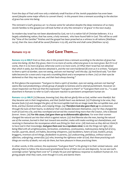From the days of Paul until now only a relatively small fraction of the Jewish population has even been saved (despite some major efforts to convert them) - *in this present time a remnant according to the election of grace has come into being.*

This remnant is God's gracious act to choose some for salvation despite the deep resistance of so many Jewish families to the gospel (we will look further at why this remnant is 'of grace' in the next study).

So modern-day Israel has not been abandoned by God, nor is it a nation full of Christian believers. It is a largely unbelieving nation, that has some, a holy remnant, who have found faith in God. This will be so until the "time of the Gentiles" finishes and the gospel has been preached as a witness to all nations (Matthew 24:14), then the Jews shall all be saved (Romans 11:25-28), and the end shall come (Matthew 24:14).

#### *Romans 11:5-10* **God Gave Them.....**

**Romans 11:5-10 MKJV** *Even so then, also in this present time a remnant according to the election of grace has come into being. (6) But if by grace, then it is no more of works; otherwise grace is no more grace. But if it is of works, then it is no more of grace; otherwise work is no more work. (7) What then? Israel has not obtained that which it seeks, but the election obtained it, and the rest were hardened (8) even as it is written, "God gave to them a spirit of slumber, eyes not seeing, and ears not hearing" until this day. (9) And David said, "Let their table become for a snare and a trap and a stumbling block and a recompense to them. (10) Let their eyes be darkened so that they may not see, and their back always bowing."*

At first glance the expression: *"God gave to them a spirit of slumber, eyes not seeing, and ears not hearing"*  seems like God predestining a whole group of people to lostness and to eternal punishment. However on closer inspection we find out that the expression "God gave to them" or "God gave them over to..." is used elsewhere in Romans to refer to God's reluctant reaction to persistent unrepentant human sin:

**Romans 1:21-32 MKJV** *(21) Because, knowing God, they did not glorify Him as God, neither were thankful. But they became vain in their imaginations, and their foolish heart was darkened. (22) Professing to be wise, they became fools (23) and changed the glory of the incorruptible God into an image made like corruptible man, and birds, and four-footed animals, and creeping things. (24) Therefore God also gave them up to uncleanness through the lusts of their hearts, to dishonor their own bodies between themselves. (25) For they changed the truth of God into a lie, and they worshiped and served the created thing more than the Creator, who is blessed forever. Amen. (26) For this cause, God gave them up to dishonorable affections. For even their women changed the natural use into that which is against nature. (27) And likewise also the men, leaving the natural use of the woman, burned in their lust toward one another; males with males working out shamefulness, and receiving in themselves the recompense which was fitting for their error. (28) And even as they did not think fit to have God in their knowledge, God gave them over to a reprobate mind, to do the things not right, (29) being filled with all unrighteousness, fornication, wickedness, covetousness, maliciousness; being full of envy, murder, quarrels, deceit, evil habits, becoming whisperers, (30) backbiters, haters of God, insolent, proud, braggarts, inventors of evil things, disobedient to parents, (31) undiscerning, perfidious, without natural affection, unforgiving, unmerciful; (32) who, knowing the righteous order of God, that those practicing such things are worthy of death, not only do them, but have pleasure in those practicing them.*

In other words, in this context, the expression "God gave them" is His giving in to their wicked natures - and allowing them to follow the downward gravitational force of their own sin and depravity. So we see God's sovereign action "giving them over to" is simply His just and righteous response to stubborn human sin. It is giving people what they want, even though it is evil, and damns them: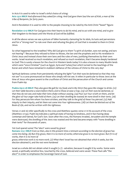In Acts it is used to refer to Israel's sinful choice of a king:

**Acts 13:21 MKJV** *And afterward they asked for a king. And God gave them Saul the son of Kish, a man of the tribe of Benjamin, for forty years.*

And in Revelation it is used to refer to the people choosing to be ruled by the Anti-Christ "beast" figure:

**Revelation 17:17 MKJV** *For God gave into their hearts to do his mind, and to act with one mind, and to give their kingdom to the beast until the Words of God will be fulfilled.*

In all the above verses we see a picture of fallen humanity clamoring for its idols, its lusts and perversions and for a "strong man" to rule over them and refusing the glory of God that is revealed to them in Christ Jesus.

So what happened to the Israelites? Why did God give to them *"a spirit of slumber, eyes not seeing, and ears not hearing"* ? Because they refused to listen to Moses, the law and the prophets and to His revelation in Christ Jesus and instead chose their own laws and the rules of men, justifying themselves by their own works. Israel received so much revelation, and refused so much revelation, that it became deeply hardened to God! This is surely a lesson for the church in Western lands today! It is also a lesson to many Muslim lands which were "once Christian" (such as Egypt, Syria and Turkey) but which turned to the teachings of the Koran and which have remained in stubborn defiance of the witness of Christ to this very day!

Spiritual darkness comes from persistently refusing the light! "*Let their eyes be darkened so that they may not see"* is a curse pronounced on those who simply will not see. It refers in particular to those Jews at the time of Jesus who gave assent to the crucifixion of Christ and the persecution of the Church and comes from Psalm 69:

**Psalms 69:21-28 MKJV** *They also gave Me gall for my food; and in My thirst they gave Me vinegar to drink. (22) Let their table become a snare before them; and to those at ease a trap. (23) Let their eyes be darkened, so that they do not see; and make their loins shake without ceasing. (24) Pour out Your wrath on them, and let the glow of Your anger take hold of them. (25) Let their dwelling be wasted; let none dwell in their tents. (26) For they persecute him whom You have stricken, and they talk to the grief of those You pierced. (27) Add iniquity to their iniquity, and let them not come into Your righteousness. (28) Let them be blotted out of the Book of Life, and not be written with the righteous.*

Verses 21 and 26 refer specifically to the cross and Matthew quotes verse 21 in his account of the cross (Matthew 27:34). Psalm 69 indicates a spiritual state of having no kindness, and in fact having deep contempt and hatred, for God's Son. Soon after the cross, the Romans invaded, Jerusalem and the temple were destroyed, the dwelling of the Jews was wasted and the land became empty with "none dwelling in their tents" for thousands of years.

Yet God spared some! The 'elect' were saved by grace!

**Romans 11:5-7 MKJV** *Even so then, also in this present time a remnant according to the election of grace has come into being. (6) But if by grace, then it is no more of works; otherwise grace is no more grace. But if it is of works, then it is no more of*

*grace; otherwise work is no more work. (7) What then? Israel has not obtained that which it seeks, but the election obtained it, and the rest were hardened*

Israel as a whole did not obtain what it sought (v.7) - salvation, because it sought it by works. Some were saved, a spiritually sensitive few, touched by the cross, believed and were saved. These Paul calls "the elect" in order to emphasize the Sovereign hand of God.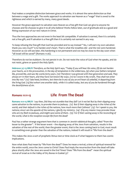Paul makes a complete distinction between grace and works. It is almost the same distinction as that between a wage and a gift. The works approach to salvation see Heaven as a "wage" that is owed to the righteous and which is earned by many, many good deeds.

However the grace approach to salvation sees Heaven as a free gift that God can give to anyone He chooses and He chooses to give it to all who believe! Works follow later, out of gratitude and as a good and fitting expression of our new nature in Christ.

Thus the two approaches are not even in the least bit compatible. If salvation is earned, then it is certainly not a free gift, and if salvation is a free gift then it is certainly not earned in any way.

To keep refusing the free gift that God has provided and to say instead " No, I will earn my own salvation thank you very much" is to harden one's heart. That is what the Israelites did - *and the rest were hardened.*  However as we will see later, this hardening is not permanent and we may be close to the day soon when "all Israel will be saved" (Romans 11:26).

Therefore do not be stubborn. Do not persist in sin. Do not resist the voice of God when He speaks, and do not resist, grieve or quench the Holy Spirit.

**Hebrews 3:7-13 MKJV** *Therefore, as the Holy Spirit says, "Today if you will hear His voice, (8) do not harden your hearts, as in the provocation, in the day of temptation in the wilderness, (9) when your fathers tempted Me, proved Me, and saw My works forty years. (10) Therefore I was grieved with that generation and said, They always err in their heart, and they have not known My ways. (11) So I swore in My wrath, They shall not enter into My rest." (12) Take heed, brothers, lest there be in any of you an evil heart of unbelief, in departing from the living God. (13) But exhort one another daily, while it is called today, lest any of you be hardened through the deceitfulness of sin.*

#### *Romans 11:11-15* **Life From The Dead**

**Romans 11:11-15 MKJV** *I say then, Did they not stumble that they fall? Let it not be! But by their slipping away came salvation to the nations, to provoke them to jealousy. (12) But if their slipping away is the riches of the world, and their default is the riches of the nations, how much more their fullness? (13) For I speak to you, the nations; since I am the apostle of the nations, I glorify my ministry; (14) if by any means I may provoke those*  who are my flesh to jealousy, and might save some of them. (15) For if their casting away is the reconciling of *the world, what is the reception except life from the dead?*

Paul has a rather strange argument here that is common in Jewish rabbinical thought, called "from the lesser to the greater". If the lesser event – the slipping away of the Jews from salvation, results in the salvation of the rest of the world, then the greater event, that is the Jews coming back to God, must result in something even greater than the salvation of the nations, indeed it will result in "life from the dead".

This makes the Jews a sort of prophetic litmus test or time clock as if what happens to them has cosmic implications.

Now what does Paul mean by "life from the dead"? Does he mean a revival, a time of spiritual renewal for the entire world, once the Jews come to Christ? Does Paul imply the resurrection from the dead will take place shortly after the Jews are saved in the End Times? Does "life from the dead" mean the spiritual revival of Israel as in the Valley of Dry Bones in Ezekiel 37?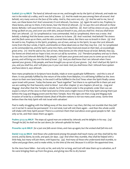**Ezekiel 37:1-14 MKJV** *The hand of Jehovah was on me, and brought me by the Spirit of Jehovah, and made me rest in the midst of a valley, and it was full of bones. (2) And He made me pass among them all around. And behold, very many were on the face of the valley. And lo, they were very dry. (3) And he said to me, Son of man, can these bones live? And I answered, O Lord Jehovah, You know. (4) Again He said to me, Prophesy to these bones, and say to them, O dry bones, hear the Word of Jehovah. (5) So says the Lord Jehovah to these bones: Behold, I will cause breath to enter into you, and you shall live.* (6) And I will lay sinews on you, and will *bring up flesh on you, and cover you with skin, and put breath in you, and you shall live. And you shall know that I am Jehovah. (7) So I prophesied as I was commanded. And as I prophesied, there was a noise. And behold, a shaking! And the bones came near, a bone to its bone. (8) And I watched. And behold! The sinews and the flesh came up on them, and the skin covered them above. But there was no breath in them. (9) And He said to me, Prophesy to the Spirit, prophesy, son of man, and say to the Spirit, So says the Lord Jehovah: Come from the four winds, O Spirit, and breathe on these dead ones so that they may live. (10) So I prophesied as He commanded me, and the Spirit came into them, and they lived and stood on their feet, an exceedingly great army. (11) And He said to me, Son of man, these bones are the whole house of Israel. Behold, they say, Our bones are dried and our hope is lost; we are cut off by ourselves.* (12) Therefore prophesy and say to them, *So says the Lord Jehovah: Behold, O My people, I will open your graves and cause you to come up out of your graves, and will bring you into the land of Israel. (13) And you shall know that I am Jehovah when I have opened your graves, O My people, and have brought you up out of your graves. (14) And I shall put My Spirit in you, and you shall live, and I will place you in your own land. And you shall know that I Jehovah have spoken and have done it, says Jehovah.*

Now many prophecies in Scripture have double, triple or even quadruple fulfillments – and this is one of them. It was partially fulfilled by the return of the exiles from Babylon, it is still being fulfilled as the Jews return to their own land today. In the end it will be fulfilled in the End Times when the Spirit finally comes upon Israel with power. Today the bones are "back together" but there is no spiritual life in them yet and we are waiting for that heavenly wind to blow! Just after chapter 37 are chapters 38 and 39 – Gog and Magog! And after that the Temple is rebuilt. So if the Ezekiel order is the prophetic order then we can expect a return of the Jews to their land and to Christ and a might move of the Holy Spirit among them just before the Gog and Magog event and the New Temple. Now the signs are that a Gog and Magog style invasion of Israel by a combined Islamic jihad of Muslim nations is not too many years away. Some time before then the Holy Spirit will visit Israel with salvation!

Paul is really struggling with the falling away of the Jews here: *I say then, Did they not stumble that they fall? Let it not be!* It cannot be permanent! It is not total, God will visit them again – and then the whole world will shake with Holy Spirit power! There is a common them that God allows even good people to fall – but only so far, and then raises them up again:

**Psalms 37:23-24 MKJV** *The steps of a good man are ordered by Jehovah; and He delights in his way. (24) Though he fall, he shall not be cast down; for Jehovah upholds his hand.* 

**Proverbs 24:16 MKJV** *for a just one falls seven times, and rises up again; but the wicked shall fall into evil.*

**Daniel 11:33-35 MKJV** *And those who understand among the people shall teach many; yet they shall fall by the sword, and by flame, by exile, and spoil, for days. (34) And when they stumble, they shall be helped with a little help, but many will join them, with hypocrisy. (35) And many of those who understand shall stumble, to refine and purge them, and to make white, to the time of the end. Because it is still for the appointed time.*

So the Jews have fallen – but only so far, and only for so long, and God will raise them up to salvation, as if He were bringing them up from the grave, and giving new life to dry bones!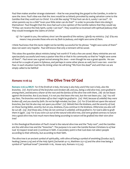Paul then makes another strange statement – that he was preaching the gospel to the Gentiles, in order to save the Jews. Paul's idea was that the Jews would be so bitterly provoked by seeing salvation come to the Gentiles that they wold turn to Christ! It is a bit like saying "If that fool can do it, surely I can too!". Or when parents say to a child "even your little sister can do that!" in order to provoke them into doing it themselves! Paul thought that the Jews had such a low opinion of the Gentile nations that they would say "if they can receive the Holy Spirit, surely I can too!". They would be so incensed with spiritual jealousy that they would investigate the claims of Christ!

*13) For I speak to you, the nations; since I am the apostle of the nations, I glorify my ministry; (14) if by any means I may provoke those who are my flesh to jealousy, and might save some of them.*

I think Paul knew that this tactic might not be terribly successful for his phrase "might save some of them" does not seem very hopeful. Paul still knows that only a remnant will be saved.

This raises the question about ministry being 'not worth it' if only a few are saved. Many ministries are not spectacularly successful and many a pastor tries this or that in his community so that he "might save some of them". Paul never saw a great revival among the Jews – even though he was a great apostle. He saw revival for a couple of years in Ephesus, and perhaps in some other places as well, but it was rare - even for Paul. In each situation God has His timing when He will bring "life from the dead" and until then we are simply called to be faithful!

### *Romans 11:16-24* **The Olive Tree Of God**

**Romans 11:16-24 MKJV** *For if the firstfruit is holy, the lump is also holy; and if the root is holy, also the branches. (17) And if some of the branches were broken off, and you, being a wild olive tree, were grafted in among them, and became a sharer of the root and the fatness of the olive tree with them, (18) do not boast against the branches. But if you boast, it is not you that bears the root, but the root bears you. (19) You will say then, The branches were broken off so that I might be grafted in. (20) Well, because of unbelief they were broken off, and you stand by faith. Do not be high-minded, but fear.* (21) For if God did not spare the natural *branches, fear lest He also may not spare you either! (22) Behold then the kindness, and the severity of God; on those having fallen, severity; but on you, kindness, if you continue in the kindness. Otherwise you also will be cut off. (23) And those also, if they do not continue in unbelief, will be grafted in. For God is able to graft them in again. (24) For if you were cut out of the natural wild olive tree, and were grafted contrary to nature into a good olive tree; how much more these being according to nature will be grafted into their own olivetree?*

In this theological illustration of Paul's Israel is the natural olive tree and the "holy root", and the Gentiles are the wild olive tree and the "branches". The purpose is to warn the Gentile Roman Christians to a) fear God b) respect Israel and c) continue in faith. A secondary point is that God does not select people according to their ethnicity, but according to their faith.

The olive tree is an ancient symbol of spirituality, with olive oil being a symbol of anointing (Exodus 29:7), healing (James 5:14) and of the Holy Spirit (Zechariah 4:1-12, Matthew 25:1-13) and the olive tree being a symbol of "spiritual Israel" (Jeremiah 11:16, Hosea 14:6, Romans 11:17,24).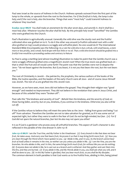Paul sees Israel as the source of holiness in the Church. Holiness spreads outward from the first part of the lump to the whole, or upwards from the root to the branches. *For if the firstfruit is holy, the lump is also holy; and if the root is holy, also the branches.* Things that were "most holy" could transmit holiness to whatever they touched:

**Exodus 29:37 MKJV** *You shall make an atonement for the altar seven days, and sanctify it. And it shall be a most holy altar. Whatever touches the altar shall be holy.* By this principle holy Israel "sanctified" the Gentiles who were grafted into the Church.

Paul's illustration is agriculturally unusual. Generally the wild olive was the sturdy root and the fruitful cultivated olive was grafted on to it. To do it the other way around (a fruitful cultivated root with a wild olive grafted on top) would produce a scraggly and unfruitful plant. No one would do it! The International Standard Bible Encyclopedia says the following: *As a rule the wild olive is but a shrub, with small leaves, a stem more or less prickly, and a small, hard drupe with but little or no oil. That a wild olive branch should be grafted into a fruitful tree would be a proceeding useless and contrary to Nature*

So Paul is using a startling (and almost insulting) illustration to make his point that the Gentile church was a mere scraggly offshoot grafted onto a magnificent Jewish root! When the true stock was grafted back on – that is when the fruit and oil would come forth! The point was that the Gentiles were not to despise the Jews -"*do not boast against the branches. But if you boast, it is not you that bears the root, but the root bears you."*

The root of Christianity is Jewish – the patriarchs, the prophets, the various authors of the books of the Bible, the twelve apostles, and the leaders of the early Church were all Jews - and of course Jesus Himself was Jewish. The rest of us are grafted into this Jewish root.

However, as we have seen, most Jews did not believe the gospel. They thought their religion was "good enough" and needed no improvement. They did not believe in the revelation that came in Jesus Christ, and because of this unbelief they were "broken off".

Paul calls this "the kindness and severity of God" - *Behold then the kindness, and the severity of God; on those having fallen, severity; but on you, kindness, if you continue in the kindness. Otherwise you also will be cut off.* 

If the Gentiles refuse to believe they will meet the same fate as the Jews – falling from grace and being "cut off" from salvation. Therefore the Gentiles are not to take salvation for granted, as if it was some sort of expected right, but rather they were to walk in the fear of God: *Do not be high-minded, but fear. (21) For if God did not spare the natural branches, fear lest He also may not spare you either!* 

It is as if God is a gardener who prunes away all unfruitful branches. This aspect of God's character is also reflected in the parable of the vine-dresser in John 15:1-8

**John 15:1-8 MKJV** *I am the True Vine, and My Father is the Vinedresser. (2) Every branch in Me that does not bear fruit, He takes away. And every one that bears fruit, He prunes it so that it may bring forth more fruit. (3) Now you are clean through the Word which I have spoken to you. (4) Abide in Me, and I in you. As the branch cannot bear fruit of itself unless it remains in the vine, so neither can you unless you abide in Me. (5) I am the Vine, you are the branches. He who abides in Me, and I in him, the same brings forth much fruit; for without Me you can do nothing. (6) If anyone does not abide in Me, he is cast out as a branch and is withered. And they gather and cast them into the fire, and they are burned. (7) If you abide in Me, and My Words abide in you, you shall ask what you will, and it shall be done to you. (8) In this My Father is glorified, that you bear much fruit, so you shall be My disciples.* The common element in both parables is that God wants us to live fruitful lives, abiding in Him, being joined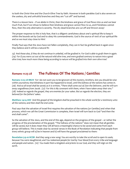to both the Christ-Vine and the Church-Olive Tree by faith. However in both parables God is also severe on the useless, dry and unfruitful branches and they are "cut off" and burned.

There is a lesson here – if we abide in Christ, then the kindness and grace of God flows into us and we bear much fruit, but if we refuse to believe then kindness and grace cannot flow to us, and if kindness cannot flow, then the only alternative is severity. The dry dead branches are cut off and thrown away!

The proper response to this is holy fear, that is a diligent carefulness about one's spiritual life to keep it within the bounds set by God and to obey His commandments. God is the source of 100% of our spiritual life and so we must stay close to Him!

Finally Paul says that the Jews have not fallen completely, they can in fact be grafted back in again once they believe and it will be a natural fit:

*23) And those also, if they do not continue in unbelief, will be grafted in. For God is able to graft them in again. (24) For if you were cut out of the natural wild olive tree, and were grafted contrary to nature into a good olive tree; how much more these being according to nature will be grafted into their own olive-tree?*

### *Romans 11:25-28* **The Fullness Of The Nations / Gentiles**

**Romans 11:25-28 MKJV** *For I do not want you to be ignorant of this mystery, brothers, lest you should be wise within yourselves; that blindness in part has happened to Israel, until the fullness of the nations has comes in. (26) And so all Israel shall be saved; as it is written, "There shall come out of Zion the Deliverer, and He will turn away ungodliness from Jacob. (27) For this is My covenant with them, when I have taken away their sins." (28) Indeed as regards the gospel, they are enemies for your sakes. But as regards the election, they are beloved for the fathers' sakes.*

**Matthew 24:14 ASV** *And this gospel of the kingdom shall be preached in the whole world for a testimony unto all the nations; and then shall the end come.*

Paul says that the salvation of Israel first requires the salvation of the nations (or Gentiles) and when that process, which we call the Great Commission is complete, then Israel will turn back to God "and then the end shall come".

So the salvation of the Jews, and the end of this age, depend on the progress of the gospel – or rather the progress of the proclamation of the gospel. "The fullness of the nations" does not mean that all gentiles will be saved, but it does mean they will all have a meaningful chance to be saved and some from each group will believe. This is made clear by several verses in the Book of Revelation indicating that people from every ethnic group will a) be in heaven and b) will have the gospel proclaimed to them:

**Revelation 5:9-10 HCSB** *And they sang a new song: You are worthy to take the scroll and to open its seals; because You were slaughtered, and You redeemed people for God by Your blood from every tribe and language and people and nation. (10) You made them a kingdom and priests to our God, and they will reign on the earth.*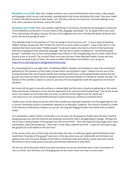**Revelation 7:9-10 HCSB** *After this I looked, and there was a vast multitude from every nation, tribe, people, and language, which no one could number, standing before the throne and before the Lamb. They were robed in white with palm branches in their hands. (10) And they cried out in a loud voice: Salvation belongs to our God, who is seated on the throne, and to the Lamb!*

**Revelation 14:6-7 HCSB** *Then I saw another angel flying in mid-heaven, having the eternal gospel to announce to the inhabitants of the earth--to every nation, tribe, language, and people. (7) He spoke with a loud voice: "Fear God and give Him glory, because the hour of His judgment has come. Worship the Maker of heaven and earth, the sea and springs of water."*

This naturally leads to the question of "how far along in the process are we". It was in 1945 Archbishop William Temple announced that "finally the Church is in every nation on earth". Later in the 1970's it was realized that there were many "hidden people" inside each nation who had no church in their particular tribe and no gospel in their particular language. This has led to today's emphasis on "unreached people groups". Estimates vary on how many groups exist without a vital, evangelizing church in their midst (from around 4,000 to 10,000). The Joshua Project now uses the term Least-Reached People Groups and says there are currently 6,505 of them. For some excellent information and statistics you can go to: <http://www.joshuaproject.net/globalstatistics.php>

It is interesting that it was right after Archbishop William Temple's proclamation in 1945 that momentum gathered for the existence of the State of Israel which was founded in 1948. I believe we are now in the overlap between the two (Present Gentile and Coming Jewish) eras, as the gospel finally reaches the last groups who have not heard and as Israel gains tenure and land and plans to rebuild its Temple one day. The fullness of the Gentiles is about to come in, and once this has happened Israel will experience revival and salvation.

But Israel will not gain its security without a colossal fight and the storm clouds are gathering as this weeks Holocaust-Denial conference in Iran and the statement of its controversial President that "Just as the Soviet Union was wiped out and today does not exist, so will the Zionist regime soon be wiped out," (see http://www.cnn.com/2006/WORLD/meast/12/12/iran.holocaust.conference.reut/index.html)

I believe that we are about to see the end of the Gentile era of gospel expansion and the beginning of a rise in Jewish Christianity (which is sometimes referred to as Messianic Judaism). The revival in Ezekiel 37 (Valley of Dry Bones) is followed by chapters 37 and 38 - the Gog and Magog invasion from lands that are Islamic today!

As a missionary I used to think it could take 20 to 120 years for the gospel to finally reach the least reached people groups, but with the Internet and amazing connectivity that is all beginning to change. Perhaps the rise of mass communication of the gospel since the end of WW2 – first with radio and then huge short-wave transmitters, and 8 Mm projectors - then with TV and video, Internet and DVD – is part of God's plan to get the gospel out to all nations in this last hour!

In the verses at the start of this study Paul describes the Jews as suffering a great spiritual blindness that made them "enemies of the gospel" and even to this day some Jews are vehemently anti-Christian and oppose even such innocent displays of the faith as Christmas trees and nativity scenes and some Jewish film directors have made some extremely anti-Christian references in their films.

We are not yet at the point where everyone has heard, nor are we anywhere near a mass conversion of Jews to Christ - but the times are a'changing and we are much closer now than we ever were.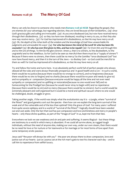### *Romans 11:28-36* **The Mercy Of God**

Mercy can only be shown to someone who needs merc**Romans 11:28-36 HCSB** *Regarding the gospel, they are enemies for your advantage, but regarding election, they are loved because of their forefathers, (29) since God's gracious gifts and calling are irrevocable. (30) As you once disobeyed God, but now have received mercy through their disobedience, (31) so they too have now disobeyed, resulting in mercy to you, so that they also now may receive mercy. (32) For God has imprisoned all in disobedience, so that He may have mercy on all. (33) Oh, the depth of the riches both of the wisdom and the knowledge of God! How unsearchable His judgments and untraceable His ways! (34) For who has known the mind of the Lord? Or who has been His counselor? (35) Or who has ever first given to Him, and has to be repaid? (36) For from Him and through Him and to Him are all things. To Him be the glory forever. Amen.*y, that is to sinners, to the disobedient, to the ungrateful and to the rebellious. So for God to be seen as merciful then there must be a "supply of sinners"! Because if there were no sinners, then there could be no mercy! So the Gentiles "once disobeyed God" but now have found mercy, and then it is the turn of the Jews – to disobey God – so God could be merciful to them as well! *For God has imprisoned all in disobedience, so that He may have mercy on all.* 

Try and follow the twists and turns here. In an absolutely perfect world full of perfect people who always obeyed all the rules and were always financially prosperous and in good health and so on – in such a world, there would be no justice (because there would be no wrongs to correct), and no forgiveness (because there would be no sins to forgive) and no charity (because there would be no poor and needy to give to) and no sympathy or compassion (because everyone would be happy all the time and not ever need sympathy or compassion) and no uplifting or restoration(because no one would ever fall) and no homecoming for the Prodigal Son (because he would never stray to begin with) and no repentance (because there would be no sin) and no mercy (because there would be no sinners). Such a world would be extremely pleasant and well organized but it would be a moral and spiritual vacuum where no one would be challenged, doubt, struggle or grow.

Taking another angle, if the world was simply what the evolutionists say it is – a jungle, where "survival of the fittest" and good genetics sort out the species - then how can we explain the long-term survival of the weak and of the vulnerable and of the less than optimal? Only the grace of God! For many years I suffered from quite severe epilepsy and in a world of "survival of the fittest" I logically should have been weeded out and cast aside. Only the fact that God has put compassion and love and kindness and mercy in people's hearts - only these divine qualities, as part of the "image of God" in us, kept me from that fate.

Everywhere we look we see weakness and sin and pain and suffering. It seems illogical – but these things are testimony to a world in which mercy is abundant. If we could all survive alone, as rugged tough individuals, without the need of anyone else, making our own way, under our own steam, then there would be no need for love or for nurture or for teamwork or for marriage or for most forms of love apart from some temporary erotic passion.

Jesus said "the poor will always be with you" - the poor are always there to draw compassion, love and justice out of our hearts - just as Lazarus sat at the rich man's gate to test his character each day – and to call him to repentance from selfish luxury.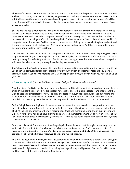The imperfections in this world are put there for a reason – to draw out the perfections that are in our heart such as compassion, love, mercy, patience, forgiveness and kindness. Once we have learned these precious spiritual lessons - then we are ready to walk on the golden streets of Heaven – but not before. We will be ready for a world "in which righteousness dwells" once we have learned how to manage graciously in one where sin dwells.

So God has allowed everyone to fall into sin and disobedience, so that He might have mercy on all, and so each of us may learn what it is to be loved unconditionally. That is He wants us to learn what it is to be loved even after we have made a complete mess of things and we cry out "Lord. Remember me when you have come into Your Kingdom" as did the dying thief. God wants us to believe in His total mercy and in His complete unconditional love. So He allows us to make a mess of things so we can be forgiven and restored. He wants to show us that His love does NOT depend on our performance. And that is a lesson He wants both Jew and Gentile to learn together.

God remains true to us when we make a complete and utter and total botch of things: *Regarding the gospel, they are enemies for your advantage, but regarding election, they are loved because of their forefathers, since God's gracious gifts and calling are irrevocable.* No matter how big a mess the Jews may make of things God still loves them because His gracious gifts and calling are irrevocable.

God's love and God's calling on your life – whether it be your calling to salvation, to the ministry, and to the use of certain spiritual gifts are irrevocable (however your "office" and realm of responsibility may be greatly reduced if you fall into moral failure). God will persist in loving you even when you have given up on yourself!

### **2 Timothy 2:13 HCSB** *if we are faithless, He remains faithful, for He cannot deny Himself.*

Now the aim of God is to build a new world based on unconditional love which is poured out into our hearts through the Holy Spirit. Now if we are to learn how to love our love must be tested – and that means the world needs to be imperfect for now. The trials and tests of love, in patient endurance and suffering and faith and hope and believing and in personal sacrifice and generosity and hard labor – these trials need a world that is "bound up in disobedience", for only a world that has fallen into sin can be redeemed!

So God's logic is not our logic and His ways are not our ways. God has so ordered things so that after we have sinned and suffered we will end up being far better people than if we had never sinned and suffered at all. At the end of our sin we will know redemption, grace and mercy and at the end of our suffering we will know faith, love, hope and have a loving and perfected character (Romans 5:1-5). Now this is not to say "so let us sin that grace may increase" (Romans 6:1-11) for God has never meant us to continue in sin, but to move beyond it to holy love.

Paul is astonished at God's method of binding all up in disobedience so that He might have mercy on all and writes: *Oh, the depth of the riches both of the wisdom and the knowledge of God! How unsearchable His judgments and untraceable His ways! (34) For who has known the mind of the Lord? Or who has been His counselor? (35) Or who has ever first given to Him, and has to be repaid?*

This messed up, demon-indwelt, sin-wracked, suffering, fallen and battered world is part of God's plan, part of His unsearchable judgments and untraceable ways. This "present evil age" will come to an end at some point once certain lessons have been learned and evil put away forever and then a new heaven and a new earth in which righteousness dwells will take its place. Age after age will go on as God perfects His people and the lesson of this age is holy and redeeming love.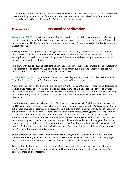None of us knows the mind of the Lord, or can tell Him how to run the Universe better. It is His, and He will make something wonderful out of it – and out of us. Because after all it is "all His" - *For from Him and through Him and to Him are all things. To Him be the glory forever. Amen.*

## *Romans 12:1,2* **Personal Sanctification**

**Romans 12:1-2 MKJV** *I beseech you therefore, brothers, by the mercies of God to present your bodies a living sacrifice, holy, pleasing to God, which is your reasonable service. (2) And do not be conformed to this world, but be transformed by the renewing of your mind, in order to prove by you what is that good and pleasing and perfect will of God.*

Having journeyed through the long theological excursus of Romans 9-11 we now get back into practical Christian living and will stay there until the end of Romans. These two verses we will examine today are among the most preached on verses in Scripture and shine a clear and concise light on what is involved in personal sanctification (or holiness).

Paul starts with our bodies, and according to him they are not evil, but are redeemable, even acceptable on God's altar and can become "holy, pleasing to God" and part of our logical and reasonable service (Gk: logiken latreian) to our Creator. In 1 Corinthians 6 Paul says:

**1 Corinthians 6:13 MKJV (13)** *Meats for the belly and the belly for meats, but God shall destroy both it and them. But the body is not for fornication, but for the Lord; and the Lord is for the body.*

Notice that the body is "for the Lord" and the Lord is "for the body". Our body is meant to be dedicated to God, and God means to indwell our bodies and sanctify them! How is God "for the body"? He loves it, indwells it, heals it, uses it for ministry and will raise it from the dead at the Last Trump! God has a big, huge plan for your body so you had better like it and had better dedicate it to Him in praise and worship and obedience.

How then do we become a "living sacrifice". Sacrifice has two meanings in English but only one in Greek and Hebrew – which confuses things a bit. In Greek and Hebrew it means something offered on an altar, an act of worship, it can be grain, corn, a dove, a sheep, a bullock, a goat – and was worked out so that even the poorest person could afford it. Sacrifice in this sense means sacred offering (sacra – sacred). Later on the meaning of painful renunciation was added with the association of the slain sheep and perhaps Abraham's sacrifice of Isaac. However in the Bible while sacrifices were supposed to cost something they were never supposed to be burdensome – so poor people were allowed to sacrifice a pigeon that cost less than a days wage (Leviticus 5:7, 12:8, 14:22, Matthew 10:29). The phrase used means "within reach of their hand" or "what they can easily afford". So the notion of "sacrificial giving" as only being good "when it hurts" is not a thoroughly biblical concept.

So the basic idea of the sacrifice is that it is simply something completely given over to God. Your body should be completely given over to God but you may not have to live in a bark hut in the Amazon jungle to be truly consecrated! You simply have to be Christ's completely, right where you are.

Consecrating the body means consecrating what your hands do, where your feet take you, what your tongue says, what your eyes see and ears hear and how your body interacts with others - including of course your sexual and moral life.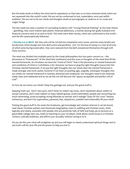But the body tends to follow the mind and its aspirations so Paul asks us to have renewed minds which are not squeezed into the world's mold. We are not be conformed to lust, materialism, envy and selfish ambition. We are not to let our minds and thoughts dwell on pornography or violence or on crude and vulgar things.

The last week has seen a number of counseling incidents with "wrong financial thinking" as the main theme – gambling, risky stock market speculation, financial addictions, a woman leaving her godly husband over financial concerns and so on and so forth. The mind went after money, mind was conformed to this world – and the life catastrophically followed:

**1 Timothy 6:9-10 MKJV** *But they who will be rich fall into temptation and a snare, and into many foolish and hurtful lusts which plunge men into destruction and perdition. (10) For the love of money is a root of all evils, of which some having lusted after, they were seduced from the faith and pierced themselves through with many sorrows.*

The mind was divided into multiple parts by the Greek philosophers but two parts concern us – the phronema or "framework" of the mind (the worldview) and the nous or thoughts of the mind that fill the mental framework. As Christians we have the "mind of Christ" that is the phronema or mental framework and worldview of Christ (1 Corinthians 2:16). However we have to plug the right thoughts (nous) into the Christian mental framework. If we put the right thoughts into our minds then the mental framework is made stronger and more useful, however if we insist on pushing ugly, ungodly, misshapen thoughts into our minds our mental framework is twisted, distorted and weakened. Our thoughts need to be renewed, made clean and redeemed and as we do this we will discover the "good, acceptable and perfect will of God".

So how do we renew our minds? Keep the garbage out, and put the good stuff in.

Keeping trash out: Don't view porn, don't listen to violent rap music, don't daydream about violent or sexual scenarios, don't read rubbish or enjoy tabloid gossip, avoid materialistic people and consuming too much advertising, avoid accepting wrong lifestyles as normal, don't indulge "Days Of Our Lives" fantasy existences, and don't let superstition, paranoia, fear, skepticism, unbelief and irrationality fill your mind!

Putting the good stuff in: Do study the Scriptures, get knowledge and wisdom wherver it can be found, read classic Christian authors and missionary biographies, isten to uplifting and Christian music, think logically and clearly, associate with people who are positively fully of faith and hope, go to lectures at a good bible college near you, listen to teaching on your CD player, think about world issues in a Christian context, cultivate boldness, and affirm your sexuality without caving in to it.

AS you do this your mind will straighten up and you will begin to clearly understand spiritual things and to see God's will for your life and His power to help you live it.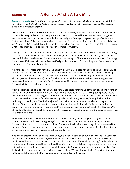## *Romans 12:3* **A Humble Mind Is A Sane Mind**

**Romans 12:3 MKJV** *For I say, through the grace given to me, to every one who is among you, not to think of himself more highly than he ought to think. But set your mind to be right-minded, even as God has dealt to every man the measure of faith.*

"Delusions of grandeur" are common among the insane, humility however seems reserved for those who have a solid grasp on life and on their place in the cosmos. Our natural human tendency is to imagine that we are much more important or more able than we really are. Some years ago at the age of 39 I decided that because I was OK at cycling when I was young I could get fit by training for a 55km road race. I did lose weight and I did get much fitter but I came dead last in the road race (I will spare you the details!). I was not what I thought I was - I did not have a "sober estimate of myself".

Lacking a sober estimate of one's abilities and importance can have much worse consequences than losing a bicycle race. It can result in repeated failure in life, in humiliation and even in bankruptcy. Occasionally it can result in death – when an officer overestimates the strength of his troops or the wisdom of his strategy. In corporate life it results in stressed out staff ad people scramble to "pick up the pieces" after someone senior promised but could not deliver.

Now that does not mean that very low self-esteem is a virtue. God does not ask us to think of ourselves as worms – but rather as children of God. Yet we are flawed and finite children of God. We have to face up to the fact that we are not all Billy Graham or Mother Teresa. We are a mixture of good and evil, and our abilities (even in the one person) range from brilliant to woeful. Someone my be a great evangelist and a hopeless administrator, or a wonderful bible teacher and hopeless pianist. And the sooner we come to terms with this – the better for all involved.

Many people want to be missionaries who are simply not gifted for living under tough conditions in foreign countries. That is no shame on them, only about 2% of people do have such a calling. Such people should breathe easy and pursue a calling that God has called them to and which He will bless them in. Others want to be bible teachers, when in fact they are very good evangelists – great at explaining the basics, but definitely not theologians. That is fine – just stick to their true calling as an evangelist and they will be blessed. Others are terrific administrators (one of the most needed giftings in the body and in shortest supply) but feel they should be "more spiritual" and insist on preaching and get hurt by the feedback. We all need a solid sense of ourselves – and of what we are, and what we are not – and the grace to accept that "we are who we are".

The human potential movement has kept telling people that they can be "anything they like". That is patent nonsense. I will never be a great cyclist no matter how hard I try. Lance Armstrong and a few thousand others will be way, way ahead of me! People want to be all sorts of things they are unsuited for because of parental pressure or peer pressure or because it is cool or out of sheer vanity. Just look at some of the odd and peculiar folk that run as political candidates!

A few years after the humiliating cycle race God gave me an illustration about the fish in the sea. Some fish are sardines and are meant be small, some are whales and are meant to be huge. A sardine the size of a whale would be out of place and a whale the size of a sardine would be similarly "wrong". God made BOTH the whale and the sardine and loves both and intended both to simply be as they are. We do not require our cats to bark or fetch the newspaper – after all they are cats! But we are not so clever about ourselves. We feel guilty because we are not super-achievers in every field. We feel that we SHOULD be slim, trim, good looking, and able to run the four minute mile while doing Tensor Calculus.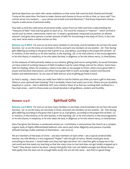Spiritual objectives can clash with career ambitions so that some folk want be both Ghandi and Donald Trump at the same time. We have to make choices and choose to focus on this or that, as Jesus said "You cannot server two masters, .....you cannot serve both God and Mammon." And those important choices require a solid sense of personal reality.

Paul tells us that the solid sense of personal reality comes from our faith and from understanding the "measure of faith" that God has given to each of us. The word for measure is "metron" - which we find in words such as meter, metronome, metric etc. It means a graduated, measured out portion, an alloted amount. God gives each person a certain amount of faith for functioning in the body of Christ. In fact the very next verse starts a whole section on this:

**Romans 12:4-8 MKJV** *For even as we have many members in one body, and all members do not have the same function, (5) so we the many are one body in Christ, and each one members of one another. (6) Then having gifts differing according to the grace that is given to us, if prophecy, according to the proportion of faith; (7) or ministry, in the ministry; or he who teaches, in the teaching; (8) or he who exhorts, in the encouragement; or he who shares, in simplicity; or he who takes the lead, in diligence; or he who shows mercy, in cheerfulness.*

So the measure of faith primarily relates to our ministry gifting (and not to saving faith). As saved Christians we have a kind of working measure of faith to believe God for some things and not for others. Some have faith for healing, others for prophecy, others to be able to win people to Christ, others have great faith in prayer and become intercessors, yet others have great faith in God's sovereign wisdom and become leaders and administrators. So our area of faith and our area of gifting go hand in hand.

So Paul is saying – check what you really have faith in God for before you think you have a gift in that area. Where is your spiritual heart beating? That is probably where God wants you to be. Where are you doubtful, skeptical or cynical – that is definitely NOT your ministry! Most of us find our working faith confined to a few main areas – and it is those areas we should develop in all godliness, wisdom and humility.

# *Romans 12:4-8* **Spiritual Gifts**

**Romans 12:4-8 MKJV** *For even as we have many members in one body, and all members do not have the same function, (5) so we the many are one body in Christ, and each one members of one another. (6) Then having gifts differing according to the grace that is given to us, if prophecy, according to the proportion of faith; (7) or ministry, in the ministry; or he who teaches, in the teaching; (8) or he who exhorts, in the encouragement; or he who shares, in simplicity; or he who takes the lead, in diligence; or he who shows mercy, in cheerfulness.*

Here Paul gives the Romans a condensed version on 1 Corinthians 12 and portrays the Church as a complex organic body of highly differentiated believers who serve each other diligently and possess a humble attitude (having a sober estimate of themselves – see verse 3).

We are members of the body of Christ – and also members of each other. I am a typical cerebral bible teacher, my wife Minda is a very organized "helper" with the gift of mercy. Minda would give away everything to the poor. I would make sure they had right doctrine! Yet I need her gifts to keep me in the real world and she needs my teaching so that she stays close to God and does not get totally wrapped up in "tasks" that always need to be done. I always feel guilty that I am not helpful enough, but Minda always feels guilty that she does not do enough bible study! We are not the same – and that is a good thing!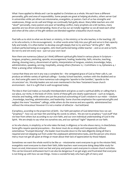What I have applied to Minda and I can be applied to Christians as a whole. We each have a different personality, gifts and area of responsibility. Some people are great at helping alcoholics, others server God in universities while yet others are missionaries, evangelists, or pastors. Each of us has strengths and weaknesses, things we do well and things we continually feel guilty about. Many bible teachers are a bit "aloof" personally, many pastors are poor at handling conflict, many prophets are a bit tactless, many apostles are too driven and demanding. None of us has our act totally together so we all need each other and when all the colors of the gift rainbow are blended together a beautiful church results.

Paul tells us to stick to what we do best: *or ministry, in the ministry; or he who teaches, in the teaching; (8) or he who exhorts, in the encouragement; -* in other words enter fully into your gift and serve in that capacity fully and totally. It is often better to develop one gift deeply that to try and have "all the gifts". Billy Graham perfected being an evangelist, John Stott perfected being a bible teacher – and so on and so forth. Do not try and win every race – just run your own race!

Now there are numerous (about 30 I think) different spiritual gifts listed in various places in Scripture – tongues, prophecy, pastoring, apostle, encouragement, healing, leadership, faith, miracles, teaching, sharing, showing mercy, discernment of spirits, interpretation of tongues, wisdom, knowledge, helps, administration, speaking, serving, hospitality, among others (Romans 12, 1 Corinthians 12-14, Ephesians 4, 1 Peter 4 among other references).

I sense that these are not in any way a complete list – the variegated grace of God as Peter calls it, can produce an infinite variety of spiritual callings – Sunday School teachers, workers with the disabled and so on. And some gifts seem to have numerous sub-categories 'apostle to the Gentiles', 'apostle to the circumcision' etc. Worship leaders are not even mentioned in the New Testament house church environment – but it is a gift that is well recognized today.

The idea is that God makes us mutually interdependent and gives us each a spiritual ability or calling that is our place, our niche, in the body of Christ. Some of these gifts are clearly supernatural – such as tongues, miracles and healing, while others are just the practical outworking of God's wisdom in our midst – wisdom , knowledge, teaching, administration, and leadership. Some churches emphasize the supernatural gifts and neglect the more "mundane" callings, while others do the reverse and are superbly administered but without the miraculous! However it is not a matter of either/or – but both/and.

*if prophecy, according to the proportion of faith; -* Our faith perception of God determines how we can "prophesy" - how we can hear Him and bring His words to others. We are not to prophecy "cool stuff' that we hear from others but according to our own faith, and our own individual understanding of God in the Spirit. We are simply to say what we ourselves see, and our spiritual "sight" depends on our faith.

*or he who shares, in simplicity; or he who takes the lead, in diligence; or he who shows mercy, in cheerfulness.*  Some gifts require special precautions – the donor must do so simply and transparently without ostentatious "trumpet-blowing", the leader must knuckle down to the task diligently doing all that is required and not skipping out from under the unpleasant administrative tasks, and the person who shows mercy must not get all upset at things or moan about their lack of appreciation by those helped.

Sometimes we want the whole world to be like us – missionaries want everyone to go to the mission field, evangelists want everyone to share their faith, bible teachers want everyone doing deep bible study for hours on end, intercessors insist we fast and pray and pastors want everyone in a dozen church activities. This can be innocent enthusiasm but it can also be dangerous if we get angry and frustrated that everyone is not lining up with how we see things. I knew a wonderful lady who had a gift of mercy and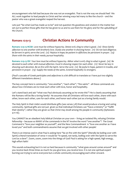encouragement who felt bad because she was not an evangelist. That is not the way we should feel! We ALL work together to lead people to Christ and her winning ways led many to like the church – and the pastor who was a great evangelist reaped the harvest.

Lets just "be what God has made us to be" and not question His goodness and wisdom in the matter but set out to perfect those gifts that He has given to us and to use them for His glory and for the upbuilding of His Church.

### **Romans 12:9-13 Christian Actions In Community**

**Romans 12:9-13 HCSB** *Love must be without hypocrisy. Detest evil; cling to what is good. (10) Show family affection to one another with brotherly love. Outdo one another in showing honor. (11) Do not lack diligence; be fervent in spirit; serve the Lord. (12) Rejoice in hope; be patient in affliction; be persistent in prayer. (13) Share with the saints in their needs; pursue hospitality.*

**Romans 12:9-13 ISV** *Your love must be without hypocrisy. Abhor what is evil; cling to what is good. (10) Be devoted to each other with mutual affection. Excel in showing respect for each other. (11) Never be lazy in showing such devotion. Be on fire with the Spirit. Serve the Lord. (12) Be joyful in hope, patient in trouble, and persistent in prayer. (13) Supply the needs of the saints. Extend hospitality to strangers.*

(Paul's cascade of Greek participles and adjectives is a bit difficult to translate so I have put two slightly different translations above.)

The key concept here is community: "one another", "each other", "the saints" - all these commands are about how Christians are to treat each other with love, honor and hospitality.

Let's stand back and ask "what was Paul obviously assuming as he wrote this"? He is clearly assuming that the Romans will be like a loving family! He assumes that all Christians will love each other, share with each other, know each other, care for each other, and honor each other just as a loving family would.

The Holy Spirit in their midst would distribute gifts (see verses 3-8) that would produce a loving and caring community. Spiritual gifts are not just given so that individual Christians can "have a ministry" or "fulfill their destiny", rather they are given so that Christ may dwell among His people in community (Ephesians 4:11-16).

You CANNOT be an obedient holy biblical Christian on your own – living an isolated life, refusing Christian fellowship – because so MANY of the commands in the NT involve the word "one another"! The Great Command is "love your neighbor as yourself", and the New Commandment is "love one another as I have loved you" and both commandments assume that we get involved with other people!

There is an intense zeal in what Paul is asking here "be on fire with the Spirit" (literally be boiling over with Spirit) a literal translation of verse 11 would be "in speed, not tardy, boiling over with the Spirit to serve the Lord as a slave". Zoom, zoom, zoom into the things of God! Paul is asking for a high speed, high energy, high effort faith!

This sounds exhausting but it is not so hard because in community "what goes around comes around" and you receive back three times as much! As you give love, you receive love. It is not one spiritual expert burning out trying to serve everyone but a whole community encouraging each other onward.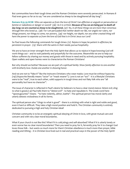But communities have their tough times and the Roman Christians were severely persecuted. In Romans 8 Paul even goes so far as to say "we are considered as sheep to be slaughtered all day long".

**Romans 8:35-39 HCSB** *Who can separate us from the love of Christ? Can affliction or anguish or persecution or famine or nakedness or danger or sword? (36) As it is written: Because of You we are being put to death all day long; we are counted as sheep to be slaughtered. (37) No, in all these things we are more than victorious through Him who loved us. (38) For I am persuaded that neither death nor life, nor angels nor rulers, nor things present, nor things to come, nor powers, (39) nor height, nor depth, nor any other created thing will have the power to separate us from the love of God that is in Christ Jesus our Lord!*

So Paul issues the following commands for tough times: *(12) Rejoice in hope; be patient in affliction; be persistent in prayer. (13) Share with the saints in their needs; pursue hospitality.*

We are to have an inner strength from the Holy Spirit that allows us to rejoice in hope knowing God will work things out – and to wait patiently and prayerfully for the outcome. Meanwhile we are to help our fellow sufferers by sharing our money and goods with those in need and by actively pursuing hospitality. Open wallets and open homes were to characterize the Roman Christians!

But why should we bother? Because we are part of a spiritual family: *Show family affection to one another with brotherly love. Outdo one another in showing honor.* 

And we are not to "fake it" like the insincere Christians who wear masks: *Love must be without hypocrisy. (v9)* (Hypocrite literally means "actor" or "mask wearer"). Love is not an "act" - it is a lifestyle! Christians were to be "real", true to each other, solid supports in tough times and not flaky folk who are "all personality but have no character".

The issue of character is reflected in Paul's desire for believers to have a clear moral stance: *Detest evil; cling to what is good.(v.9)* Paul tells them to "detest evil" - to hate and repudiate it. The Greek word here "apostugountes" means "to hate violently, abhor, loathe". The spiritual person has moral clarity and utterly detests wickedness in all its forms.

The spiritual person also "clings to what is good" - there is a sticking with what is right and noble and good, even it hard or difficult. They take a high moral position and hold it. The Christian community is entirely dedicated to pursuing a high and holy Christian ideal!

Christian community is to be an energetic spiritual obeying of Christ in love, with great mutual care and concern and with very clear moral boundaries.

What if your church is not like this? What if it is cold,stingy and self-absorbed? What if it is utterly lonely or even worse has no clear moral boundaries? Then you need to pray for it, fervently pray for it to change! God loves those folk – but wants so much more for them! Christian obedience is much more than prayer, bible reading and tithing – it is Christian love lived out in real and practical ways in the power of the Holy Spirit!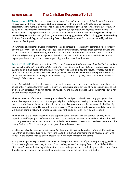### **Romans 12:14-21 The Christian Response To Evil**

**Romans 12:14-21 HCSB** *Bless those who persecute you; bless and do not curse. (15) Rejoice with those who rejoice; weep with those who weep. (16) Be in agreement with one another. Do not be proud; instead, associate with the humble. Do not be wise in your own estimation. (17) Do not repay anyone evil for evil. Try to do what is honorable in everyone's eyes. (18) If possible, on your part, live at peace with everyone. (19) Friends, do not avenge yourselves; instead, leave room for His wrath. For it is written: Vengeance belongs to Me; I will repay, says the Lord. (20) But If your enemy is hungry, feed him. If he is thirsty, give him something to drink. For in so doing you will be heaping fiery coals on his head. (21) Do not be conquered by evil, but conquer evil with good.*

In our incredibly militarized world of instant threats and massive retaliation the command "do not repay anyone evil for evil" seems quaint, out-of-touch and very unrealistic. Perhaps these commands were only meant for the Christian community, or for personal matters – not national self-defense. But if someone is about to kill your family what will you do? The Bible does not repudiate legitimate self-defense or even capital punishment, but it does create a spirit of grace that minimizes their use:

**Luke 22:35-38 HCSB** *He also said to them, "When I sent you out without money-bag, traveling bag, or sandals, did you lack anything?" "Not a thing," they said. (36) Then He said to them, "But now, whoever has a moneybag should take it, and also a traveling bag. And whoever doesn't have a sword should sell his robe and buy one. (37) For I tell you, what is written must be fulfilled in Me: And He was counted among the outlaws. Yes, what is written about Me is coming to its fulfillment." (38) "Lord," they said, "look, here are two swords." "Enough of that!" He told them.*

Jesus a) clearly tells the disciples to defend themselves from danger as a real priority and even allows them to use lethal weapons (swords) but b) is clearly unenthusiastic about any use of violence and wants all talk of it to be minimized. Similarly in Romans 13 Paul allows the state to exercise capital punishment but is not an enthusiastic advocate of it.

The main meaning of Romans 12:14-21 is personal conflict and personal evil. I see it applying generally to squabbles, arguments, envy, loss of prestige, neighborhood disputes, parking disputes, financial matters, broken courtships and the persecutions, betrayals and disappointments of life. When we deal with a big corporation and feel shoddily treated -how do we react? When someone puts us down publicly – what do we think of doing in return? If someone despises us for being a believer – how do we respond?

The first principle is that of "reacting in the opposite spirit" this sees evil and spiritual, and trying to reproduce itself in people. So if someone is mean to you, and you become bitter and mean back then evil has conquered another human heart and multiplied itself. A second "mean spirit" has been generated. That is why Paul says: *Bless those who persecute you; bless and do not curse.*

By blessing instead of cursing we are reacting in the opposite spirit and not allowing evil to dominate us, live within us, and reproduce its evil ways in the world. Rather we are attempting to "overcome evil with good". In the process we also become less reactive and more masterful and strong.

Acting in the opposite spirit also has an impact in the spiritual realm: *But if your enemy is hungry, feed him. If he is thirsty, give him something to drink. For in so doing you will be heaping fiery coals on his head. The* "fiery coals" may be the feeling of shame that comes to the perpetrator, or the judgment that comes from God. Either way, the one who acts in the opposite spirit comes out the winner spiritually.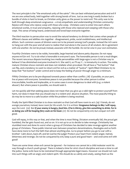The next principle is the "the emotional unity of the saints". We can best withstand persecution and evil if we are one united body, held together with strong bonds of love. Just as one twig is easily broken but a bundle of sticks is hard to break, so Christian unity gives us the power to resist evil. This unity was to be built through deep emotional congruence – a truly empathetic and understanding Christian community: *Rejoice with those who rejoice; weep with those who weep.* Christians were to enter into each others emotional worlds, in trust and empathy, rejoicing with those who rejoiced and weeping with those who wept. This sense of being heard, understood and loved kept everyone together.

The third reaction to persecution was to avoid the natural tendency to division that comes when people of different classes and abilities mix together - disagreement, pride, social snobbishness, and intellectual elitism. Such common causes of division were not to be present among God's people. Instead the rich were to hang out with the poor and all were to realize that God alone is the source of all wisdom. *Be in agreement with one another. Do not be proud; instead, associate with the humble. Do not be wise in your own estimation.* 

Fourthly Christians were to be noble, honorable, large-hearted and above petty disputes: *Do not repay anyone evil for evil. Try to do what is honorable in everyone's eyes.* The honorable person is not a mud-slinger. The recent rancorous dispute involving two media personalities with large egos is not a Christian way to behave! It has diminished everyone involved in it. She said X, so I'll say Y... is immaturity in action. The noble, mature Christian shows restraint and does not retaliate when provoked. We all have a "hot button" that can flip, and a tendency to want to return evil for evil as a matter of "justice". Spirit-filled Christians try to keep that "hot button" under control and to keep the feeling of power through anger to a minimum.

Fifthly Christians are to be pre-disposed towards peace rather than conflict. *(18) If possible, on your part, live at peace with everyone.* Sometimes peace is not possible because the other person is either irreconcilable, hostile and implacable, or in some cases is even dangerous to deal with (e.g. a violent abuser). But where peace is possible, we should seek it.

Let me quickly add that seeking peace does not mean that you give up a valid right to protect yourself from harm, nor does it mean that you should stay in a violent and abusive situation. The most peaceful thing to do may be to move to a safe location while the problem is being resolved.

Finally the Spirit-filled Christian is to show restraint so that God will have room to act: *(19) Friends, do not avenge yourselves; instead, leave room for His wrath. For it is written: Vengeance belongs to Me; I will repay, says the Lord. (20) But If your enemy is hungry, feed him. If he is thirsty, give him something to drink. For in so doing you will be heaping fiery coals on his head. (21) Do not be conquered by evil, but conquer evil with good.*

God will repay, in this way or that, and when the time is most fitting. Dictators eventually fall, the proud get humbled, the liar gets found out, and so on. It is not up to us to decide to take revenge. Christianity has stumbled most and done its worst when a group of Christians has decided to take revenge against another group of Christians. These public internal wars between preachers denominations, theologies and so forth have done more to hurt the faith than almost anything else. Go to prayer before you go to war with a brother! Calm down, back off, and let God be the judge! Protect your heart from violent anger, hatred, bitterness and revenge. Do not be conquered by evil, keep a pure and good heart – and overcome evil with good!

There are some times when evil cannot be ignored – for instance we cannot let a child molester work his way through a church youth group! There is indeed a time for strict church discipline and even a time to call the police. Some evils have to be restrained through appropriate legal means. However we should not rush into such things with an angry and violent spirit. We should do so calmly and wisely, seeing them as the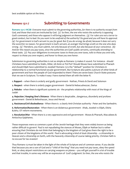best available option at the time.

# *Romans 13:1-7* **Submitting to Governments**

**Romans 13:1-7 HCSB** *Everyone must submit to the governing authorities, for there is no authority except from God, and those that exist are instituted by God. (2) So then, the one who resists the authority is opposing God's command, and those who oppose it will bring judgment on themselves. (3) For rulers are not a terror to good conduct, but to bad. Do you want to be unafraid of the authority? Do good and you will have its approval. (4) For government is God's servant to you for good. But if you do wrong, be afraid, because it does not carry the sword for no reason. For government is God's servant, an avenger that brings wrath on the one who does wrong. (5) Therefore, you must submit, not only because of wrath, but also because of your conscience. (6) And for this reason you pay taxes, since the authorities are God's public servants, continually attending to these tasks. (7) Pay your obligations to everyone: taxes to those you owe taxes, tolls to those you owe tolls, respect to those you owe respect, and honor to those you owe honor.*

Submission to governing authorities is not as simple as Romans 13 makes it sound. For instance - should Christians have submitted to Stalin, Hitler, Idi Amin or Pol Pot? Should Moses have submitted to Pharaoh and should Elijah have submitted to Jezebel? Romans 13 is the "default" position for Christians in relationship to a normal functional secular government. But Scripture also paints a picture of other kinds of government and how the people of God responded to them! There are seven basic Church-State postures that we see in Scripture. To make it easy I have started them all with the letter R.

**1. Rapport** – when there is orderly and godly government - Nathan, Priests & David and Solomon

**2. Respect** - when there is orderly pagan government - Daniel & Nebacudnezzar, Darius

**3. Rebuke** - when there is significant systemic sin - the prophets relationship with most of the Kings of Judah

**4. Rejection / Keeping One's Distance** - When there is despicable , dangerous, disorderly and profane government - Daniel & Belteshazzar, Jesus and Herod.

**5. Resistance/Civil disobedience** - When there is a clearly Anti-Christian authority - Peter and the Sanhedrin.

**6. Reformation/Restoration** - When there is an idolatrous government - Ahab, Jezebel vs Elijah, Elisha &Jehu. OT reform movements.

**7. Revolution/War** - When there is a very oppressive and evil government - Moses & Pharaoh, Maccabees & Antiochus Epiphanes.

These responses were so common a part of the Jewish heritage that they were widely known as being rather difficult to govern! Paul is not repudiating the stances of Moses, Elijah or Nathan but is rather ensuring that Christians do not think that belonging to the kingdom of God gives them the right to be a poor citizen of the kingdoms of this world. Paul is advocating a kind of dual citizenship – a citizenship in Heaven and a citizenship on Earth, with the heavenly citizenship of course taking priority. Christian faith is no excuse for tax evasion!

Thus Romans 13 must be taken in the light of the whole of Scripture and of common sense. If you decide that because you are a son of God and a "child of the King" that you need not pay taxes, obey the speed limit, or obey airport restrictions on carrying weapons on planes – you will get yourself in a lot of trouble and that trouble, in some way will be an expression of God's judgment: *So then, the one who resists the*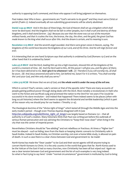*authority is opposing God's command, and those who oppose it will bring judgment on themselves.* 

Paul makes clear Who is boss – governments are "God's servants to do good" and they must serve Christ or perish (Psalm 2). Indeed eventually all non-submitting governments will be utterly abolished:

**Daniel 2:44-45 MKJV** *And in the days of these kings, the God of Heaven shall set up a kingdom which shall never be destroyed. And the kingdom shall not be left to other peoples, but it shall crush and destroy all these kingdoms, and it shall stand forever. (45) Because you saw that the stone was cut out of the mountain without hands, and that it crushes the iron, the bronze, the clay, the silver, and the gold, the great God has made known to the king what shall occur after this. And the dream is certain, and its meaning is sure.*

**Revelation 11:15 MKJV** *And the seventh angel sounded. And there were great voices in Heaven, saying, The kingdoms of this world have become the kingdoms of our Lord, and of His Christ. And He will reign forever and ever.*

It is interesting that on one hand Scripture says that authority is ordained by God (Romans 13:1) and on the other hand that it is ordained by Satan!

**Luke 4:5-8 MKJV** *And the Devil, leading Him up into a high mountain, showed Him all the kingdoms of the*  world in a moment of time. (6) And the Devil said to Him, All this power I will give you, and the glory of them; *for it has been delivered to me. And I give it to whomever I will. (7) Therefore if you will worship me, all shall be yours. (8) And Jesus answered and said to him, Get behind me, Satan! For it is written, "You shall worship the* Lord your God, and Him only shall you serve."

### **1 John 5:19 HCSB** *We know that we are of God, and the whole world is under the sway of the evil one.*

Which is correct? Paul's version, Luke's version or that of the apostle John? There are many accounts of people gaining political power through doing deals with the Devil. Most notably a revolutionary in Haiti who went to the forest and sacrificed a pig and promised the nation to the Devil for 100 years if he would be successful in his slave revolution – and indeed that happened! There indeed seems to be places (often with long occult histories) where the Devil seems to appoint the dictatorial and terrible leadership (which is part of the reason why we should pray for our leaders 1 Timothy 2:1-4).

The theological doctrine of the "divine right of Kings" which lasted all through the Middle Ages and into the early modern period – though even Thomas Aquinas disagreed with it (see [http://en.wikipedia.org/wiki/Divine\\_right\\_of\\_kings](http://en.wikipedia.org/wiki/Divine_right_of_kings)) was largely based on Romans 13:1 – that all authority is of God's creation. Many historians think that Paul was writing just before the outbreak of serious Roman persecution and was advising the Christians to "keep their nose clean" when living in the city that was the center of Imperial power.

Nevertheless Christians should be "law-abiding" and not rebellious or fractious. At times a "higher law" must be obeyed – such as hiding Jews from the Nazis or keeping Islamic converts to Christianity safe in Saudi Arabia. Indeed in Saudi Arabia, no Christian worship, not even a home bible study, is allowed on pain of death. In such a case there is a clear choice between God and government to be made!

North Korea has made the "Dear Leader" to be God and their secret agents will kill anyone trying to convert North Koreans to Christ. It is the only country in the world that goes that far. North Korea used to be the Vatican of the East it had so many churches, now Christianity has been all but wiped out! Again we see a clear tension between God and government and the list of such examples is very long indeed. So what is Paul trying to say here? Under "normal circumstances" government is instituted by God to bring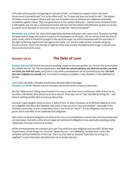civil order and to punish wrongdoing as a servant of God - so it deserves respect, honor and taxes. Government is powerful and "not to be trifled with" for "it does not bear the sword in vain". The Roman Christians were to be good citizens and stay out of trouble and not attempt any religiously motivated revolutions against Caesar. That was good advice in the context of the day – and for many Christians today it still applies, but one day a wicked government will rule over the whole earth (Romans 13) and we are not to submit to its demands to renounce Christ or to take the "mark of the Beast".

**Revelation 14:9-11 HCSB** *(9) And a third angel followed them and spoke with a loud voice: "If anyone worships the beast and his image and receives a mark on his forehead or on his hand, (10) he will also drink the wine of*  God's wrath, which is mixed full strength in the cup of His anger. He will be tormented with fire and sulfur in *the sight of the holy angels and in the sight of the Lamb, (11) and the smoke of their torment will go up forever and ever. There is no rest day or night for those who worship the beast and his image, or anyone who receives the mark of his name.*

## *Romans 13:8-10* **The Debt of Love**

**Romans 13:8-10 HCSB** *Do not owe anyone anything, except to love one another, for the one who loves another has fulfilled the law. (9) The commandments: You shall not commit adultery, you shall not murder, you shall not steal, you shall not covet, and if there is any other commandment--all are summed up by this: You shall love your neighbor as yourself. (10) Love does no wrong to a neighbor. Love, therefore, is the fulfillment of the law.*

Love is the only debt a Christian should have. All other debt is bondage: **Proverbs 22:7 HCSB** *The rich rule over the poor, and the borrower is a slave to the lender.*

But the "debt to love" brings inner freedom! It is easy to see that I owe a continuous 'debt of love' to my excellent wife Minda, after all she loves me in return! Every day I am to "pay' my debt by loving her – and there is nothing terribly hard or onerous about that.

However it gets tougher when we have a 'debt of love' to other Christians, or to difficult relatives or even to a neighbor who litters the footpath with trash. In fact we are to 'love one another' - especially in the Christian community, as if we 'owed them' love. Love is not an "extra" - it is an obligation. And our soul grows and is sanctified as we undertake this obligation.

Now when we think of obligation we think of the Law, of commandments and of rules and ceremonies that we must keep. Paul tells us that all such legal and ceremonial obligations have, spiritually speaking, being replaced by this duty to love one another.

All the commandments are summed up in one "You shall love your neighbor and yourself", all the ritual requirements, all the things we "must do" under the Law – are fulfilled by Christian love. Love is the complete spiritual fulfillment of the Law. This is so, Paul tells us because "love does no wrong to a neighbor". Love is harm-less, therefore love never breaks the Law.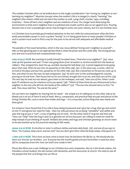This enables Christian ethics to be boiled down to the single consideration "am I loving my neighbor or am I harming my neighbor?" Abortion (except when the mother's life is in danger) is clearly "harming" the neighbor (the unborn child) and can harm the mother as well. Lying, theft, murder, rape, swindling, treachery – these all harm one's neighbor and are violations of love. On a larger level destroying the environment so that one's neighbor lives in a polluted and unsafe world is also an act against love. Pouring dioxane into a river so people get cancer may be legal in some very poor nations, but it is not Christian love.

Is it Christian love to provide good medical attention to the rich while the uninsured poor often die from easily preventable causes? Is such a system "loving" or is it doing great harm to many people? Christians in such a system must work to find a way for the poor to be served with adequate and affordable medical help.

The parable of the Good Samaritan, which is the way Jesus defined 'loving one's neighbor as yourself' – tells us that ignoring pain is not appropriate (that is what the priest and the Levite did). The loving person acts and acts in practical and compassionate ways:

**Luke 10:29-37 HCSB** B*ut wanting to justify himself, he asked Jesus, "And who is my neighbor?" (30) Jesus took up the question and said: "A man was going down from Jerusalem to Jericho and fell into the hands of robbers. They stripped him, beat him up, and fled, leaving him half dead. (31) A priest happened to be going down that road. When he saw him, he passed by on the other side. (32) In the same way, a Levite, when he arrived at the place and saw him, passed by on the other side. (33) But a Samaritan on his journey came up to him, and when he saw the man, he had compassion. (34) He went over to him and bandaged his wounds, pouring on oil and wine. Then he put him on his own animal, brought him to an inn, and took care of him. (35) The next day he took out two denarii, gave them to the innkeeper, and said, 'Take care of him. When I come back I'll reimburse you for whatever extra you spend.' (36) "Which of these three do you think proved to be a neighbor to the man who fell into the hands of the robbers?" (37) "The one who showed mercy to him," he said. Then Jesus told him, "Go and do the same."*

We can harm our neighbor by 'leaving him for dead' – the simple act of walking by on the other side as he bleeds out is an act of harm in and of itself. Mercy, compassion, and practical help are part and parcel of the loving Christian life. Love is more than smiles and hugs – it is a muscular, active thing that sees needs and does good.

For instance I have found that if my wife is busy doing housework and I give her a hug, then go and switch on the TV and ignore her need for help – then my wife perceives me as being "unhelpful" and selfish and sees the hug as just a "con", a way of getting out of work. On the other hand if I hug her and then ask "how can I help" then the hug is seen as a genuine act of love because I am willing to meet her need for help instead of just thinking of myself. Similarly the smiles and hugs and Christian greetings at church need to be also backed up by the practical meeting of felt needs.

**James 2:15-16 HCSB** *If a brother or sister is without clothes and lacks daily food, (16) and one of you says to them, "Go in peace, keep warm, and eat well," but you don't give them what the body needs, what good is it?*

**1 John 3:16-17 HCSB** *This is how we have come to know love: He laid down His life for us. We should also lay down our lives for our brothers. (17) If anyone has this world's goods and sees his brother in need but shuts off his compassion from him--how can God's love reside in him?*

Places like Africa are a vast challenge to our Christian love and compassion. But so is the lonely widow, the friendless school student, the old woman with dementia, and the newcomer at church. We need to see all the people that the Lord brings into our life as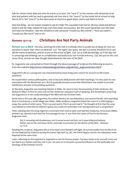folk for whom Christ died and who He wants us to love. We "owe it" to the woman with dementia to be kind and patient with her and to genuinely ask how she is. We "owe it" to the lonely kid at school to help him to fit in. We "owe it" to the newcomer at church to greet them, and to ask them to lunch.

One last thing – do not expect people to ask for help! The wounded man had an obvious need and did not need to ask for help, indeed he may even have been unconscious. But the Good Samaritan saw the need and took the initiative. Take the initiative to ask someone "would you like a drink", "have you eaten", "would you like lunch" and so on.

### *Romans 13:11-14* **Christians Are Not Party Animals**

**Romans 13:11-14 MKJV** *This also, knowing the time, that it is already time to awake out of sleep; for now our salvation is nearer than when we believed. (12) The night is far spent, the day is at hand; therefore let us cast off the works of darkness, and let us put on the armor of light. (13) Let us walk becomingly, as in the day; not in carousings and drinking; not in co-habitation and lustful acts; not in strife and envy. (14) But put on the Lord Jesus Christ, and do not take thought beforehand for the lusts of the flesh.*

St. Augustine was converted to Christ through the above passage of Scripture the following account is from the website [http://www.midwestaugustinians.org/saints/s\\_augconversion.html](http://www.midwestaugustinians.org/saints/s_augconversion.html) :

Augustine's life as a young man was characterized by loose living and a search for answers to life's basic questions.

He would follow various philosophers, only to become disillusioned with their teachings. For nine years he was associated with the Manichean sect. But he gradually became aware that Manicheism was unable to provide satisfactory answers to his probing questions.

At this time, Augustine was teaching rhetoric in Milan. He went to hear the preaching of Saint Ambrose, the Bishop of Milan. At first he went only to hear Ambrose's eloquent style of speaking. But the Bishop's preaching led Augustine to a new understanding of the Bible and the Christian Faith.

Some time in the year 386, Augustine, his mother Monica, his son Adeodatus, and several friends, were spending time in Cassiciacum, a small village near Milan. While outdoors, Augustine heard the voice of a child singing a song, the words of which were, "Pick it up and read it. Pick it up and read it." He thought at first that the song was related to some kind of children's game, but could not remember ever having heard such a song before.

Then, realizing that this song might be a command from God to open and read the Scriptures, he located a Bible, picked it up, opened it and read the first passage he saw. It was from the Letter of Paul to the Romans. Augustine read:

*Not in carousing and drunkenness, not in sexual excess and lust, not in quarreling and jealousy. Rather, put on the Lord Jesus Christ, and make no provision for the desires of the flesh.* --Romans 13: 13-14

Reading this scripture, Augustine felt as if his heart were flooded with light. He turned totally from his life of sin. He was Baptized by Ambrose during the Easter Vigil April 24, 387. His friend Alypius and his son Adeodatus were Baptized at the same time.

Later, reflecting on this experience, Augustine wrote his famous prayer: *You have made us for yourself, Lord, and our hearts are restless until they rest in you.* He went on to become a powerful influence on the spirituality and theology of the Christian Church.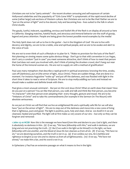Christians are not to be "party animals" - the recent drunken carousing and self-exposure of certain Hollywood celebrities and the popularity of "Girls Gone Wild" is symptomatic of the rapid moral decline of some (rather large) sub-sections of Western culture. But Christians are not to be like that! Rather we are to "put on the armor of light" and to live decent, holy and becoming lives - lives suited to the folk in whom Christ dwells.

The gaudy, lustful, indecent, squabbling, envious and foolish life of the flesh is on display all around us here in California. Slanging matches, hateful feuds, and atrocious and immoral behavior are the stuff of gossip, legend and press attention. People are being given the lowest possible moral examples by the media!

The Holy Spirit does not call us to live in the gutter – but in the Kingdom of God! We are to live with decency and dignity, we are to be a noble, wise and spiritual people, and we are to be awake and alert to the voice of God.

We are not to even think of such a lifestyle or to plan for it. "Make no provision for the lusts of the flesh". Not planning on sinning means some quite obvious things - Don't go to that wild convention in Los Vegas, don't carry a condom "just in case" you meet someone attractive, don't think of how to meet that person that God does not want you involved with, don't think of joining the drunken crowd, don't hang out near the home of the immoral woman etc. We are not to supply sin with a method of gratification!

Paul uses many metaphors that describe a rapid growth in spiritual awareness: knowing the time, awake, cast off (darkness), put on (the armor of light, Jesus Christ). These are sudden things, that are done in a moment. For instance Augustine "woke up" and put off the darkness, and was flooded with light in the short time it takes to read a verse of Scripture. We are to stop mollycoddling our lusts and instead we should make a sudden and definite break with them.

Paul gives a most unusual command – *But put on the Lord Jesus Christ*! What on earth does that mean? How do you put on a person? You act like that person, you walk and talk and think like that person, you become "in character" with that person even adopting their every thought, gesture and mood. We are to be "imitators of Christ" and to take His commandments (for example in the Sermon On The Mount) with absolute seriousness.

As we put on Christ we will find that we live an enlightened life and a spiritually safe life for we will also have "put on the armor of light". We are to step out of the darkness and move into a new zone of living that is righteous, pure and good. The light is positive, pure, holy and clean. And as we dwell in it we are cleansed, healed and purified. The light will at first make us very aware of our sins – but only so they can be forgiven and removed:

**1 John 1:5-10 HCSB** *Now this is the message we have heard from Him and declare to you: God is light, and there is absolutely no darkness in Him. (6) If we say, "We have fellowship with Him," and walk in darkness, we are lying and are not practicing the truth. (7) But if we walk in the light as He Himself is in the light, we have fellowship with one another, and the blood of Jesus His Son cleanses us from all sin. (8) If we say, "We have no sin," we are deceiving ourselves, and the truth is not in us. (9) If we confess our sins, He is faithful and righteous to forgive us our sins and to cleanse us from all unrighteousness. (10) If we say, "We have not sinned," we make Him a liar, and His word is not in us.*

In Ephesians 5 Paul has an extensive passage on what it means to live in the light: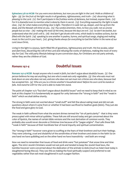**Ephesians 5:8-20 HCSB** *For you were once darkness, but now you are light in the Lord. Walk as children of light-- (9) for the fruit of the light results in all goodness, righteousness, and truth-- (10) discerning what is pleasing to the Lord. (11) Don't participate in the fruitless works of darkness, but instead, expose them. (12) For it is shameful even to mention what is done by them in secret. (13) Everything exposed by the light is made clear, (14) for what makes everything clear is light. Therefore it is said: Get up, sleeper, and rise up from the dead, and the Messiah will shine on you. (15) Pay careful attention, then, to how you walk--not as unwise people but as wise-- (16) making the most of the time, because the days are evil. (17) So don't be foolish, but understand what the Lord's will is. (18) And don't get drunk with wine, which leads to reckless actions, but be filled with the Spirit: (19) speaking to one another in psalms, hymns, and spiritual songs, singing and making music to the Lord in your heart, (20) giving thanks always for everything to God the Father in the name of our Lord Jesus Christ,*

Living in the light is a joyous, Spirit-filled life of goodness, righteousness and truth. We live awake, sober and alert lives, discerning the will of the Lord and refusing the works of darkness, making the most of every day for God. The wild party lifestyle belongs to pre-conversion days, for Christians are not party animals, rather they are the children of God.

## *Romans 14:1-4* **Doubtful Issues**

**Romans 14:1-4 HCSB** *Accept anyone who is weak in faith, but don't argue about doubtful issues. (2) One person believes he may eat anything, but one who is weak eats only vegetables. (3) One who eats must not look down on one who does not eat; and one who does not eat must not criticize one who does, because God has accepted him. (4) Who are you to criticize another's household slave? Before his own Lord he stands or falls. And stand he will! For the Lord is able to make him stand.*

The point of chapter 14 is "but don't argue about doubtful issues" and we need to keep that in mind as we look at this chapter! It is fundamentally an appeal for unity between the "strong in faith" and the "weak in faith" which we shall define shortly.

The strong in faith were not worried about "small stuff" and felt fine about eating meat and did not ask questions about where it came from or whether it had been sacrificed to heathen gods (idols). They just ate the food and gave glory to God.

The weak in faith suffered from what the ancient divines termed the "sin of particularity" - that is they were preoccupied with minor ethical quibbles. These folk are still around today and get concerned about the color of lipstick, the names of certain bible versions and the root derivation of common words. They probably also would never decorate a Christmas tree because of its "pagan origins". Paul calls these folk "weak in faith" because of their inordinate fear of moral impurity and spiritual contamination.

The "strong in faith" however were given to scoffing at the fears of their brethren and hurt their feelings. They were unloving, cruel and disdainful of the sensitivities of their brothers and sisters in the faith! So on one hand we have quibbling and on the other hand we have insensitivity – and both are wrong!

Now we need to remember that issues of food and drink were "hot potatoes" that arose time and time again. The strict Jewish Christians would not eat pork and tended to keep the Jewish food laws, the Gentiles however were concerned about the dedication of the animals to idols (much as Halal meat today is slaughtered facing Mecca). They saw this as making the food spiritually suspect and preferred to eat vegetables rather than eat meat slaughtered in such a pagan fashion.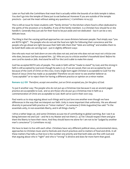Later on Paul tells the Corinthians that meat that is actually within the bounds of an idols temple is taboo. You don't go into the temple of Diana just to eat barbecue! However if you are outside of the temple precincts – just eat the meat without asking any questions ( 1 Corinthians 10:14-33).

This is still an issue for Asian students with "family shrines" in the kitchen where food is often dedicated to the spirits of the ancestors or to Buddha. If one of the family members is a Christian how should he or she handle it. Generally they just ask for their food to be put aside and not dedicated – but it can be a very delicate issue.

The thing is that the varying spiritual approaches can cause divisions between people. Paul simply says "you are BOTH right!". The people who do not eat the food are right for following their conscience and the people who go ahead are right because their faith tells them that "idols are nothing" and enables them to be bold! Both sides are serving God – just in slightly different ways:

*One who eats must not look down on one who does not eat; and one who does not eat must not criticize one who does, because God has accepted him. (4) Who are you to criticize another's household slave? Before his own Lord he stands or falls. And stand he will! For the Lord is able to make him stand.*

God has accepted BOTH sets of people. The weak in faith will be "made to stand" by God, and the strong in faith is still accepted by God even though he eats (v.3). If we are saved, then we are accepted by God because of the work of Christ on the cross. Every single born-again Christian is acceptable to God! For the blood of Jesus Christ has made us acceptable! Therefore we are never to see another believer as "unacceptable" or to reject them for having a different practice or opinion on a minor matter.

### **Romans 15:7 ISV** *Therefore, accept one another, just as Christ accepted you, for the glory of God.*

To put it another way: The people who do not put up a Christmas tree because it was an ancient pagan practice are acceptable to God, and so are those who do put up a Christmas tree in faith as a commemoration of Christ are acceptable to God. Both serve God in their own way.

Paul wants us to stop arguing about such things and to just love one another even though we have differences in the way that we interpret our faith. Unity is more important that uniformity. We are allowed diversity in personal faith practice on "minor matters". As someone (I think Augustine) has said: "In the essentials unity, in non-essentials liberty, and in all things charity."

I drive a rather large car, and some Christians accuse me of contributing to global warming. But I see it as being between me and God – and He is my Master and not them (v. 4) Yet I should respect them and give them the liberty to have their views. And they should leave me alone for I am not to be "judged by another man's conscience" (1 Corinthians 10:29).

We have to learn to live with each other. Christians have very different political views, environmental views, approaches to Christian music and to festivals and church practices and to matters of food and drink. In all these matters Paul tells us that love is the number one priority and that both sides are fine with God and that arguing about who is "right" and who is "wrong" is divisive and does far more harm than good.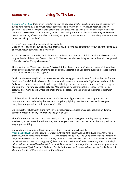# *Romans 14:5-8* **Living To The Lord**

**Romans 14:5-8 HCSB** *One person considers one day to be above another day. Someone else considers every day to be the same. Each one must be fully convinced in his own mind. (6) Whoever observes the day, observes it to the Lord. Whoever eats, eats to the Lord, since he gives thanks to God; and whoever does not eat, it is to the Lord that he does not eat, yet he thanks God. (7) For none of us lives to himself, and no one dies to himself. (8) If we live, we live to the Lord; and if we die, we die to the Lord. Therefore, whether we live or die, we belong to the Lord.*

In verse 5 Paul tackles the question of the Sabbath:

*One person considers one day to be above another day. Someone else considers every day to be the same. Each one must be fully convinced in his own mind.* 

According to Paul the Sunday Sabbath, Saturday Sabbath and non-Sabbath folk are all equally correct – as long as they hold their view "as unto the Lord". The fact that they are living for God is the main thing – and this makes each differing view correct!

This is hard for us Westerners with our "if A is right then B must be wrong" view of reality, to grasp. That three different views of the same thing can be equally acceptable to God seems puzzling. Perhaps there is small truth, middle truth and big truth.

Small truth is something like " it is better to open a boiled egg at the pointy end". In Jonathan Swift's work "Gulliver's Travels" the inhabitants of Lilliput were always at war between the Big-Endians and the Little Endians – those who opened their boiled eggs at the big end, and those who opened their boiled eggs at the little end! The furious debates between Mac users and PC users fit in this category for me – as do disputes over hymn books, where the organ should be placed in the church and the minor legalisms in church life.

Middle truth would be what we learn at school - the facts of geometry and chemistry and history. Important and worth debating, but not worth physically fighting over. Debates over eschatology or exegetical interpretations of Scripture would fit here.

Big truth is the "stuff worth dying for" - love, justice, mercy, compassion, conscience, human dignity, salvation, freedom, loyalty to Christ and the glory of God.

Thus if someone is demonstrating their loyalty to Christ by worshiping on Saturday, Sunday or even Wednesday – then leave them alone! They are serving God with their conscience and that is a good and a very important thing.

Do we see any examples of this in Scripture? I think we do in Mark chapter 2:

**Mark 2:23-28 HCSB** *On the Sabbath He was going through the grainfields, and His disciples began to make their way picking some heads of grain. (24) The Pharisees said to Him, "Look, why are they doing what is not lawful on the Sabbath?" (25) He said to them, "Have you never read what David and those who were with him did when he was in need and hungry-- (26) how he entered the house of God in the time of Abiathar the high priest and ate the sacred bread--which is not lawful for anyone to eat except the priests--and also gave some to his companions?" (27) Then He told them, "The Sabbath was made for man and not man for the Sabbath. (28) Therefore the Son of Man is Lord even of the Sabbath."*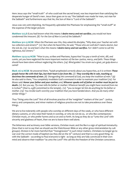Here Jesus says the "small truth" of who could eat the sacred bread, was less important than satisfying the desperate hunger of David's men. Jesus then goes on to say "the Sabbath was made for man, not man for the Sabbath" and furthermore says that He, the Son of Man is "Lord of the Sabbath".

Jesus was very anti-nitpicking. He frequently upbraided the Pharisees for emphasizing the "small stuff" at the expense of the larger picture:

**Matthew 12:7,8** *If you had known what this means: I desire mercy and not sacrifice, you would not have condemned the innocent. (8) For the Son of Man is Lord of the Sabbath."*

**Matthew 9:11-13 HCSB** *When the Pharisees saw this, they asked His disciples, "Why does your Teacher eat with tax collectors and sinners?" (12) But when He heard this, He said, "Those who are well don't need a doctor, but the sick do. (13) Go and learn what this means: I desire mercy and not sacrifice. For I didn't come to call the righteous, but sinners."*

**Matthew 23:23-24 HCSB** *"Woe to you, scribes and Pharisees, hypocrites! You pay a tenth of mint, dill, and cumin, yet you have neglected the more important matters of the law--justice, mercy, and faith. These things should have been done without neglecting the others. (24) Blind guides! You strain out a gnat, yet gulp down a camel!*

**Mark 7:6-13 HCSB** *He answered them, "Isaiah prophesied correctly about you hypocrites, as it is written: These people honor Me with their lips, but their heart is far from Me. (7) They worship Me in vain, teaching as doctrines the commands of men. (8) Disregarding the command of God, you keep the tradition of men." (9) He also said to them, "You completely invalidate God's command in order to maintain your tradition! (10) For Moses said: Honor your father and your mother; and, Whoever speaks evil of father or mother must be put to death. (11) But you say, 'If a man tells his father or mother: Whatever benefit you might have received from me*  is Corban'" (that is, a gift committed to the temple), (12) "you no longer let him do anything for his father or *mother. (13) You revoke God's word by your tradition that you have handed down. And you do many other similar things."*

Thus "living unto the Lord" first of all involves practice of the 'weightier" matters of the Law" - justice, mercy and compassion, and minor matters of religious practice are not to take precedence over these things.

We are to live tolerantly with people who worship on different days of the week, or who have different dietary customs, or who raise their hands in worship, or who do not do so, or who like contemporary Christian music, or who prefer hymns and so on and so forth. As long as they do so "unto the Lord' with sincerity and gladness of heart, then we are to leave them well alone.

The bitterness and acrimony over bible versions, Christian music and the like is a sign of spiritual immaturity. (Now that is not to say that we should use the Watchtower Bible or any other gross mistranslation by cult groups). Division is far more harmful than "transgression" in such minor matters. Christians no longer go to war over the correct mode of baptism (as they did on the  $16^{th}$  century) and that is a very good thing. So with the Sabbath – according to Paul everyone is right - as long as they are fully convinced in their own mind and observe their tradition "as unto the Lord"! We call this the freedom of the Christian conscience.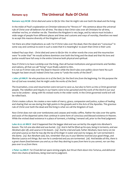### *Romans 14:9* **The Universal Rule Of Christ**

**Romans 14:9 HCSB** *Christ died and came to life for this: that He might rule over both the dead and the living.*

In the midst of Paul's explanation on Christian tolerance he "throws in" this sentence about the universal rule of Christ over all believers for all time. The idea is that Christ rules over all Christians for all time, whether we live, or whether we die. Therefore the Kingdom is very large, and by nature must include a wide range of people from different places and times and customs and ways of worship, therefore we need to accept this massive diversity of the Kingdom of God.

Yet there are other implications as well. For if Christ rules over the dead, then the dead are "conscious" in some way and continue to exist in such a state that it is meaningful to assert that Christ is their Lord.

Indeed Paul says that : *Christ died and came to life for this -*in other words the cross and the resurrection were "in order that" He would achieve dominion over both the living and the dead and that His love and justice would have full sway in the entire Universe both physical and spiritual.

Now if Christ is to have Lordship over the living, then all human institutions and governments and families and nations, all that we call "living" must finally submit to Him. It is not as if Christ rules over the dead in Heaven while the Devil rules over politics down here! No such bargain has been struck! Indeed Christ has come to "undo the works of the Devil".

**1 John 3:8 MKJV** *He who practices sin is of the Devil, for the Devil sins from the beginning. For this purpose the Son of God was revealed, that He might undo the works of the Devil.*

The incarnation, cross and resurrection were not just to save us, but also to form us into a Christ-governed people. The rebellion and iniquity in our hearts were to be uprooted and the work of the Devil in our soul was to be undone – along with his wicked works in the wider world. In the Christ-governed world evil will be rolled back.

Christ creates culture. He creates a new realm of mercy, grace, compassion and justice, a place of healing and sharing that we see during the high points in the gospels and in the Acts of the Apostles. This gracious rule of Christ over both the dead and the living is what we call the Kingdom of God.

Now Christ does not rule over tombstones and corpses and moldy coffins. Rather He rules over the spirits and souls of the departed saints that continue in some form of conscious and blessed existence in Heaven. While the wicked dead existence in a place of torment, a holding / remand cell, prior to the final judgment:

**Luke 16:22-26 MKJV** *And it happened that the beggar died and was carried by the angels into Abraham's bosom. The rich one also died and was buried. (23) And in hell he lifted up his eyes, being in torments, and saw Abraham afar off, and Lazarus in his bosom. (24) And he cried and said, Father Abraham, have mercy on me and send Lazarus so that he may dip the tip of his finger in water and cool my tongue, for I am tormented in this flame. (25) But Abraham said, Son, remember that you in your lifetime received your good things, and likewise Lazarus evil things. But now he is comforted and you are tormented. (26) And besides all this, there is a great chasm fixed between you and us; so that they desiring to pass from here to you cannot, nor can they pass over to us from there.*

**2 Peter 2:4 MKJV** *For if God did not spare sinning angels, but thrust them down into Tartarus, and delivered them into chains of darkness, being reserved to judgment.*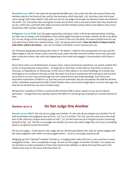**Revelation 6:9-11 MKJV** *And when He had opened the fifth seal, I saw under the altar the souls of those who had been slain for the Word of God, and for the testimony which they held. (10) And they cried with a loud voice, saying, Until when, Master, holy and true, do You not judge and avenge our blood on those who dwell on the earth? (11) And white robes were given to each one of them. And it was said to them that they should rest yet for a little time, until both their fellow servants and their brothers (those about to be killed as they were ) should have their number made complete.*

**Philippians 1:20-24 HCSB** *(20) My eager expectation and hope is that I will not be ashamed about anything, but that now as always, with all boldness, Christ will be highly honored in my body, whether by life or by death. (21) For me, living is Christ and dying is gain. (22) Now if I live on in the flesh, this means fruitful work for me; and I don't know which one I should choose. (23) I am pressured by both. I have the desire to depart and be with Christ--which is far better-- (24) but to remain in the flesh is more necessary for you.*

For Christians departing and being with Christ is "far better", while for the unrepentant rich man and the fallen angels it was far worse! Lazarus and the souls under the altar received comfort from God, and were able to perceive others, see what was happening in the world and engage in conversations with those in Heaven.

Since Christ rules over all dimensions of space, time, culture and human experience we cannot confine Him to this or that particular cultural form – to long hair or short hair, to this food or that drink, to hymns or choruses, to Republicans or Democrats, to this race or that nation or to church buildings of a certain size and shape or to worship on this day or that. But each of us lives in a particular time and place and we each serve God in our own way, and through our own cultural forms and understandings. Such forms are important expressions of faith for us, but they are not universals, they do not express the faith for all time. Gothic cathedrals expressed the faith of their builders then, and surely brought glory to God in that age, but they do not dictate how we must worship today.

Because the Lordship of Christ's is universal the Christian faith is never captive to any set of cultural particulars – though they may usefully express the faith of a certain group of people at a certain moment in time.

## *Romans 14:10-13* **Do Not Judge One Another**

**Romans 14:10-13 MKJV** *But why do you judge your brother? Or also why do you despise your brother? For all shall stand before the judgment seat of Christ. (11) For it is written, "As I live, says the Lord, every knee shall bow to Me, and every tongue shall confess to God." (12) So then each one of us will give account concerning himself to God. (13) Then let us not judge one another any more, but rather judge this, not to put a stumblingblock or an offense toward his brother.*

We are not judges – Christ alone is the Judge and we will all stand before Him. And we will be judged with the same judgment with which we have judged others – so let us not judge anyone at all!

Weighing up how "spiritual" another Christian is, or judging their walk with God, is very common in some evangelical circles – but is completely wrong! We are not the judges of another Christian! It is simply not our business to make evaluations of how they observe the Sabbath, or about the food they eat or the clothes they wear or the music that they listen to!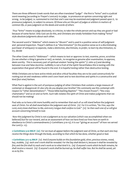There are three different Greek words that are often translated "judge" - the first is "krino" and is a judicial word meaning (according to Thayer's Lexicon): t*o judge, to pronounce an opinion concerning right and wrong, to be judged, i.e. summoned to trial that one's case may be examined and judgment passed upon it, to pronounce judgment, to subject to censure. Of those who act the part of judges or arbiters in matters of common life, or pass judgment on the deeds and words of others*

Thus "krino" means to judge absolutely, to criticize, to take the whole person and say they are good or bad because of some factor. Only God can do this, and Christians are totally forbidden from making "krino" style absolute judgments about each other.

The second word is "diakrino" which means to "discern" and is used in a positive sense of self-judgment and personal inspection. Thayer's defines it as "*discrimination*" (in the positive sense as in a discriminating purchaser of antiques): *to separate, make a distinction, discriminate, to prefer, to learn by discrimination, to try, decide*

The other Greek word is "dokimazo" – which means to test or approve: *to test, examine, prove, scrutinise (to see whether a thing is genuine or not), as metals , to recognise as genuine after examination, to approve, deem worthy.* This is necessary part of spiritual wisdom 'testing the spirits" (1 John 4:1) and deciding between true and false doctrine. Gullibility is not a fruit of the Spirit! Nevertheless this is testing with the expectation that good will be found in the end. It is hopeful testing rather than destructive testing.

While Christians are to have active minds and alive critical faculties they are to be used constructively for rooting out sin and weakness within one's own heart and to test doctrines and spirits in a constructive and kind (but wise) fashion.

What Paul is against is the sort of pompous judging of other Christians that contains a large measure of contempt or disapproval: *Or also why do you despise your brother?* We commonly see this contempt with respect to "other denominations": "those bible-bashing Baptists" "the chosen frozen", "the crazy charismatics" and so on and so forth. Such talk violates the spirit of Christ and makes judgments that we should not be making!

Paul asks us to have a bit more humility and to remember that each of us will stand before the judgment seat of Christ. *For all shall stand before the judgment seat of Christ. (11) For it is written, "As I live, says the Lord, every knee shall bow to Me, and every tongue shall confess to God." (12) So then each one of us will give account concerning himself to God.* 

Now this judgment by Christ is not a judgment as to our salvation (which was accomplished when we believed) but for our reward, and as an assessment of how we have lived our lives here on earth in obedience to Christ's commandments (1 Corinthians 3:10-15). It is our "giving an account" of how we served the Lord (v. 12).

**2 Corinthians 5:10 MKJV (10)** F*or we must all appear before the judgment seat of Christ, so that each one may receive the things done through the body, according to that which he has done, whether good or bad.*

**1 Corinthians 3:12-15 MKJV** *(12) And if anyone builds on this foundation gold, silver, precious stones, wood, hay, stubble, (13) each one's work shall be revealed. For the Day shall declare it, because it shall be revealed by fire; and the fire shall try each one's work as to what kind it is. (14) If anyone's work which he built remains, he shall receive a reward. (15) If anyone's work shall be burned up, he shall suffer loss. But he shall be saved, yet so as by fire.*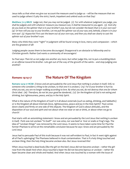Jesus tells us that when we give our account the measure used to judge us – will be the measure that we used to judge others! O pity the strict, harsh, impatient and unkind souls on that Day!

**Matthew 7:1-5 MKJV** *Judge not, that you may not be judged. (2) For with whatever judgment you judge, you shall be judged; and with whatever measure you measure out, it shall be measured to you again. (3) And why do you look on the splinter that is in your brother's eye, but do not consider the beam that is in your own eye? (4) Or how will you say to your brother, Let me pull the splinter out of your eye; and, behold, a beam is in your own eye? (5) Hypocrite! First cast the beam out of your own eye, and then you shall see clearly to cast the splinter out of your brother's eye.*

Many who think they were "right" in judgment will be found wrong in love, mercy and compassion – which are the greatest of all!

Judging people causes them to become discouraged. Disapproval is an obstacle to fellowship and to Christian growth. Rather God wants a community of encouragers!

So Paul says: *Then let us not judge one another any more, but rather judge this, not to put a stumbling-block or an offense toward his brother.* Lets get out of the way of the growth of the saints – and stop judging one another!

## *Romans 14:14-17* **The Nature Of The Kingdom**

**Romans 14:14-17 HCSB** *(I know and am persuaded by the Lord Jesus that nothing is unclean in itself. Still, to someone who considers a thing to be unclean, to that one it is unclean.) (15) For if your brother is hurt by what you eat, you are no longer walking according to love. By what you eat, do not destroy that one for whom Christ died. (16) Therefore, do not let your good be slandered, (17) for the kingdom of God is not eating and drinking, but righteousness, peace, and joy in the Holy Spirit.*

What is the nature of the Kingdom of God? Is it all about externals (such as eating, drinking, and Sabbaths) or is the Kingdom all about internals (love, righteousness, peace and joy in the Holy Spirit)? Paul comes down clearly and firmly on one side of this dispute. The Kingdom of God is about attitudes, and the disposition of our soul and spirit and not about what we wear or eat or drink, or about when we go to church!

Paul starts with an astonishing statement: *I know and am persuaded by the Lord Jesus that nothing is unclean in itself.* Pork was not unclean "in itself" nor was wine, nor was beef or liver or snails or frog's legs. The idea of "unclean things" was removed by the Lord Jesus. It seems to have taken some time for Paul the former Pharisee to arrive at this remarkable conclusion because he says *I know and am persuaded by the Lord Jesus* 

Jesus had to persuade Paul of this truth because it was not self-evident to Paul, in fact it went right against all of Paul's upbringing! The Pharisees believed in ritual contamination. That is if a holy thing touched and unclean thing, then the holy thing became unclean also. But Jesus reversed this!

When Jesus touched a dead body (like the girl on the bier) Jesus did not become unclean – rather the girl rose from the dead! And when Jesus touched a leper He did not become leprous or unclean – rather the leper became clean and whole and healed. And when Jesus was touched by a woman with the issue of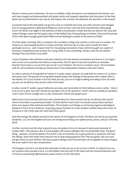blood or came across a demoniac, He was not defiled, rather the person was healed and the demon cast out! Jesus taught and demonstrated with great clarity and frequent repetition that the power of the Holy Spirit was not diminished in any way by the impure, the unclean, the diseased, the demonic or the insane!

A preacher full of the Holy Spirit can go into a bar or a brothel and come out with converts and changed lives! A young preacher called David Wilkerson went to New York and even transformed a bikie gang! Corrie Ten Boom was alight in the darkness of Nazi concentration camps that did not destroy her soul, and Jackie Pullinger went into the opium dens of the Walled City of Hong Kong to minister Christ and the power of the Holy Spirit brought great Spirit-filled revival! Nothing is unclean to the person of faith!

The Paul adds a warning: Still, to someone who considers a thing to be unclean, to that one it is unclean. For instance to some people alcohol is unclean and they will never go to a bar, and it would hurt them spiritually to do so – and I respect that! For me playing tournament chess (which brought out a spirit of excessive competition) was unclean for a long while. It was something I simply could not do without sinning! There are limits to our faith!

I know Christians who minister to the porn industry and who attend conventions and shows in Las Vegas – and can do so successfully and without compromise. But for 99% of men that would be an absolute disaster! Paul warns us so we don't go too far in our freedom. We have to combine Jesus' call to freedom with his call to holiness! (Scriptures always have to be interpreted in balance with each other).

So when a person of strong faith for whom X is clean, meets a person of weak faith for whom X is unclean – who gives way? The person of strong faith should respect the feelings of the person with weaker faith in the matter: *For if your brother is hurt by what you eat, you are no longer walking according to love. By what you eat, do not destroy that one for whom Christ died.* 

In other words if I prefer a good California red wine, and my brother in Christ believes wine is sinful – then it is up to me to give way and I should not partake in his or her presence. I don't want to stumble an alcoholic, I don't want to hurt a single soul, so the communion will be with grape juice!

Liberty has to be exercised with love and consideration for those around me *do not destroy that one for whom Christ died* is a powerful principle! If Christ died for them, then we should nurture them and love them and respect their spiritual sensitivities. This includes such things as not having vigorous theological debates in front of new believers. Exposing young Christians to some scholars' doubts about the Canon of Scripture or the Trinity does far more harm than good!

Paul then brings the debate around to the nature of the Kingdom of God: *Therefore, do not let your good be slandered, (17) for the kingdom of God is not eating and drinking, but righteousness, peace, and joy in the Holy Spirit.*

In other words do not let what is good to you, be spoken of as evil, because it destroyed someone of weaker faith. I like peanuts. But to some people with peanut allergies they are potentially fatal. The good thing – peanuts, would be spoken of as evil if I was so insensitive as to give peanuts to someone who had the allergy. Does that mean that everyone has to stop eating peanuts? No! They are good! But you must not give them to your brother who has a peanut allergy! (And that principle can be applied to many things). We must walk in love and consideration.

The Kingdom of God is not about the externals of what you do or do not eat or drink. It is about how you act towards other people in love. It is the hidden internal stuff of the heart and the transformational work of God in us producing righteousness, peace and joy in the Holy Spirit.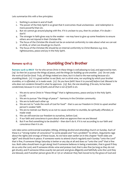Lets summarize this with a few principles:

- 1. Nothing is unclean in and of itself.
- 2. The power of the Holy Spirit is so great that it overcomes ritual uncleanness and redemption is more powerful than sin.
- 3. But we cannot go around playing with fire. If it is unclean to you, then its unclean. If in doubt don't!
- 4. The stronger in faith gives way to the weaker we may have to give up some freedoms to ensure others are not injured in their Christian life.
- 5. The focus of the Christian life should not be on external conformity to rules about what we can eat or drink, or when we should go to church.
- 6. The focus of the Christian life should be on internal conformity to Christ-likeness e.g. love, righteousness, peace and joy in the Holy Spirit.

# *Romans 14:18-23* **Stumbling One's Brother**

**Romans 14:18-23 MKJV** *For he who serves Christ in these things is well-pleasing to God, and approved by men. (19) So then let us pursue the things of peace, and the things for building up one another. (20) Do not undo the work of God for food. Truly, all things indeed are clean, but it is bad to the man eating because of a stumbling-block. (21) It is good neither to eat flesh, nor to drink wine, nor anything by which your brother stumbles, or is offended, or is made weak. (22) Do you have faith? Have it to yourself before God. Blessed is he who does not condemn himself in what he approves. (23) But, the one doubting, if he eats, he has been condemned, because it is not of faith; and all that is not of faith is sin.*

- 1. We are to serve Christ in "these things" that is righteousness, peace and joy in the Holy Spirit.  $(17,18)$
- 2. We are to pursue "the things of peace" harmony in the Christian community
- 3. We are to build each other up
- 4. We are not to "undo the work of God for food" that is use our freedom in Christ to upset another person's weaker faith
- 5. We are to restrain our liberty so as not to cause a brother to stumble, be spiritually offended, or made weak
- 6. We can still exercise our freedom to ourselves, before God.
- 7. If our faith and conscience is pure about what we approve then we are blessed
- 8. But if we find something to be doubtful then don't do it. If it is not according to our faith and conscience then it is sin.

Lets take some controversial examples: tithing, drinking alcohol and attending church on Sunday. Each of these is a "strong matter of conscience" to some people and "not a problem" to others. Arguments rage about the rights and wrongs of these issues. As we have seen earlier on in this chapter "both sides are right" and should live in peace. If someone wants to attend church regularly each Sunday "unto the Lord" that is fine, if someone things Saturday is better or any day at all and does so "unto the Lord" that is fine too. Both sides should learn to get along! And if someone believes in being a teetotaler, that is good if they do so unto the Lord, and if someone drinks wine and praises God, that is also fine (as long as they do not get drunk), and if someone tithes exactly ten percent and gives diligently and faithfully unto the Lord they are blessed, and if another person gives 8% or 15% or whatever they feel moved to by the grace of God and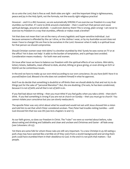do so unto the Lord, that is fine as well. Both sides are right – and the important thing is righteousness, peace and joy in the Holy Spirit, not the formula, not the exactly right religious practice!

However – and it is a BIG however, we are automatically WRONG if we exercise our freedom in a way that stumbles our brother. If I were to drink around a teetotaler – then I could hurt that person and cause spiritual damage, around an alcoholic - I could even destroy them! This is wrong, plain wrong! I am never to exercise my freedom in a way that stumbles, offends or makes weak a brother!

Yet that does not mean that I am at the mercy of every legalistic and hyper-sensitive individual. Just because someone is offended by the car I drive, or the clothes I wear, or by my Australian accent does not mean I have to change! We are free to be ourselves in the Lord. However when it really is a spiritual issue for that person we should compromise.

Should Christian women wear mini-skirts? Is a brother stumbled by this? Surely he sees worse on TV or at the office? Yet it does not help! It adds to the burden of temptation, and is perhaps best avoided. Consideration means modesty – for both men and women.

On issue after issue we have to balance our freedom with the spiritual effects of our actions. Mini-skirts, lottery tickets, Sabbaths, meat offered to idols, alcohol, tithing or grace giving, or even driving an SUV or Hybrid can be contentious issues.

In the end we have to make up our own mind according to our own conscience. *Do you have faith? Have it to yourself before God. Blessed is he who does not condemn himself in what he approves.*

And if we do decide that something is doubtful or off-limits then we should abide by that and not try to do things just for the sake of "personal liberation": *But, the one doubting, if he eats, he has been condemned, because it is not of faith; and all that is not of faith is sin.*

If you feel bad about not tithing – then you must tithe! If you feel guilty when you take a drink – then don't drink. If you feel something is wrong if you are not at church on Sunday – then you must go to church! You cannot violate your conscience but you can slowly reeducate it.

The apostle Peter was very strict about what he would and would not eat until Jesus showed him a vision and told him to eat that which Peter considered unclean. Then Peter had trouble visiting Gentiles – until God showed him that too was OK (see Acts chapters 10 and 11).

As our faith grows, so does our freedom in Christ. The "rules" we were so worried about before, rules about eating and drinking and Sabbaths and clean and unclean and Christmas and Easter - all fade away (see Colossians 2:8-23).

Yet there are some folk for whom those rules are still very important. To a new Christian in 45 AD eating a pork chop may have seemed like a terrible sin (if they were from a Jewish background) and serving them pork could have stumbled them in their obedience to God. In the end it is not pork that matters – but people.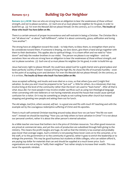# *Romans 15:1-3* **Building Up Our Neighbor**

**Romans 15:1-3 HCSB** *Now we who are strong have an obligation to bear the weaknesses of those without strength, and not to please ourselves. (2) Each one of us must please his neighbor for his good, in order to build him up. (3) For even the Messiah did not please Himself. On the contrary, as it is written, The insults of those who insult You have fallen on Me.*

There is a certain amount of proper inconvenience and self-restraint in being a Christian. The Christian life is not "all about me" or about "self-fulfillment", rather it is about community, grace, edification and loving "one another".

The strong have an obligation toward the weak – to help them, to bless them, to strengthen them and to be considerate toward them. If someone is limping, we slow down, give them a hand and go together with them to their destination. This applies also to spiritual things. It is a team effort and we need to "slow down" and help the weaker brothers in our midst. The person we please is our neighbor – and not ourselves: *Now we who are strong have an obligation to bear the weaknesses of those without strength, and not to please ourselves. (2) Each one of us must please his neighbor for his good, in order to build him up.* 

Jesus had every right to please Himself. He could have asked God for a gold chariot and a grand palace and been perfectly worthy of them! Instead of living the high life, He chose the life of incarnate humility – even to the point of accepting scorn and derision: *For even the Messiah did not please Himself. On the contrary, as it is written, The insults of those who insult You have fallen on Me.*

Jesus accepted suffering, and insults and even died on a cross, so that others (you and I) might find salvation. So also you and I must be prepared to be "put out" a little for others. As a missionary that may involve living at the level of the community rather than the level I am used to "back home". After all that is what Jesus did. For most people it may involve smaller sacrifices such as using non-theological language when conversing with new believers or not having materials around the house that would cause spiritual confusion for a visitor. Or it may be something as simple as not rushing home after church but instead stopping and greeting new people and asking them out for lunch.

The old adage, *God first, others second, self last -* is a good one and fits with much NT teaching and with the example set by the courageous redemptive suffering of Christ and His apostles.

There is much self-centered Christian teaching around today about how we can have "the life we want now". Instead we should be teaching: "How you can help others to have salvation in Christ"! It is not about our personal comfort, rather it is about the other person's eternal salvation.

As a bible teacher one issue that bothers me is the price of Christian resources. Too often good resources are priced at commercial rates, and yet the costs of production are subsidized through faith giving to the ministry. This means the profit margins are huge. As well as that the ministry is tax exempt and probably pays lower than average wages. Such a ministry is not passing these lower costs on to the consumer, or to the staff, or to the government or to the community in general, rather it goes to enrich the leadership or to enlarge the premises. This may be good business but students at bible colleges, who can seldom afford it, are paying top dollar for materials that can and should be supplied at a much lower price. Such organizations are not acting to "edify their neighbor" but rather simply to increase their wealth. This was never the apostolic mindset.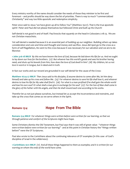Every ministry worthy of the name should consider the needs of those they minister to be first and foremost – and profits should be way down the list of priorities. There is way to much "commercialized Christianity" and way too little apostolic and redemptive simplicity.

Peter once said to Jesus 'we have given up all to follow You" (Matthew 19:27). That is the true apostolic spirit! Peter and Paul did not please themselves but followed Christ and built up His Church!

Self-denial is not good in and of itself. Paul knocks that squarely on the head in Colossians 2:18-23. We are not Christian masochists.

Yet self-denial is needed because it is an essential part of building up our neighbor. Building others up takes consideration and care and time and thought and money and sacrifice. Jesus did npot go to the cross as a form of self-flagellation, He went to the cross because it was necessary for our salvation and we are to do likewise:

**1 John 3:16-18 MKJV** *By this we have known the love of God, because He laid down His life for us. And we ought to lay down our lives for the brothers. (17) But whoever has this world's goods and sees his brother having need, and shuts up his bowels from him, how does the love of God dwell in him? (18) My children, let us not love in word or in tongue, but in deed and in truth.*

In fact our works and our reward are grounded in our self-denial for the cause of the Cross:

**Matthew 16:24-27 MKJV** *Then Jesus said to His disciples, If anyone desires to come after Me, let him deny himself and take up his cross and follow Me. (25) For whoever desires to save his life shall lose it, and whoever desires to lose his life for My sake shall find it. (26) For what is a man profited if he shall gain the whole world and lose his own soul? Or what shall a man give in exchange for his soul? (27) For the Son of Man shall come in the glory of His Father with His angels, and then He shall reward each one according to his works.*

Therefor let us not just please ourselves, but instead let us accept the inconvenience and restraints, and take up the cross that comes as we serve others in the Spirit.

## *Romans 15:4* **Hope From The Bible**

**Romans 15:4 MKJV** *For whatever things were written before were written for our learning, so that we through patience and comfort of the Scriptures might have hope.*

Some Christians dismiss the Old Testament, but Paul says that it was still of great value: "*whatever things were written before were written for our learning" -* and at this point in Christian history the "things written before" were the OT Scriptures.

Paul also wrote to the Corinthians about the continuing relevance of OT examples (in this case of God's discipline of Israel in the wilderness).

**1 Corinthians 10:11 MKJV** *(11) And all these things happened to them as examples; and it is written for our warning on whom the ends of the world have come.*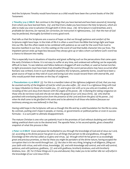And the Scriptures Timothy would have known as a child would have been the current books of the Old Testament:

**2 Timothy 3:14-17 MKJV** *But continue in the things that you have learned and have been assured of, knowing from whom you have learned them, (15) and that from a babe you have known the Holy Scriptures, which are able to make you wise to salvation through faith in Christ Jesus. (16) All Scripture is God-breathed, and is profitable for doctrine, for reproof, for correction, for instruction in righteousness, (17) that the man of God may be perfected, thoroughly furnished to every good work.*

Paul tells us that the Scriptures are a source of hope: *so that we through patience and comfort of the Scriptures might have hope.* In the trials of life it is often a word from the Bible that brings light and hope into our life. But this often needs to be combined with patience as we wait for the word from God to become manifest in our lives. It is this waiting on the word of God that builds character into our lives. The impatient person ends up hope-less because they always give up or take a short-cut before God's word has a chance to blossom into reality.

This is especially true in situations of injustice and great suffering such as the persecutions that came upon the early Christians in Rome. It is not easy to suffer at any time, and undeserved suffering can be especially difficult to bear. To see relatives and fellow-believers dragged off and crucified, or used as human torches to light processions must have been truly dreadful (though the worst persecutions may have occurred after Romans was written). Even in such dreadful situations the Scriptures, patiently borne, would have been a great source of hope as they told of a just and loving God who would reward them with eternal life, and who would punish their enemies on the Day of Judgment.

**2 Thessalonians 1:5-10 MKJV** *(5) For this is a manifest token of the righteous judgment of God, that you may be counted worthy of the kingdom of God for which you also suffer, (6) since it is a righteous thing with God to repay tribulation to those who trouble you, (7) and to give rest with us to you who are troubled, at the revealing of the Lord Jesus from Heaven with the angels of His power, (8) in flaming fire taking vengeance on those who do not know God and who do not obey the gospel of our Lord Jesus Christ, (9) who shall be punished with everlasting destruction from the presence of the Lord and from the glory of His power, (10) when He shall come to be glorified in His saints and to be admired in all those who believe (because our testimony among you was believed) in that Day.*

Having solid hope in the Scriptures will see us though this life and lay a solid foundation for the life to come. By contrast, putting one's hope in people, or money, or governments or political parties or even in success formulas – is a sure path to ultimate disappointment.

The mature Christian is one who can patiently trust in the promises of God without doubting and without taking unethical short-cuts to the desired end. The apostle Peter, in his second epistle, gives a beautiful snapshot of what this process is like:

**2 Peter 1:2-8 MKJV** *Grace and peace be multiplied to you through the knowledge of God and of Jesus our Lord, (3) according as His divine power has given to us all things that pertain to life and godliness, through the knowledge of Him who has called us to glory and virtue, (4) through which He has given to us exceedingly great and precious promises, so that by these you might be partakers of the divine nature, having escaped the corruption that is in the world through lust. (5) But also in this very thing, bringing in all diligence, filling out your faith with virtue, and with virtue, knowledge; (6) and with knowledge self-control, and with self-control, patience, and with patience, godliness, (7) and with godliness, brotherly kindness, and with brotherly kindness, love. (8) For if these things are in you and abound, they make you to be neither idle nor unfruitful in the knowledge of our Lord Jesus Christ.*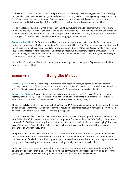In the central place in Christian growth are phrases such as "*through the knowledge of Him"* and " *through which He has given to us exceedingly great and precious promises, so that by these you might be partakers of the divine nature".* As we get to know God and as we rely on His wonderful promises the rest unfolds around us – and this knowledge of God and His promises almost entirely comes from the Bible.

It is as we steadfastly believe what is written in the Bible, including the Old Testament, that we come to know God and grow in faith. Note that I say "believe" not just "know". We have to trust the Scriptures, and hang on them as true words from God with real application to our lives. The key example here is Abraham trusting God for the birth of Isaac despite the discouraging external realities.

**Romans 4:18-22 MKJV** *For he who beyond hope believed on hope for him to become the father of many nations (according to that which was spoken, "So your seed shall be"). (19) And not being weak in faith, he did not consider his own body already dead (being about a hundred years old) or the deadening of Sarah's womb. (20) He did not stagger at the promise of God through unbelief, but was strong in faith, giving glory to God, (21) and being fully persuaded that what God had promised, He was also able to perform. (22) And therefore it was imputed to him for righteousness.*

Let us therefore take solid refuge in the Scriptures knowing that in trusting God's promises we shall find hope in the midst of life!

## *Romans 15:5-7* **Being Like-Minded**

**Romans 15:5-7 HCSB** *Now may the God of endurance and encouragement grant you agreement with one another, according to Christ Jesus, (6) so that you may glorify the God and Father of our Lord Jesus Christ with a united mind and voice. (7) Therefore accept one another, just as the Messiah also accepted you, to the glory of God.*

**Romans 15:5-7 MKJV** A*nd may the God of patience and consolation grant you to be like minded toward one another according to Christ Jesus, (6) so that with one mind and one mouth you may glorify God, even the Father of our Lord Jesus Christ. (7) Therefore receive one another as Christ also received us, to the glory of God.*

These verses tel us that Christian unity is first a gift of God "*grant you to be like-minded*" and secondly an act of obedience "t*herefore accept one another*" that results in clearly manifest glory for God: "*glorify the God and Father of our Lord Jesus Christ*" ..... "*to the glory of God*".

It is the character of God manifest in us and among us that allows us to put up with one another – which is why Paul calls on "*the God of endurance and encouragement"* also translated as " *the God of patience and consolation".* God is not touchy, prickly or defensive. Rather He is patient, kind and encouraging! These are great "team player" qualities that help Christians to hang in there together among all the tests and challenges of Christian fellowship.

The phrase "agreement with one another" or "like-minded toward one another" is "phronein en allelois" which can be translated 'interested in one another" or "thoughtful toward one another". Phronein is from the Greek word family that describes cognition (phroneo) and means to think about, or to pay attention to. Unity comes from caring about one another and being actually interested in each other.

So far we have a community of people that is interested in one another and is patient and encouraging toward one another – that is a pretty good start! This community then proceeds to worship as one: *so that you may glorify the God and Father of our Lord Jesus Christ with a united mind and voice.*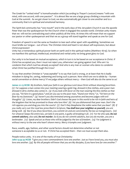The Greek for "united mind" is homothumadon which (according to Thayer's Lexicon) means "with one mind, with one accord, with one passion". It is almost like we are a large group climbing a mountain with God at the summit. As we get closer to God, we also automatically get closer to one another and to a community that is in spiritual and emotional harmony.

The Spirit-led community has "one mouth" and in the early days of the Jerusalem Church it was the apostle Peter that was the spokesperson for the Church when it engaged the outside world. Christian unity means that we will not be contradicting each other publicly all the time. At times this will mean that we support our pastor or other spokesperson and that we as a group will stand together and speak as one for God.

Freedom of speech is not the same as freedom to tear each other apart with squabbling. Sometimes we must bridle our tongue – out of love. The Christian mind and heart is not about self-expression, but about Christ-expression!

Unity has a tremendous spiritual power both on earth and in the spiritual realms (Matthew 18:19). So when we manifest this spiritual, intellectual, emotional and verbal unity we bring great glory to God.

Our unity is to be based on mutual acceptance, which in turn is to be based on our acceptance in Christ. If Christ has accepted you, then I must not reject you, otherwise I am going against God. Who am I to condemn that which God has already accepted? And who is any man or woman who dares to condemn what Christ has justified through the Cross?

To say that another Christian is "unacceptable" is to say that God is wrong, or at least that He is badly mistaken in dying for, saving, redeeming and loving such a person. Now which are we to abide by – human social convention or divine mercy? If we judge others without mercy – then God will also do the same to us!

**James 2:1-13 HCSB** *My brothers, hold your faith in our glorious Lord Jesus Christ without showing favoritism. (2) For suppose a man comes into your meeting wearing a gold ring, dressed in fine clothes, and a poor man dressed in dirty clothes also comes in. (3) If you look with favor on the man wearing the fine clothes so that you say, "Sit here in a good place," and yet you say to the poor man, "Stand over there," or, "Sit here on the floor by my footstool," (4) haven't you discriminated among yourselves and become judges with evil thoughts? (5) Listen, my dear brothers: Didn't God choose the poor in this world to be rich in faith and heirs of the kingdom that He has promised to those who love Him? (6) Yet you dishonored that poor man. Don't the rich oppress you and drag you into the courts? (7) Don't they blaspheme the noble name that you bear? (8) If you really carry out the royal law prescribed in Scripture, You shall love your neighbor as yourself, you are doing well. (9) But if you show favoritism, you commit sin and are convicted by the law as transgressors. (10)*  For whoever keeps the entire law, yet fails in one point, is guilty of breaking it all. (11) For He who said, Do not *commit adultery, also said, Do not murder. So if you do not commit adultery, but you do murder, you are a lawbreaker. (12) Speak and act as those who will be judged by the law of freedom. (13) For judgment is without mercy to the one who hasn't shown mercy. Mercy triumphs over judgment.*

Race, wealth, age, fashion, and other social factors should not determine whether or not someone is acceptable to us or not. If Christ has accepted them – then we must accept them also.

People notice unity. It is one of the marks of true Christianity:

**John 13:34-35 HCSB** *"I give you a new commandment: love one another. Just as I have loved you, you must also love one another. (35) By this all people will know that you are My disciples, if you have love for one another."*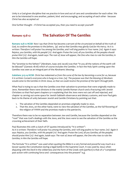Unity is a God-given discipline that we practice in love and out of care and consideration for each other. We are to be interested in one another, patient, kind and encouraging, and accepting of each other - because Christ has also accepted us!

One further thought – if Christ has accepted you, then you need to accept yourself!

## *Romans 15:8-12* **The Salvation Of The Gentiles**

**Romans 15:8-12 HCSB** *Now I say that Christ has become a servant of the circumcised on behalf of the truth of God, to confirm the promises to the fathers, (9) and so that Gentiles may glorify God for His mercy. As it is written: Therefore I will praise You among the Gentiles, and I will sing psalms to Your name. (10) Again it says: Rejoice, you Gentiles, with His people! (11) And again: Praise the Lord, all you Gentiles; all the peoples should praise Him! (12) And again, Isaiah says: The root of Jesse will appear, the One who rises to rule the Gentiles; in Him the Gentiles will hope.*

The "promise to the fathers" (Abraham, Isaac and Jacob) was that "in you all the nations of the earth will be blessed" (Genesis 18:18) which of course includes the Gentiles. In fact the Holy Spirit coming upon the Gentiles was seen as an integral part of the Abrahamic blessing:

**Galatians 3:13-14 HCSB** *Christ has redeemed us from the curse of the law by becoming a curse for us, because it is written: Cursed is everyone who is hung on a tree. (14) The purpose was that the blessing of Abraham would come to the Gentiles in Christ Jesus, so that we could receive the promise of the Spirit through faith.*

What Paul is trying to say is that the Gentiles owe their salvation to promises that were originally made to Jews. Remember there were divisions in the mainly Gentile Roman church and a fracturing with Jewish Christians so that Paul spent chapters 9-11 explaining that the Jews were not cast off and rejected, and chapter 14 carving out some space for Jewish Sabbath observance and dietary customs, and now Paul gets back to his theme of unity between Jewish and Gentile Christians by pointing out that:

- 1. The salvation of the Gentiles depended on promises originally made to Jews.
- 2. That the Jews, on the other hand, were to view the salvation of the Gentiles, as the full flowering of the religion of YHWH and the promises made to the patriarchs.

Therefore there was to be no separation between Jew and Gentile, because the Gentiles depended on the "root" that was God's dealings with the Jews, and the Jews were to see the salvation of the Gentiles as the crowning achievement of their faith.

Paul illustrates this with a clutch of OT quotes introduced by "it is written": *As it is written: Therefore I will praise You among the Gentiles, and I will sing psalms to Your name. (10) Again it says: Rejoice, you Gentiles, with His people! (11) And again: Praise the Lord, all you Gentiles; all the peoples should praise Him! (12) And again, Isaiah says: The root of Jesse will appear, the One who rises to rule the Gentiles; in Him the Gentiles will hope.*

The formula "it is written" was used when quoting the Bible in a very formal and powerful way much as a lawyer quotes the Constitution during a legal battle in the Supreme Court. It was used by Jesus when disputing with the Devil in the wilderness and the form of the Greek verb (perfect) is that of a "completed past action with continuing force and consequences into the present" e.g.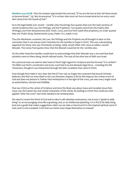**Matthew 4:3-4 HCSB** *Then the tempter approached Him and said, "If You are the Son of God, tell these stones to become bread." (4) But He answered, "It is written: Man must not live on bread alone but on every word that comes from the mouth of God."*

So in the legal battle over Jewish – Gentile unity Paul brings four quotes that over the main sections of Jewish Scripture (the Law, the Writings, and the Prophets). Two quotes were from the Psalms (the Writings), one from Deuteronomy (the Torah / Law), and one from Isaiah (the prophets). (In order quoted they are: Psalm 18:49, Deuteronomy 32:43, Psalm 117:1, Isaiah 11:10)

Thus the Abrahamic covenant, the Law, the Writings and the Prophets are all brought to bear on the conclusion that it was always God's intention for the Gentiles to hope in Christ. This was a devastating argument for those who saw Christianity as being solely Jewish affair with Jesus as solely a Jewish Messiah. The verses Paul quotes show that the Messiah would be for the Gentiles also.

On the other hand the Gentiles would have to acknowledge that their Messiah was a Jew and that their salvation came to them along Jewish railroad tracks. The root of the olive tree of faith was Israel.

On a practical note we need to take heed of Paul's high regard for Scripture and the formula "it is written". The Bible was Paul's constitution and every word had true and absolute legal force – including the Old Testament, thought it was interpreted through the later revelation that came in Christ.

Even though Paul made it very clear that the OT law was no longer the covenant that bound Christian believers and that we were dead to the Law (Romans chapters 6-8) he still respects the written word of God and does not jettison it. Rather Paul reinterprets it in the light of the cross, yet sees every single word as authoritative, inerrant and infallible.

Paul saw Christ as the center of Scripture and since the Book was about Jesus and revealed Jesus then Jesus was the master key and master interpreter of the whole. By looking to Christ Paul could see what applied "after the cross" and what needed to be reinterpreted.

We need to revere the Word of God and to take it with absolute seriousness, not as just a "guide to daily" living" or an encouraging verse like a greeting card, or an intellectual plaything. It is a RULE for daily living (not just a guide that makes suggestions which we can take or leave) and it is the inspired spiritual word of God, and it is the complete Truth that our minds must shape themselves to instead!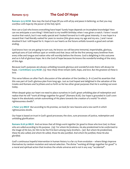# *Romans 15:13* **The God Of Hope**

**Romans 15:13 HCSB** *Now may the God of hope fill you with all joy and peace in believing, so that you may overflow with hope by the power of the Holy Spirit.*

How can a God who knows everything have hope? Surely hope depends on incomplete knowledge? How can we anticipate a sure thing? I think back to my twelfth birthday when I was given a watch. I knew I would receive that watch, but it was really special and I looked forward to it with great intensity. It was hope in a reward that I had literally waited for years to receive (this gives away my age and my era...) and I never doubted it but I still hoped for it. Hope is in our hearts as the future unfolds towards a good and certain ending.

God knows how we are going to turn out, He knows we will become immortal, imperishable, glorious, spiritual sons of God without spot or wrinkle and that Jesus will be the first among many brethren from every tribe and tongue and nation who will worship before the throne. God is delighting in this outcome and so is full of glorious hope. He is the God of hope because He knows the wonderful ending of the story of this Age.

Because God's purposes are always unfolding towards glorious and wonderful ends there will always be hope. **1 Corinthians 13:13 HCSB** *(13) Now these three remain: faith, hope, and love. But the greatest of these is love.*

This verse follows on after Paul's discussion of the salvation of the Gentiles (v. 8-12) and his assertion that this was part of God's glorious plan from long ago. Just as God hoped and delighted in the salvation of the Greeks and Romans and Scythians and so forth so He has other great purposes that He is working out even today.

When despair grips our heart we need to place ourselves in God's great unfolding plan of redemption and realize that He will "work all things together for good" (Romans 8:28). Our hope is grounded in God's own hope in the absolutely certain outworking of His plans towards the creation of a world "in which righteousness dwells".

**2 Peter 3:13 MKJV** *But according to His promise, we look for new heavens and a new earth in which righteousness dwells.*

Our hope is based on trust in God's good processes; the slow, sure processes of justice, redemption and unfolding glorification:

**Romans 8:28-30 MKJV** *And we know that all things work together for good to those who love God, to those who are called according to His purpose. (29) For whom He foreknew, He also predestined to be conformed to the image of His Son, for Him to be the First-born among many brothers. (30) But whom He predestined, these He also called; and whom He called, those He also justified. And whom He justified, these He also glorified.*

God's continuous hopeful intervention in human history is a far cry from evolution – where things improve themselves by random mutation and natural selection. The divine "working all things together for good" is a moral and spiritual action that involves the whole universe and is not in any way "accidental".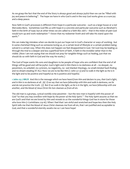As we grasp the fact that the end of the Story is always good and always joyful then we can be "filled with joy and peace in believing". The hope we have in who God is and in the way God works gives us a sure joy and a deep peace.

Now faith in God's processes is different from hope in a particular outcome – such as a large house or a red Mercedes-Benz. Sometimes God fills us with hope in a concrete and particular outcome such as Abraham's faith in the birth of Isaac but at other times we are called to a faith like Job's – that in the midst of pain God would turn up and work redemption " I know that my redeemer liveth and will take His stand upon the earth."

We can make big mistakes when we decide to put our hope not in God's character or ways of working - but in some cherished thing such as someone loving us, or a certain level of lifestyle or a certain problem being solved in a certain way. When this does not happen we feel disappointed in God. Yet God may be leading us through the trial to a deeper and less superficial form of faith. A faith in the invisible rather than in the visible. (Now I am not saying that we should not pray for tangible things such as healing, just that we should do so with faith in God and the way He works.)

The God of hope wants His sons and daughters to be people of hope who are confident that the end of all things will be good and will be joyful. God is light and in Him there is no darkness at all – no despair, no pessimism, no unbelief, no cynicism, no negativity, no wet blanket theology, no small-minded fault-finding and no dream-stealing AT ALL! Now we are to be like Him (1 John 3:1-3) and to walk in the light as He is in the light and to be positive and hopeful as He is positive and hopeful.

**1 John 1:5-7 MKJV** *And this is the message which we have heard from Him and declare to you, that God is light, and in Him is no darkness at all. (6) If we say that we have fellowship with Him and walk in darkness, we lie*  and do not practice the truth. (7) But if we walk in the light, as He is in the light, we have fellowship with one *another, and the blood of Jesus Christ His Son cleanses us from all sin.*

The old man is a grumpy, cynical worldly-wise pessimist – but the new man is hopeful with the power of God "*so that you may overflow with hope by the power of the Holy Spirit."* The Holy Spirit assures us that we are God's and that we are loved by Him and reveals to us the wonderful things God has in store for those who love Him (1 Corinthians 2:9-16). When I feel that I am sinful and wretched and hope-less then the Holy Spirit tells me that the blood of Jesus Christ cleanses me from all sin, that I am justified and acceptable to God, and that a wonderful eternity awaits me so I can have hope!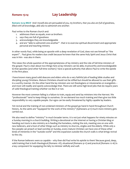# *Romans 15:14* **Lay Leadership**

**Romans 15:14 MKJV** *And I myself also am persuaded of you, my brothers, that you also are full of goodness, filled with all knowledge, able also to admonish one another.*

Paul writes to the Roman church and:

- 1. addresses them as equals, even as brothers
- 2. says they are full of goodness
- 3. acknowledges they are knowledgeable
- 4. and are "able to admonish one another" that is to exercise spiritual discernment and appropriate personal and teaching ministry

In other words Paul, while being an apostle with a deep revelation of God, does not see himself as "the expert" . Paul gives his readers due credit because he knew that the same Holy Spirit and Jesus Christ that was in him - was also in them.

This raises the whole question of the appropriateness of lay ministry and the role of full-time minsters of the gospel. Paul is clear about two things here a) lay minsters can be able, trustworthy and knowledgeable b) that apostles (and other full-time workers) have a special authority that allows Paul to write the epistle in the first place.

I have known many good solid deacons and elders who do a very faithful job of leading bible studies and discipling young Christians. Mature Christians should not be stifled but should be allowed to use their gifts in a worthy manner. On the other hand the lay minsters are not theologians or missionaries or evangelists – and most will readily and openly acknowledge that. There are still some high-level jobs that do require years of solid theological training whether we like it or not.

However the most common failing is a failure to train, equip and send lay ministers into the Harvest. We "professionals" tend to keep things to ourselves. Or we demand too much training and then give too little responsibility to very capable people. Our egos can be easily threatened by highly capable lay leaders.

Yet revival and the training of non-ordained ministers of the gospel go hand in hand throughout Church history. As the saints are "equipped for the work of the ministry" (Ephesians 4:11) much more ministry gets carried out.

We also need to define "ministry" in much broader terms. It is not just what happens for ninety minutes on a Sunday morning in a church building. Writing a devotional on the Internet or having a Christian blog or handing out tracts is also ministry as is feeding the homeless, visiting the sick, meeting one on one with new believers, and a host of other things such as ministry to shut-ins, singles and the elderly. While only a few people can preach or lead worship on Sunday, every mature Christian can have one of these other kinds of ministries in the "outside world" and this expansion outside the church walls is what brings revival to the city.

If the Roman believers were so capable – why then did Paul write his epistle to them? Because good, deep, solid training that is both theological (Romans 1-8), situational (Romans 9-11) and practical (Romans 12-16) is a key component for equipping the laity to minister skilfully and well.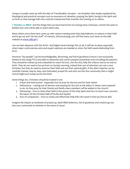Campus Crusade came up with the idea of Transferable Concepts – ten booklets that simply explained key theological and practical concepts such as assurance of salvation, praying the Spirit, loving in the Spirit and so forth so that average folk who could be trained and then transfer this training on to others.

**2 Timothy 2:2 MKJV** *And the things that you have heard from me among many witnesses, commit the same to faithful men who will be able to teach others also.*

Many others since then have come up with various training tools that help believers to mature in their faith and to go out and "do the stuff" of ministry. (Personal plug: you will find many such tools on the AIBI website at [www.aibi.ph](http://www.aibi.ph/) )

Can we then dispense with the M.Div. And higher level training? Not at all, it still has its place especially when major controversies arise and expert opinions are needed or when the faith needs defending from error.

However "lay people" can be knowledgeable, discerning, and full of goodness (virtue is not exclusively limited to the clergy PTL!) and able to admonish and correct people (sometimes even including the pastor!). They should be trained up and unleashed to reach the lost, visit the sick, help the widows and so on and so forth. They do not need to be up front on Sunday morning, indeed that sort of attention can ruin a new Christian, but they do need to exercise their faith and use their spiritual gifts. If the silent majority can be carefully trained, step by step, and motivated, prayed for and sent out into the community then a might revival might just sweep across the land!

Some things ALL Christians should be trained in are:

- 1. Prayer and intercession especially how to pray for the lost and for their nation
- 2. Deliverance casting out of demons and praying for the sick as the elders in James were required to do. As they pray for their friends and family many members will be added to the church!
- 3. Witnessing how to share their faith in the power of the Holy Spirit and how to teach new converts the basics of the Christian faith (Priscilla and Aquila)
- 4. Acts of compassion how to wisely and effectively help folk who need it most (as Dorcas did)

Imagine the impact as hundreds of prayed up, Spirit-filled believers, full of goodness and wisdom go out into your community to minister in the name of Jesus!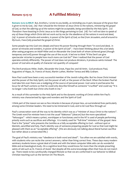## *Romans 15:15-19* **A Fulfilled Ministry**

**Romans 15:15-19 MKJV** *But, brothers, I wrote to you boldly, as reminding you in part, because of the grace that is given to me by God, (16) that I should be the minister of Jesus Christ to the nations, ministering the gospel of God, so that the offering up of the nations might be acceptable, being sanctified by the Holy Spirit. (17) Therefore I have boasting in Christ Jesus as to the things pertaining to God. (18) For I will not dare to speak of any of those things which Christ did not work out by me for the obedience of the nations in word and deed, (19) in power of miracles and wonders, in power of the Spirit of God, so that from Jerusalem, and all around to Illyricum, I have fully preached the gospel of Christ.*

Some people tap into God very deeply and have His power flowing through them "*in word and deed, in power of miracles and wonders, in power of the Spirit of God".* I have been thinking about this a lot lately after seeing programs on Adolf Hitler and on Alexander the Great both of whom achieved great (though temporary and evil) power through the use of the occult. It led me to think "if the Devil can give spectacular victories to people how much more can God do?" then I realized that the power of God operates entirely differently. The power of God does not produce dictators, it produces saints instead! The power of God aims at quality of character not quantity of conquest!

The Devil produces Hitler, Stalin, Alexander the Great, Papa Doc and Idi Amin. God produces Paul, Augustine of Hippo, St. Francis of Assisi, Martin Luther, Mother Teresa and Billy Graham.

Now Paul could have been a very successful member of the Jewish ruling elite. But he chose Christ instead and the power of the Holy Spirit, not the power of self, or the power of the Devil. When the broken Paul let God take him over there was a realigning of the source of personal power. God came in and became the locus for all Paul's actions so that he could only describe himself as someone "crucified" and could say "it is no longer I who liveth but Christ who liveth in me."

As a result of this surrender to the Holy Spirit and to the dynamic working of Christ within him Paul's ministry was characterized by signs and wonders and the Spirit of God!

I think part of the reason we see so few miracles is because of prayer-less, un-surrendered lives particularly among some Christian leaders. We need to be immersed in God, and to let God flow through us!

Paul's consecration went all the way to his identity which was as a "minister of Jesus Christ to the nations". The Greek word for minister here is not the usual "diakonos" (deacon) but the more specialized "leitourgos" - which means a priest, worshipper or functionary and in the NT is used of people performing priestly work such as sacrifices and offerings. It is mainly used for "full-time" ministers of the gospel. Here Paul is the "priest" who presents the Gentiles as a fully acceptable offering to God – without spot or blemish, sanctified and holy. Paul's identity was of someone preparing people for God so that God might be pleased with them as an "acceptable offering". (We are obviously not talking about literal human sacrifice but rather about a consecrated life.)

The goal of Paul's ministry was "obedience in both word and deed". Too often we are satisfied with words, with students who can recite the correct answers, rather than living correct lives. These days many modern seminary students know a great deal of Greek and with the latest computer bible aids can do wonderful bible and archaeological study. On a cognitive level they would know far more than the simple preaching saints of old such as St. Francis of Assisi! But despite all this extra knowledge often their lives do not match up. There needs to be a profoundly changed lifestyle so that we are conformed in our behavior to biblical Christian teaching such as the Sermon On The Mount.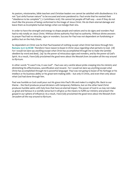As pastors, missionaries, bible teachers and Christian leaders we cannot be satisfied with disobedience. It is not "just sinful human nature" to be excused and even pandered to. Paul wrote that he wanted their "obedience to be complete" ( 2 Corinthians 10:6). We cannot let people off half way – even if they do not much like the process of being conformed to the image of Jesus Christ. We do them eternal damage and leave them as incomplete human beings when we indulge their sins.

In order to have the strength and energy to shape people and nations and to do signs and wonders Paul had to rely totally on Jesus Christ. Without divine authority Paul had no authority. Without divine answers to prayer Paul had no miracles, signs or wonders. Success for Paul was not dependent on fundraising or politics but on the Holy Ghost.

So dependent on Christ was he that Paul boasted of nothing except what Christ had done through him: **Romans 15:17-19 HCSB** *Therefore I have reason to boast in Christ Jesus regarding what pertains to God. (18) For I would not dare say anything except what Christ has accomplished through me to make the Gentiles obedient by word and deed, (19) by the power of miraculous signs and wonders, and by the power of God's Spirit. As a result, I have fully proclaimed the good news about the Messiah from Jerusalem all the way around to Illyricum.*

In other words "it wasn't me, it was God". Paul was very careful about pride creeping into his ministry and diminishing his effectiveness, sanctification and reward. *For I would not dare say anything except what Christ has accomplished through me* is powerful language! Paul was not going to boast of his heritage or his intellect or his business ability or his great tent-making skills – but only in Christ, and even then only about what God had done through him.

Paul was humble so God could pour out His grace into Paul's life and make it a mighty life. Back to our theme – the Devil produces proud dictators with temporary fiefdoms, but on the other hand Christ produces humble saints with holy lives that have an eternal impact. The power of God in us may not make us great and famous in a worldly sense but it will give us the means to fulfill our ministry and preach the gospel in our sphere of influence: *As a result, I have fully proclaimed the good news about the Messiah from Jerusalem all the way around to Illyricum.*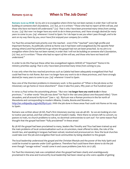### *Romans 15:20-24* **When Is The Job Done?**

**Romans 15:20-24 HCSB** *So my aim is to evangelize where Christ has not been named, in order that I will not be building on someone else's foundation, (21) but, as it is written: "Those who had no report of Him will see, and those who have not heard will understand." (22) That is why I have been prevented many times from coming to you. (23) But now I no longer have any work to do in these provinces, and I have strongly desired for many years to come to you (24) whenever I travel to Spain. For I do hope to see you when I pass through, and to be sent on my way there by you, once I have first enjoyed your company for a while.*

For Paul the unreached took priority over the reached – even if the "reached" were high profile and important Romans. As politically central as Rome was it had been well evangelized (by the apostle Peter among others) and Paul preferred to go where the gospel had not yet been preached. *So my aim is to evangelize where Christ has not been named, in order that I will not be building on someone else's foundation, (21) but, as it is written: "Those who had no report of Him will see, and those who have not heard will understand."* 

In order to do this Paul put these other less evangelized regions AHEAD of "important" Rome in his ministry priorities saying: *That is why I have been prevented many times from coming to you.*

It was only when the less reached provinces such as Galatia had been adequately evangelized that Paul could feel free to visit Rome. *But now I no longer have any work to do in these provinces, and I have strongly desired for many years to come to you (24) whenever I travel to Spain.* 

Now one of the thorniest problems in missionary work is the question of "When is the job done so the missionary can go home or move elsewhere?" Does it take five years, fifty years or five hundred years?

In verse 23 Paul writes the astonishing phrase: "*But now I no longer have any work to do in these provinces.."* In other words "the job was done" for Paul in the vast area (about one thousand miles) "*from Jerusalem, and all around to Illyricum*" (see v. 19). Illyricum was a Roman province in the far north of Macedonia and corresponding to modern Albania, Croatia, Bosnia and Slovenia (see <http://en.wikipedia.org/wiki/Illyricum> ) With the job done in these areas Paul could visit Rome on his way to Spain.

Romans was written about 58 AD, Paul's first missionary journey was 46-48 AD. So we are looking at a ten to twelve year period, and that without the aid of modern media. Were there no sinners left to convert, no pastors to train, no church problems to solve, no doctrinal controversies to sort out? For some reason Paul thought that the gospel had been "fully proclaimed" in these areas!

By 58 AD the gospel had been proclaimed to many, leaders like Timothy and Titus had been trained up and the main problems of local contextualization such as circumcision, meat offered to idols, the role of the Jewish law, and speaking in tongues had been solved, resolved and pronounced on. Now the local churches could take over the job and evangelize their local communities by being obedient to the gospel.

The local leadership understood the gospel and the Christian lifestyle and the power of the Holy Spirit and could be trusted to operate under God's guidance. Therefore Paul could leave them alone to do the job even though "savage wolves" would come in and cause problems (see Acts 20:17-38).

For Paul the missionary task was completed when the gospel had been clearly and unambiguously proclaimed in the area and trustworthy local leadership had been raised up who were capable of getting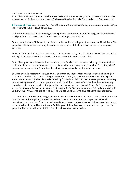God's guidance for themselves.

Paul did not wait until the local churches were perfect, or were financially sound, or were wonderful bible scholars. Once "faithful men (and women) who could teach others also" were raised up Paul moved on!

**2 Timothy 2:2 HCSB** *And what you have heard from me in the presence of many witnesses, commit to faithful men who will be able to teach others also.*

Paul was not interested in maintaining his own position or importance, or being the great guru and solver of all problems, or in maintaining control. Control belonged to God alone!

Paul allowed the local Christians to run their churches with a high degree of autonomy and local flavor. The gospel was the same but the food, dress and certain aspects of the leadership styles may be very, very different.

The whole idea for Paul was to produce churches that were run by Jesus Christ and filled with love and the Holy Spirit. Jesus was to run the church, not man, and certainly not a corporation.

Paul did not produce a denominational handbook, or a Paulistic logo, or a centralized government with a multi-story head office and fierce executive assistants that kept people away from their "very important" bosses. Paul produced living, holy disciples who in turn produced other living, holy disciples.

So when should a missionary leave, and what does that say about what a missionary should be doing? A missionary should leave as soon as the gospel has been clearly proclaimed and the local leadership can stand on their own. This should not take "too long". If Paul could do it in twelve years, perhaps we can say twenty to fifty years of missionary presence should be all that it takes. After that the missionary society should move to new areas where the gospel has not been as well proclaimed: *So my aim is to evangelize where Christ has not been named, in order that I will not be building on someone else's foundation, (21) but, as it is written: "Those who had no report of Him will see, and those who have not heard will understand."*

Missionaries are there to bring the gospel to those who have not heard and should prioritize the unreached over the reached. This priority should cause them to avoid places where the gospel has been well proclaimed (such as most of South America) and focus on areas where it has hardly been heard at all – such as the Muslim, Hindu and Buddhist blocs. And the goal of the missions agency should be to proclaim the gospel and to make faithful Spirit-filled disciples who can teach others also.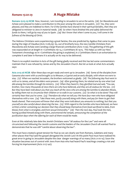## *Romans 15:20-29* **A Huge Mistake**

**Romans 15:25-29 HCSB** *Now, however, I am traveling to Jerusalem to serve the saints; (26) for Macedonia and Achaia were pleased to make a contribution to the poor among the saints in Jerusalem. (27) Yes, they were pleased, and they are indebted to them. For if the Gentiles have shared in their spiritual benefits, then they are obligated to minister to Jews in material needs. (28) So when I have finished this and safely delivered the funds to them, I will go by way of you to Spain. (29) But I know that when I come to you, I will come in the fullness of the blessing of Christ.*

The Hebrew Christians were experiencing a great famine, the one predicted by Agabus that came to pass during the reign of Claudius (Acts 11:28,29). So, out of brotherly love, the new Gentile Christians from Macedonia and Achaia were sending a large financial contribution (Acts 11:29). The gathering of this gift was expounded on at length in 1 Corinthians 16:1-4, 2 Corinthians 8:1-9:15. This helps us with our New Testament chronology as in 1 Corinthians the giving is explained, in 2 Corinthians there is an exhortation to complete it and later in Romans it is actually on its way to be delivered.

There is no explicit mention in Acts of the gift being gladly received and this has led some commentators maintain that it was refused by James and by the Jerusalem Church. But let us look at what Acts actually says:

**Acts 21:15-26 HCSB** *After these days we got ready and went up to Jerusalem. (16) Some of the disciples from Caesarea also went with us and brought us to Mnason, a Cypriot and an early disciple, with whom we were to stay. (17) When we reached Jerusalem, the brothers welcomed us gladly. (18) The following day Paul went in with us to James, and all the elders were present. (19) After greeting them, he related one by one what God did among the Gentiles through his ministry. (20) When they heard it, they glorified God and said, "You see, brother, how many thousands of Jews there are who have believed, and they are all zealous for the law. (21) But they have been told about you that you teach all the Jews who are among the Gentiles to abandon Moses, by telling them not to circumcise their children or to walk in our customs. (22) So what is to be done? They will certainly hear that you've come. (23) Therefore do what we tell you: We have four men who have obligated themselves with a vow. (24) Take these men, purify yourself along with them, and pay for them to get their heads shaved. Then everyone will know that what they were told about you amounts to nothing, but that you yourself are also careful about observing the law. (25) With regard to the Gentiles who have believed, we have written a letter containing our decision that they should keep themselves from food sacrificed to idols, from blood, from what is strangled, and from sexual immorality." (26) Then the next day, Paul took the men, having purified himself along with them, and entered the temple, announcing the completion of the purification days when the offering for each of them would be made.*

Even at this relatively late date the Jewish Christians were "all zealous for the Law" and were all circumcised and following the Jewish customs and the leaders of the Jerusalem Church all wanted Paul to demonstrate that he was still "careful about observing the law".

This must have created a great tension for Paul as we can clearly see from Romans, Galatians and many other places that Paul said the gospel abrogated the Jewish Law! At this point Paul must have realized his great error in going to Jerusalem despite the clear danger warnings of so many (Acts 21:10-14). Soon the situation becomes out of control with Jews from Asia who had heard Paul's teachings creating a riot and forcing his imprisonment (Acts 21:27-40).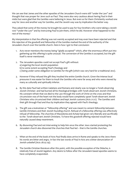We can see that James and the other apostles of the Jerusalem Church were still "under the Law" and thought that was proper for Jews such as Paul. They were also very cautious about having Paul in their midst but were glad that the Gentiles were believing in Jesus. But even so for them Christianity worked one way for Jews and another way for Gentiles, and the Jewish way was by implication the better way.

They asked that some of the money he brought be used to pay for four brothers who were taking a Jewish vow "under the Law" and by instructing Paul to join them, which he did. However what happened to the rest of the money?

My interpretation is that the offering was not warmly accepted and may even have been rejected and that this rejection of the goodwill and fellowship of the Gentiles marked the end of the authority of the Jerusalem church over the Gentile church. Here is how I got to that conclusion:

- 1. Acts never mentions the money being "gladly accepted" which, after the enormous effort put into gathering up this offering is quite unusual. The conversion of the Gentiles is accepted, but the gift itself is never mentioned.
- 2. The Jerusalem apostles could not accept Paul's gift without: a) angering the local Jewish population b) to some extent accepting Paul's theology and c) being under some obligation to Gentiles for the gift (which was very hard for a traditional Jew).
- 3. However if they refused the gift they insulted the entire Gentile church. Given the intense local pressures it was easier for them to insult the Gentiles who were far away and who were viewed by many as culturally and spiritually inferior.
- 4. By this date Paul had written Galatians and Romans and clearly was no longer a Torah-observing Jewish Christian and had burned all his theological bridges with Torah-observant Jewish Christians. His constant refrain that we died to the Law through the work of Christ on the cross and that circumcision was of the heart not the body would have completely upset Torah-observant Jewish Christians who circumcised their children and kept Jewish customs (Acts 21:21). The Gentiles sent their gift through Paul and thus by implication they agreed with Paul's theology.
- 5. The gift was a koinoinian or "fellowship offering" and was meant to cement fellowship between Gentile Christians and their Jewish founding church. Refusal of a fellowship offering was effectively refusal of fellowship. The churches of Macedonia and Achaia had given very liberally and sacrificially to the Torah-observant Jewish Christians. To have this goodwill offering rejected would have naturally caused deep resentment.
- 6. By disowning Paul and not intervening to help him once the other Jews started protesting the Jerusalem church also disowned the churches that Paul led – that is the Gentile churches.
- 7. When at the end of the book of Acts Paul finally does arrive in Rome and speaks to the Jews there his words are bitter and angry. In fact the last words of Paul in Acts are a bitter denunciation of Jewish unbelief (Acts 28:25-29).
- 8. The Gentile Christian literature after this point, with the possible exception of the Didache, is relatively free of Jewish legalism. Any desire to follow after the Jerusalem based apostles seems to have completely evaporated.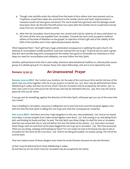- 9. Though Luke tactfully omits the refusal from the book of Acts others who were present such as Trophimus would have taken the word back to the Gentile church and Paul's imprisonment in Caesarea would not have gone unnoticed. The word would have got back and the damage would have been done. By the time Paul left prison two years later the Gentile church would have moved away from any Jerusalem based control.
- 10. After this the Jerusalem church becomes very Jewish and is led by relatives of Jesus until about 110 AD when all the Jews are expelled from Jerusalem. Towards the end it only accepted a Hebrew edition of the book of Matthew as the gospel. Its rejection of Paul's gift and of the validity of the faith of the Gentiles sent it into rapid and permanent decline.

What happened then? Paul's gift had a huge unintended consequence in splitting the early church. His attempt at reconciliation totally backfired. God even warned him not to go! Financial aid can seem a great idea but have terrible long term consequences! No matter how good or honorable our intentions or how deep our need for reconciliation and validation, we must follow the Holy Spirit.

Another spiritual lesson from this is seen today whenever denominational tradition or cultural pride causes group A to disdain group B. It is always those who reject fellowship, who are in turn rejected by God.

## *Romans 15:30-33* **An Unanswered Prayer**

**Romans 15:30-33 MKJV** *But I exhort you, brothers, for the sake of the Lord Jesus Christ and for the love of the Spirit, that you strive together with me in your prayers to God for me, (31) that I may be delivered from those disbelieving in Judea, and that my service which I have for Jerusalem may be accepted by the saints; (32) so that I may come to you with joy by the will of God, and may be refreshed with you. (33) Now may the God of peace be with you all. Amen.*

If you go and do something, against the direction of the Holy Spirit, will prayer get you out of the mess that you create?

Paul is heading to Jerusalem, everyone is telling him not to and God even send the prophet Agabus who tells him that the Holy Spirit is telling him not to go and what the consequences would be:

**Acts 21:9-14 MKJV** *And there were four virgin daughters to this one, who prophesied. (10) And as we stayed more days, a certain prophet from Judea named Agabus came down. (11) And coming to us, and taking Paul's belt, and binding his hands and feet, he said, The Holy Spirit says these things: So shall the Jews at Jerusalem bind the man whose belt this is, and will deliver him into the hands of the nations. (12) And when we heard these things, both we and those of the place begged him not to go up to Jerusalem. (13) Then Paul answered, What are you doing, weeping and breaking my heart? For I am ready not only to be bound, but also to die at Jerusalem for the name of the Lord Jesus. (14) And he not being persuaded, we ceased, saying, The will of the Lord be done.*

Paul was clearly aware of these dangers even when he wrote Romans because he asks the Romans:

- *a) that I may be delivered from those disbelieving in Judea,*
- *b) and that my service which I have for Jerusalem may be accepted by the saints;*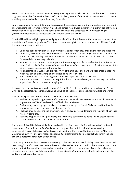Even at this point he was aware the unbelieving Jews might want to kill him and that the Jewish Christians might not accept his "service for the saints". Paul is clearly aware of the tensions that surround this matter – yet he goes ahead and asks people to pray fervently.

Paul was gambling on prayer! He knew the risks and the consequences and the warnings of the Holy Spirit but was hoping the fervent prayers of himself and others would work in his favor. But they did not work in his favor and he was lucky to survive, spent two years in jail and quite possibly (if my reasoning in yesterdays devotional was correct) split Christendom down the middle!

Now I still hold Paul in high regard as a mighty apostle of God, but this was not his smartest moment. It was a mistake and it was a huge mistake! Scripture is honest enough to record it - and we can still learn from it. Here are some lessons I see in this:

- 1. God does not answers prayers, even from great saints, when they are being foolish and stubborn.
- 2. Don't pray to change human nature *en masse*. The answer to Paul's prayer would have required the entire Jewish leadership and Torah-observant Jewish Christians to do a 180 degree cultural about face – and that was a very tall order!
- 3. Most of the time wisdom is more important than courage and discretion is often the better part of valor. Paul's reply *For I am ready not only to be bound, but also to die at Jerusalem for the name of the Lord Jesus* was courageous but foolhardy.
- 4. No one is infallible. Even if you are right 99.5% of the time as Paul may have been there is that 0.5% when you can be plain wrong and you need to be aware of that.
- 5. Your "one mistake" can have huge consequences especially if you are a leader.
- 6. It is more important to listen to the Holy Spirit that to our own desires, or our own logic or to the imperatives of even our most strategic plans.

It is very common in missionary work to have a "Grand Plan" that is impractical but which we are "in love with" and desperately try to make work, and as we do so the mess just keeps getting worse and worse.

Why did Paul press on? Perhaps there a few understandable reasons:

- 1. Paul had accepted a large amount of money from people all over Asia Minor and would have lost a huge amount of "face" and credibility if he had not delivered it.
- 2. Paul possibly had a huge personal need for acceptance by the Jewish Christians and the Jewish people whom he loved so much (see Romans 9-11).
- 3. Paul had once been at the top of Jewish society and could not understand the rejection of him that was now complete.
- 4. Paul had a type A "driven" personality and was highly committed to achieving his objectives and completing his projects. Failure was not an option.

God is merciful and He did not strike Paul dead and in fact God saved him from the worst of the Jewish conspirators. God understood Paul's mistake and forgave him – yet He did send many warnings beforehand. Prayer while it is a mighty force, is no substitute for listening to God and obeying Him in all wisdom and humility - even if it means abandoning or greatly altering a "pet project". Failure in the pet project is better than stubborn disobedience.

I, and many others in Christian service, can testify to the fact that we have foolishly gone ahead when God was saying "Whoa"! On such occasions the Grand Idea has become our "god" rather than the Lord. I take some comfort that even Paul made such a calamitous mistake. It is the mistake of one who strives and struggles and wrestles things to completion without giving in. Sometimes we should wake up, smell the coffee and acknowledge reality.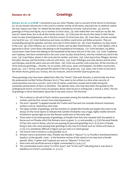### *Romans 16:1-16* **Greetings**

**Romans 16:1-16, 21-23 HCSB** *I commend to you our sister Phoebe, who is a servant of the church in Cenchreae. (2) So you should welcome her in the Lord in a manner worthy of the saints, and assist her in whatever matter she may require your help. For indeed she has been a benefactor of many--and of me also. (3) Give my greetings to Prisca and Aquila, my co-workers in Christ Jesus, (4) who risked their own necks for my life. Not only do I thank them, but so do all the Gentile churches. (5) Greet also the church that meets in their home. Greet my dear friend Epaenetus, who is the first convert to Christ from Asia. (6) Greet Mary, who has worked very hard for you. (7) Greet Andronicus and Junia, my fellow countrymen and fellow prisoners. They are outstanding among the apostles, and they were also in Christ before me. (8) Greet Ampliatus, my dear friend*  in the Lord. (9) Greet Urbanus, our co-worker in Christ, and my dear friend Stachys. (10) Greet Apelles, who is *approved in Christ. Greet those who belong to the household of Aristobulus. (11) Greet Herodion, my fellow countryman. Greet those who belong to the household of Narcissus who are in the Lord. (12) Greet Tryphaena and Tryphosa, who have worked hard in the Lord. Greet my dear friend Persis, who has worked very hard in the Lord. (13) Greet Rufus, chosen in the Lord; also his mother--and mine. (14) Greet Asyncritus, Phlegon, Hermes, Patrobas, Hermas, and the brothers who are with them. (15) Greet Philologus and Julia, Nereus and his sister, and Olympas, and all the saints who are with them. (16) Greet one another with a holy kiss. All the churches of Christ send you greetings....Timothy, my co-worker, and Lucius, Jason, and Sosipater, my fellow countrymen, greet you. (22) I Tertius, who penned this epistle in the Lord, greet you. (23) Gaius, who is host to me and to the whole church, greets you. Erastus, the city treasurer, and our brother Quartus greet you.*

These greetings may have been added later after the "Amen" that ends Romans 15 and include one from the amanuensis (scribe) Tertius (Romans 16:22). They seem to be written in a time when security of communication was not a concern. Such a list of names could have caused real trouble during the systematic persecutions of Nero or Domitian. The apostle John, who may have been the apostle to the underground church. is much more circumspect about what he put in writing (see 2 John  $\&$  3 John). This list of greetings is full of information about life in the early church. We find that:

- 1. This is almost a roll-call of Paul's ministry associates among the Gentiles and includes apostles, coworkers and the first convert from Asia (Epaenetus)
- 2. The term "apostle" is applied outside the Twelve and Paul and now includes itinerant missionary workers such as Andronicus and Junia.
- 3. The large number of greetings, and the mention of people like Priscilla and Aquila who seem to be always on the move seems to indicate that Gentile Christianity was a huge, highly mobile network of believers spread right across the Roman world even at this early date.
- 4. There seem to be three groups of greetings: a) People from Asia who traveled with the epistle to Rome such as Phoebe which the Romans were to greet (v.1,2 and possibly v.3-7) b) Personal friends of Paul who were in Rome, who he was passing his personal greetings to (v. 8-15) and c) People living in Asia who were passing their greetings to the church in Rome such as Tertius and Gaius (v. 21-23). It is sometimes difficult to figure out just who is in which group!
- 5. The church met in homes (v.5 and possibly 10,11)
- 6. Women were in prominent roles, Phoebe was literally a "deacon" (v.1), Priscilla is mentioned before Aquila  $(v.3)$  the apostle Junia – is the feminine version of the name) so we may have a female apostle. Mary, Tryphen and Tryphosa are seen as "laborers" in the Lord.
- 7. Hard work and sacrificial service is highly commended (v.2,4,6,7,12)
- 8. The commended work is done "in Christ Jesus" and "in the Lord" indicating that it was done in obedience to Christ's commands. (v. 3,11,12)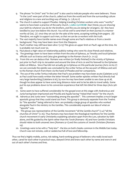- 9. The phrase "in Christ" and "in the Lord" is also used to indicate people who were believers. Those "in the Lord' were part of the church, called out from the world and from the surrounding culture and religions to a new and exciting way of being. (v. 7,8,10,11)
- *10.* The church is asked to support Phoebe. Helping traveling Christian workers who were "worthy" seems to have been a practice of the early church. **3 John 1:5-8 HCSB** *Dear friend, you are showing your faith by whatever you do for the brothers, and this you are doing for strangers; (6) they have testified to your love before the church. You will do well to send them on their journey in a manner worthy of God, (7) since they set out for the sake of the name, accepting nothing from pagans. (8) Therefore, we ought to support such men, so that we can be co-workers with the truth.*
- 11. The vast majority have Gentile names even though some are Paul's relatives or from a Jewish background. They may have been Jews from the Diaspora.
- 12. Paul's mother may still have been alive ! (v13) This gives an upper limit on Paul's age at this time. He is probably not much over 50.
- 13. Paul places a high value on relationship publicly noting who were his close friends and relatives.
- 14. The greetings seem to have been written from the area of Ephesus, as Timothy and local Ephesian officials such as Erastus and Gaius give greetings to the Roman church (v. 21-23)
- 15. From this we can deduce that Romans was written (or finally finished) in the vicinity of Ephesus just prior to Paul's trip to Jerusalem and around the time of Acts 20 and his farewell to the Ephesian elders at Miletus. Since Paul did not actually go to Ephesus on this particular journey (Acts 20:16,17) we can conclude the epistle was concluded by the scribe Tertius at the sea port of Miletus and sent to the Roman church from there via the hand of Phoebe and her companions.
- 16. The use of the scribe Tertius indicates that Paul's eye problem may have been acute (Galatians 4:15) as Paul could have easily written the letter himself. Some earlier epistles written Paul directly had very large handwriting (Galatians 6:16), by now he may have been unable to see close up at all, though he does appear to have some long distance vision and to be be able to travel safely. Some put his eye problems down to his conversion experience that left him blind for three days (Acts 9:8- 18)
- 17. Some seem to have suffered considerably for the gospel even at this stage with Andronicus and Junia having been imprisoned and Priscilla and Aquila having "risked their necks" for the church.
- 18. Adronicus and Junia were "outstanding among the apostles". This comment implies a much larger apostolic group that they could stand out from. This group is obviously separate from the Twelve. So "the apostles" being referred to here are probably a large group of apostles who worked alongside Paul in the ministry to the Gentiles. This considerably expands our idea of what an "apostle" was.
- 19. This group was representative of the Gentile movement "all the Gentile church" (v.4) "all the churches of Christ" (v.16). Thus Romans may have been the theological manifesto for the Gentile church movement in early Christianity explaining salvation apart from the Law, salvation by faith alone, and life guided by the Spirit rather than the Torah (Romans 1-8) and how Gentile Christians should relate to both unsaved Jews (Romans 9-11) and the customs of Jewish Christians (Romans 14).
- 20. Greetings were to be with a "holy kiss" the kiss on both cheeks common in the Middle East today. Church was not remote, cold or sedate but full of love and fellowship.

Thus we find a highly mobile, active, risk-taking, hard-working group of believers who really loved each other, cared for each other in practical ways, obeyed Christ and knew each other by name and were in and out of each other's homes and lives.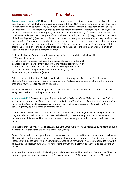### *Romans 16:17-27* **Final Notes**

**Romans 16:17-20, 24-27 HCSB** Now I implore you, brothers, watch out for those who cause dissensions and pitfalls contrary to the doctrine you have learned. Avoid them; (18) for such people do not serve our Lord Christ but their own appetites, and by smooth talk and flattering words they deceive the hearts of the unsuspecting. (19) The report of your obedience has reached everyone. Therefore I rejoice over you. But I want you to be wise about what is good, yet innocent about what is evil. (20) The God of peace will soon crush Satan under your feet. The grace of our Lord Jesus be with you. ... (24) [The grace of our Lord Jesus Christ be with you all.] (25) Now to Him who has power to strengthen you according to my gospel and the proclamation of Jesus Christ, according to the revelation of the sacred secret kept silent for long ages, (26) but now revealed and made known through the prophetic Scriptures, according to the command of the eternal God, to advance the obedience of faith among all nations-- (27) to the only wise God, through Jesus Christ--to Him be the glory forever! Amen.

In these final verses Paul seems to be equipping the Roman church to deal with evil by:

- a) Warning them against divisive people (v.17)
- b) Helping them to discern the nature and tactics of divisive people (v.18)
- c) Encouraging the development of spiritual and moral discernment. (v.19)
- d) Reminding them that God is on their side and will help them (v.20,25)
- e) Calling them to a deeper knowledge of the gospel (v.25,26)
- f) Commending all obedience. (v.19,26)

Evil is the very last thing that Paul deals with in his great theological epistle. In fact it is almost an afterthought, an addendum! There is no paranoia here. Paul is so confident in Christ and in His salvation that only a few verses are needed on this issue.

Firstly Paul deals with divisive people and tells the Romans to simply avoid them. The Greek means "to turn away from, to shun". 2 John puts it quite plainly:

**2 John 1:9-11 MKJV** *Everyone transgressing and not abiding in the doctrine of Christ does not have God. He who abides in the doctrine of Christ, he has both the Father and the Son. (10) If anyone comes to you and does not bring this doctrine, do not receive him into your house, nor speak a greeting to him. (11) For he who speaks a greeting to him is partaker of his evil deeds.*

In other words do not greet the Jehovah's Witnesses when they come to your door or imply in anyway that they are believers with whom you can have real fellowship! There is a fairly clear line of demarcation between true Christians and impostors and we must have nothing to do with those who peddle another gospel.

Paul tells us that the impostors: *do not serve our Lord Christ but their own appetites, and by smooth talk and flattering words they deceive the hearts of the unsuspecting.* 

Some ministries clearly engage in flattery as a means of fund-raising and for the ensnarement of followers. They are living for themselves and not for Jesus Christ! When you see supposed "Christian leaders" living a lifestyle that indulges all the human appetites you need to be very careful. You are probably dealing with a fake. All true Christian ministries will have the "ring of truth and sincerity" about them and speak rather plainly.

Paul says that the Romans should develop spiritual discernment and knowledge so that they can "be wise in what is good and innocent in what is evil". In other words it is OK to know all about the Bible and